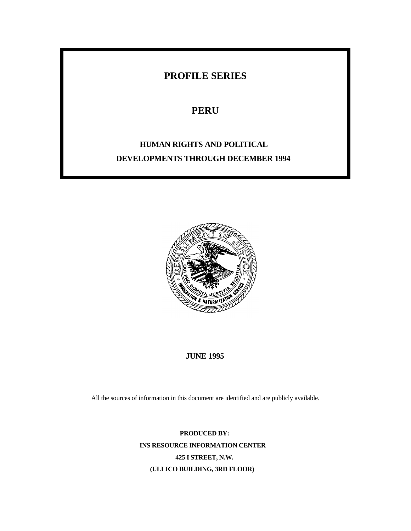# **PROFILE SERIES**

# **PERU**

# **HUMAN RIGHTS AND POLITICAL DEVELOPMENTS THROUGH DECEMBER 1994**



# **JUNE 1995**

All the sources of information in this document are identified and are publicly available.

**PRODUCED BY: INS RESOURCE INFORMATION CENTER 425 I STREET, N.W. (ULLICO BUILDING, 3RD FLOOR)**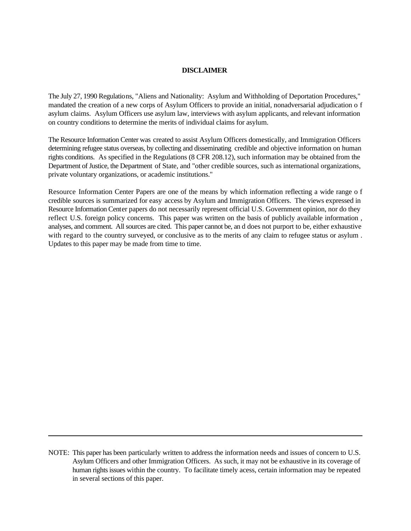## **DISCLAIMER**

The July 27, 1990 Regulations, "Aliens and Nationality: Asylum and Withholding of Deportation Procedures," mandated the creation of a new corps of Asylum Officers to provide an initial, nonadversarial adjudication o f asylum claims. Asylum Officers use asylum law, interviews with asylum applicants, and relevant information on country conditions to determine the merits of individual claims for asylum.

The Resource Information Center was created to assist Asylum Officers domestically, and Immigration Officers determining refugee status overseas, by collecting and disseminating credible and objective information on human rights conditions. As specified in the Regulations (8 CFR 208.12), such information may be obtained from the Department of Justice, the Department of State, and "other credible sources, such as international organizations, private voluntary organizations, or academic institutions."

Resource Information Center Papers are one of the means by which information reflecting a wide range o f credible sources is summarized for easy access by Asylum and Immigration Officers. The views expressed in Resource Information Center papers do not necessarily represent official U.S. Government opinion, nor do they reflect U.S. foreign policy concerns. This paper was written on the basis of publicly available information , analyses, and comment. All sources are cited. This paper cannot be, an d does not purport to be, either exhaustive with regard to the country surveyed, or conclusive as to the merits of any claim to refugee status or asylum . Updates to this paper may be made from time to time.

NOTE: This paper has been particularly written to address the information needs and issues of concern to U.S. Asylum Officers and other Immigration Officers. As such, it may not be exhaustive in its coverage of human rights issues within the country. To facilitate timely acess, certain information may be repeated in several sections of this paper.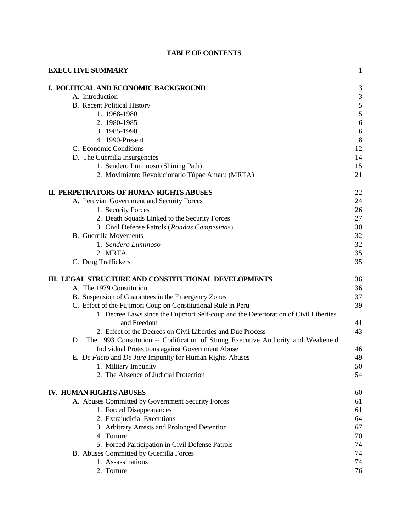| <b>EXECUTIVE SUMMARY</b>                                                             | $\mathbf{1}$   |
|--------------------------------------------------------------------------------------|----------------|
| I. POLITICAL AND ECONOMIC BACKGROUND                                                 | $\mathfrak{Z}$ |
| A. Introduction                                                                      |                |
| <b>B.</b> Recent Political History                                                   | $\frac{3}{5}$  |
| 1. 1968-1980                                                                         | 5              |
| 2. 1980-1985                                                                         | 6              |
| 3. 1985-1990                                                                         | 6              |
| 4. 1990-Present                                                                      | 8              |
| C. Economic Conditions                                                               | 12             |
| D. The Guerrilla Insurgencies                                                        | 14             |
| 1. Sendero Luminoso (Shining Path)                                                   | 15             |
|                                                                                      | 21             |
| 2. Movimiento Revolucionario Túpac Amaru (MRTA)                                      |                |
| II. PERPETRATORS OF HUMAN RIGHTS ABUSES                                              | 22             |
| A. Peruvian Government and Security Forces                                           | 24             |
| 1. Security Forces                                                                   | 26             |
| 2. Death Squads Linked to the Security Forces                                        | 27             |
| 3. Civil Defense Patrols (Rondas Campesinas)                                         | 30             |
| <b>B.</b> Guerrilla Movements                                                        | 32             |
| 1. Sendero Luminoso                                                                  | 32             |
| 2. MRTA                                                                              | 35             |
| C. Drug Traffickers                                                                  | 35             |
| III. LEGAL STRUCTURE AND CONSTITUTIONAL DEVELOPMENTS                                 | 36             |
| A. The 1979 Constitution                                                             | 36             |
| B. Suspension of Guarantees in the Emergency Zones                                   | 37             |
| C. Effect of the Fujimori Coup on Constitutional Rule in Peru                        | 39             |
| 1. Decree Laws since the Fujimori Self-coup and the Deterioration of Civil Liberties |                |
| and Freedom                                                                          | 41             |
| 2. Effect of the Decrees on Civil Liberties and Due Process                          | 43             |
|                                                                                      |                |
| D. The 1993 Constitution -- Codification of Strong Executive Authority and Weakene d |                |
| Individual Protections against Government Abuse                                      | 46             |
| E. De Facto and De Jure Impunity for Human Rights Abuses                             | 49             |
| 1. Military Impunity                                                                 | 50             |
| 2. The Absence of Judicial Protection                                                | 54             |
| IV. HUMAN RIGHTS ABUSES                                                              | 60             |
| A. Abuses Committed by Government Security Forces                                    | 61             |
| 1. Forced Disappearances                                                             | 61             |
| 2. Extrajudicial Executions                                                          | 64             |
| 3. Arbitrary Arrests and Prolonged Detention                                         | 67             |
| 4. Torture                                                                           | 70             |
| 5. Forced Participation in Civil Defense Patrols                                     | 74             |
| B. Abuses Committed by Guerrilla Forces                                              | 74             |
| 1. Assassinations                                                                    | 74             |
| 2. Torture                                                                           | 76             |
|                                                                                      |                |

# **TABLE OF CONTENTS**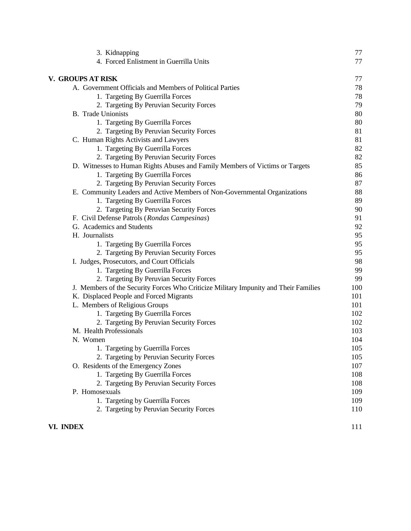| 3. Kidnapping                                                                        | 77  |
|--------------------------------------------------------------------------------------|-----|
| 4. Forced Enlistment in Guerrilla Units                                              | 77  |
| V. GROUPS AT RISK                                                                    | 77  |
| A. Government Officials and Members of Political Parties                             | 78  |
| 1. Targeting By Guerrilla Forces                                                     | 78  |
| 2. Targeting By Peruvian Security Forces                                             | 79  |
| <b>B.</b> Trade Unionists                                                            | 80  |
| 1. Targeting By Guerrilla Forces                                                     | 80  |
| 2. Targeting By Peruvian Security Forces                                             | 81  |
| C. Human Rights Activists and Lawyers                                                | 81  |
| 1. Targeting By Guerrilla Forces                                                     | 82  |
| 2. Targeting By Peruvian Security Forces                                             | 82  |
| D. Witnesses to Human Rights Abuses and Family Members of Victims or Targets         | 85  |
| 1. Targeting By Guerrilla Forces                                                     | 86  |
| 2. Targeting By Peruvian Security Forces                                             | 87  |
| E. Community Leaders and Active Members of Non-Governmental Organizations            | 88  |
| 1. Targeting By Guerrilla Forces                                                     | 89  |
| 2. Targeting By Peruvian Security Forces                                             | 90  |
| F. Civil Defense Patrols (Rondas Campesinas)                                         | 91  |
| G. Academics and Students                                                            | 92  |
| H. Journalists                                                                       | 95  |
| 1. Targeting By Guerrilla Forces                                                     | 95  |
| 2. Targeting By Peruvian Security Forces                                             | 95  |
| I. Judges, Prosecutors, and Court Officials                                          | 98  |
| 1. Targeting By Guerrilla Forces                                                     | 99  |
| 2. Targeting By Peruvian Security Forces                                             | 99  |
| J. Members of the Security Forces Who Criticize Military Impunity and Their Families | 100 |
| K. Displaced People and Forced Migrants                                              | 101 |
| L. Members of Religious Groups                                                       | 101 |
| 1. Targeting By Guerrilla Forces                                                     | 102 |
| 2. Targeting By Peruvian Security Forces                                             | 102 |
| M. Health Professionals                                                              | 103 |
| N. Women                                                                             | 104 |
| 1. Targeting by Guerrilla Forces                                                     | 105 |
| 2. Targeting by Peruvian Security Forces                                             | 105 |
| O. Residents of the Emergency Zones                                                  | 107 |
| 1. Targeting By Guerrilla Forces                                                     | 108 |
| 2. Targeting By Peruvian Security Forces                                             | 108 |
| P. Homosexuals                                                                       | 109 |
| 1. Targeting by Guerrilla Forces                                                     | 109 |
| 2. Targeting by Peruvian Security Forces                                             | 110 |
| VI. INDEX                                                                            | 111 |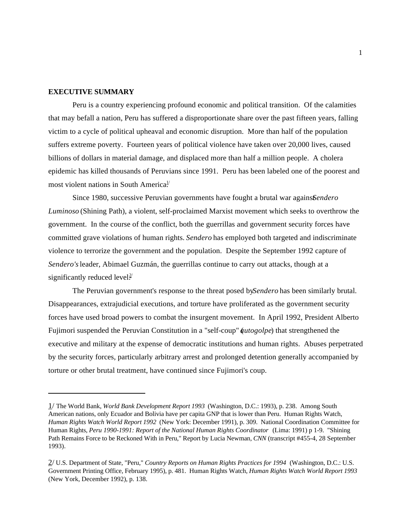## **EXECUTIVE SUMMARY**

Peru is a country experiencing profound economic and political transition. Of the calamities that may befall a nation, Peru has suffered a disproportionate share over the past fifteen years, falling victim to a cycle of political upheaval and economic disruption. More than half of the population suffers extreme poverty. Fourteen years of political violence have taken over 20,000 lives, caused billions of dollars in material damage, and displaced more than half a million people. A cholera epidemic has killed thousands of Peruvians since 1991. Peru has been labeled one of the poorest and most violent nations in South America.<sup>1/</sup>

Since 1980, successive Peruvian governments have fought a brutal war agains **S**endero *Luminoso* (Shining Path), a violent, self-proclaimed Marxist movement which seeks to overthrow the government. In the course of the conflict, both the guerrillas and government security forces have committed grave violations of human rights. *Sendero* has employed both targeted and indiscriminate violence to terrorize the government and the population. Despite the September 1992 capture of *Sendero's* leader, Abimael Guzmán, the guerrillas continue to carry out attacks, though at a significantly reduced level.<sup>2/</sup>

The Peruvian government's response to the threat posed by *Sendero* has been similarly brutal. Disappearances, extrajudicial executions, and torture have proliferated as the government security forces have used broad powers to combat the insurgent movement. In April 1992, President Alberto Fujimori suspended the Peruvian Constitution in a "self-coup" (*autogolpe*) that strengthened the executive and military at the expense of democratic institutions and human rights. Abuses perpetrated by the security forces, particularly arbitrary arrest and prolonged detention generally accompanied by torture or other brutal treatment, have continued since Fujimori's coup.

<sup>1/</sup> The World Bank, *World Bank Development Report 1993* (Washington, D.C.: 1993), p. 238. Among South American nations, only Ecuador and Bolivia have per capita GNP that is lower than Peru. Human Rights Watch, *Human Rights Watch World Report 1992* (New York: December 1991), p. 309. National Coordination Committee for Human Rights, *Peru 1990-1991: Report of the National Human Rights Coordinator* (Lima: 1991) p 1-9. "Shining Path Remains Force to be Reckoned With in Peru," Report by Lucia Newman, *CNN* (transcript #455-4, 28 September 1993).

<sup>2/</sup> U.S. Department of State, "Peru," *Country Reports on Human Rights Practices for 1994* (Washington, D.C.: U.S. Government Printing Office, February 1995), p. 481. Human Rights Watch, *Human Rights Watch World Report 1993* (New York, December 1992), p. 138.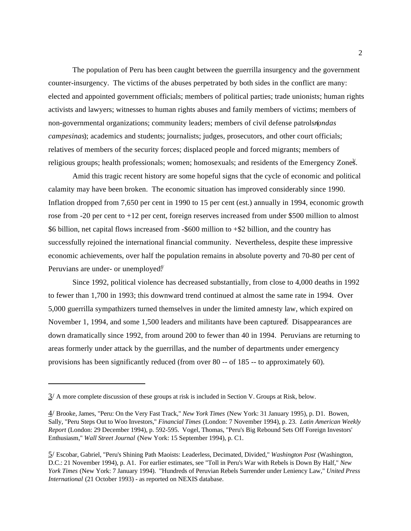The population of Peru has been caught between the guerrilla insurgency and the government counter-insurgency. The victims of the abuses perpetrated by both sides in the conflict are many: elected and appointed government officials; members of political parties; trade unionists; human rights activists and lawyers; witnesses to human rights abuses and family members of victims; members of non-governmental organizations; community leaders; members of civil defense patrols (*rondas campesinas*); academics and students; journalists; judges, prosecutors, and other court officials; relatives of members of the security forces; displaced people and forced migrants; members of religious groups; health professionals; women; homosexuals; and residents of the Emergency Zones.

Amid this tragic recent history are some hopeful signs that the cycle of economic and political calamity may have been broken. The economic situation has improved considerably since 1990. Inflation dropped from 7,650 per cent in 1990 to 15 per cent (est.) annually in 1994, economic growth rose from -20 per cent to +12 per cent, foreign reserves increased from under \$500 million to almost \$6 billion, net capital flows increased from -\$600 million to +\$2 billion, and the country has successfully rejoined the international financial community. Nevertheless, despite these impressive economic achievements, over half the population remains in absolute poverty and 70-80 per cent of Peruvians are under- or unemployed $\frac{4}{1}$ 

Since 1992, political violence has decreased substantially, from close to 4,000 deaths in 1992 to fewer than 1,700 in 1993; this downward trend continued at almost the same rate in 1994. Over 5,000 guerrilla sympathizers turned themselves in under the limited amnesty law, which expired on November 1, 1994, and some 1,500 leaders and militants have been captured. Disappearances are down dramatically since 1992, from around 200 to fewer than 40 in 1994. Peruvians are returning to areas formerly under attack by the guerrillas, and the number of departments under emergency provisions has been significantly reduced (from over 80 -- of 185 -- to approximately 60).

 $3/$  A more complete discussion of these groups at risk is included in Section V. Groups at Risk, below.

<sup>4/</sup> Brooke, James, "Peru: On the Very Fast Track," *New York Times* (New York: 31 January 1995), p. D1. Bowen, Sally, "Peru Steps Out to Woo Investors," *Financial Times* (London: 7 November 1994), p. 23. *Latin American Weekly Report* (London: 29 December 1994), p. 592-595. Vogel, Thomas, "Peru's Big Rebound Sets Off Foreign Investors' Enthusiasm," *Wall Street Journal* (New York: 15 September 1994), p. C1.

<sup>5/</sup> Escobar, Gabriel, "Peru's Shining Path Maoists: Leaderless, Decimated, Divided," *Washington Post* (Washington, D.C.: 21 November 1994), p. A1. For earlier estimates, see "Toll in Peru's War with Rebels is Down By Half," *New York Times* (New York: 7 January 1994). "Hundreds of Peruvian Rebels Surrender under Leniency Law," *United Press International* (21 October 1993) - as reported on NEXIS database.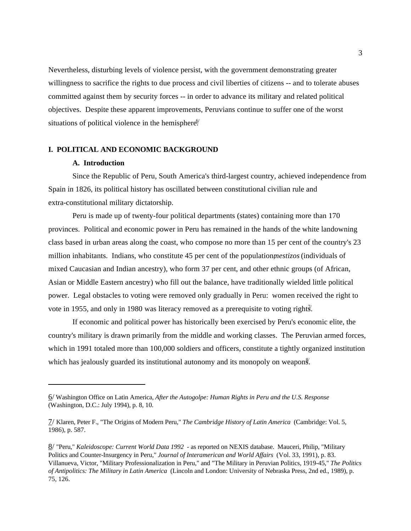Nevertheless, disturbing levels of violence persist, with the government demonstrating greater willingness to sacrifice the rights to due process and civil liberties of citizens -- and to tolerate abuses committed against them by security forces -- in order to advance its military and related political objectives. Despite these apparent improvements, Peruvians continue to suffer one of the worst situations of political violence in the hemisphere.<sup>6/</sup>

# **I. POLITICAL AND ECONOMIC BACKGROUND**

## **A. Introduction**

Since the Republic of Peru, South America's third-largest country, achieved independence from Spain in 1826, its political history has oscillated between constitutional civilian rule and extra-constitutional military dictatorship.

Peru is made up of twenty-four political departments (states) containing more than 170 provinces. Political and economic power in Peru has remained in the hands of the white landowning class based in urban areas along the coast, who compose no more than 15 per cent of the country's 23 million inhabitants. Indians, who constitute 45 per cent of the population, *mestizos* (individuals of mixed Caucasian and Indian ancestry), who form 37 per cent, and other ethnic groups (of African, Asian or Middle Eastern ancestry) who fill out the balance, have traditionally wielded little political power. Legal obstacles to voting were removed only gradually in Peru: women received the right to vote in 1955, and only in 1980 was literacy removed as a prerequisite to voting rights.

If economic and political power has historically been exercised by Peru's economic elite, the country's military is drawn primarily from the middle and working classes. The Peruvian armed forces, which in 1991 totaled more than 100,000 soldiers and officers, constitute a tightly organized institution which has jealously guarded its institutional autonomy and its monopoly on weapons.

<sup>6/</sup> Washington Office on Latin America, *After the Autogolpe: Human Rights in Peru and the U.S. Response* (Washington, D.C.: July 1994), p. 8, 10.

<sup>7/</sup> Klaren, Peter F., "The Origins of Modern Peru," *The Cambridge History of Latin America* (Cambridge: Vol. 5, 1986), p. 587.

<sup>8/</sup> "Peru," *Kaleidoscope: Current World Data 1992* - as reported on NEXIS database. Mauceri, Philip, "Military Politics and Counter-Insurgency in Peru," *Journal of Interamerican and World Affairs* (Vol. 33, 1991), p. 83. Villanueva, Victor, "Military Professionalization in Peru," and "The Military in Peruvian Politics, 1919-45," *The Politics of Antipolitics: The Military in Latin America* (Lincoln and London: University of Nebraska Press, 2nd ed., 1989), p. 75, 126.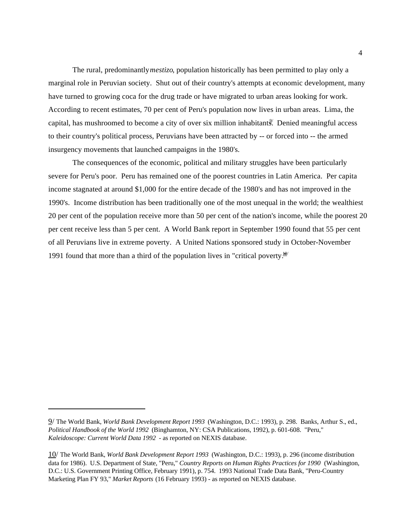The rural, predominantly *mestizo*, population historically has been permitted to play only a marginal role in Peruvian society. Shut out of their country's attempts at economic development, many have turned to growing coca for the drug trade or have migrated to urban areas looking for work. According to recent estimates, 70 per cent of Peru's population now lives in urban areas. Lima, the capital, has mushroomed to become a city of over six million inhabitants. Denied meaningful access to their country's political process, Peruvians have been attracted by -- or forced into -- the armed insurgency movements that launched campaigns in the 1980's.

The consequences of the economic, political and military struggles have been particularly severe for Peru's poor. Peru has remained one of the poorest countries in Latin America. Per capita income stagnated at around \$1,000 for the entire decade of the 1980's and has not improved in the 1990's. Income distribution has been traditionally one of the most unequal in the world; the wealthiest 20 per cent of the population receive more than 50 per cent of the nation's income, while the poorest 20 per cent receive less than 5 per cent. A World Bank report in September 1990 found that 55 per cent of all Peruvians live in extreme poverty. A United Nations sponsored study in October-November 1991 found that more than a third of the population lives in "critical poverty.<sup> $\frac{10}{2}$ </sup>

<sup>9/</sup> The World Bank, *World Bank Development Report 1993* (Washington, D.C.: 1993), p. 298. Banks, Arthur S., ed., *Political Handbook of the World 1992* (Binghamton, NY: CSA Publications, 1992), p. 601-608. "Peru," *Kaleidoscope: Current World Data 1992* - as reported on NEXIS database.

<sup>10/</sup> The World Bank, *World Bank Development Report 1993* (Washington, D.C.: 1993), p. 296 (income distribution data for 1986). U.S. Department of State, "Peru," *Country Reports on Human Rights Practices for 1990* (Washington, D.C.: U.S. Government Printing Office, February 1991), p. 754. 1993 National Trade Data Bank, "Peru-Country Marketing Plan FY 93," *Market Reports* (16 February 1993) - as reported on NEXIS database.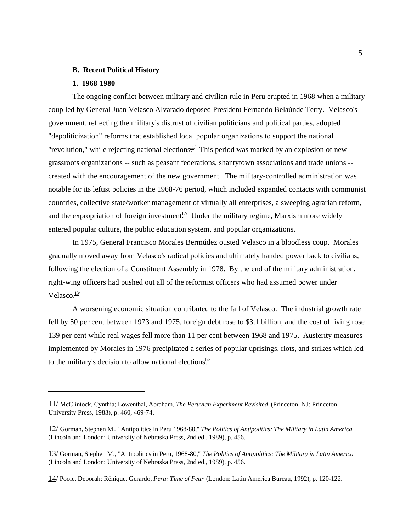#### **B. Recent Political History**

#### **1. 1968-1980**

The ongoing conflict between military and civilian rule in Peru erupted in 1968 when a military coup led by General Juan Velasco Alvarado deposed President Fernando Belaúnde Terry. Velasco's government, reflecting the military's distrust of civilian politicians and political parties, adopted "depoliticization" reforms that established local popular organizations to support the national "revolution," while rejecting national elections.<sup>11</sup> This period was marked by an explosion of new grassroots organizations -- such as peasant federations, shantytown associations and trade unions - created with the encouragement of the new government. The military-controlled administration was notable for its leftist policies in the 1968-76 period, which included expanded contacts with communist countries, collective state/worker management of virtually all enterprises, a sweeping agrarian reform, and the expropriation of foreign investment<sup> $2/2$ </sup> Under the military regime, Marxism more widely entered popular culture, the public education system, and popular organizations.

In 1975, General Francisco Morales Bermúdez ousted Velasco in a bloodless coup. Morales gradually moved away from Velasco's radical policies and ultimately handed power back to civilians, following the election of a Constituent Assembly in 1978. By the end of the military administration, right-wing officers had pushed out all of the reformist officers who had assumed power under Velasco.<sup>13/</sup>

A worsening economic situation contributed to the fall of Velasco. The industrial growth rate fell by 50 per cent between 1973 and 1975, foreign debt rose to \$3.1 billion, and the cost of living rose 139 per cent while real wages fell more than 11 per cent between 1968 and 1975. Austerity measures implemented by Morales in 1976 precipitated a series of popular uprisings, riots, and strikes which led to the military's decision to allow national elections $\frac{14}{1}$ 

<sup>11/</sup> McClintock, Cynthia; Lowenthal, Abraham, *The Peruvian Experiment Revisited* (Princeton, NJ: Princeton University Press, 1983), p. 460, 469-74.

<sup>12/</sup> Gorman, Stephen M., "Antipolitics in Peru 1968-80," *The Politics of Antipolitics: The Military in Latin America* (Lincoln and London: University of Nebraska Press, 2nd ed., 1989), p. 456.

<sup>13/</sup> Gorman, Stephen M., "Antipolitics in Peru, 1968-80," *The Politics of Antipolitics: The Military in Latin America* (Lincoln and London: University of Nebraska Press, 2nd ed., 1989), p. 456.

<sup>14/</sup> Poole, Deborah; Rénique, Gerardo, *Peru: Time of Fear* (London: Latin America Bureau, 1992), p. 120-122.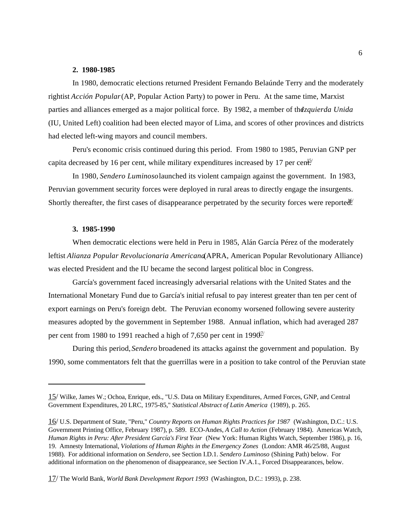### **2. 1980-1985**

In 1980, democratic elections returned President Fernando Belaúnde Terry and the moderately rightist *Acción Popular* (AP, Popular Action Party) to power in Peru. At the same time, Marxist parties and alliances emerged as a major political force. By 1982, a member of the *Izquierda Unida* (IU, United Left) coalition had been elected mayor of Lima, and scores of other provinces and districts had elected left-wing mayors and council members.

Peru's economic crisis continued during this period. From 1980 to 1985, Peruvian GNP per capita decreased by 16 per cent, while military expenditures increased by 17 per cent.

In 1980, *Sendero Luminoso* launched its violent campaign against the government. In 1983, Peruvian government security forces were deployed in rural areas to directly engage the insurgents. Shortly thereafter, the first cases of disappearance perpetrated by the security forces were reported.

### **3. 1985-1990**

When democratic elections were held in Peru in 1985, Alán García Pérez of the moderately leftist *Alianza Popular Revolucionaria Americana* (APRA, American Popular Revolutionary Alliance) was elected President and the IU became the second largest political bloc in Congress.

García's government faced increasingly adversarial relations with the United States and the International Monetary Fund due to García's initial refusal to pay interest greater than ten per cent of export earnings on Peru's foreign debt. The Peruvian economy worsened following severe austerity measures adopted by the government in September 1988. Annual inflation, which had averaged 287 per cent from 1980 to 1991 reached a high of 7,650 per cent in 1990 $\frac{1}{2}$ 

During this period, *Sendero* broadened its attacks against the government and population. By 1990, some commentators felt that the guerrillas were in a position to take control of the Peruvian state

<sup>15/</sup> Wilke, James W.; Ochoa, Enrique, eds., "U.S. Data on Military Expenditures, Armed Forces, GNP, and Central Government Expenditures, 20 LRC, 1975-85," *Statistical Abstract of Latin America* (1989), p. 265.

<sup>16/</sup> U.S. Department of State, "Peru," *Country Reports on Human Rights Practices for 1987* (Washington, D.C.: U.S. Government Printing Office, February 1987), p. 589. ECO-Andes, *A Call to Action* (February 1984). Americas Watch, *Human Rights in Peru: After President García's First Year* (New York: Human Rights Watch, September 1986), p. 16, 19. Amnesty International, *Violations of Human Rights in the Emergency Zones* (London: AMR 46/25/88, August 1988). For additional information on *Sendero*, see Section I.D.1. *Sendero Luminoso* (Shining Path) below. For additional information on the phenomenon of disappearance, see Section IV.A.1., Forced Disappearances, below.

<sup>17/</sup> The World Bank, *World Bank Development Report 1993* (Washington, D.C.: 1993), p. 238.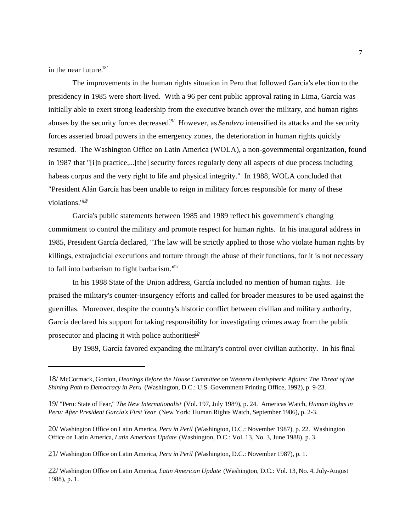in the near future. $\frac{18}{10}$ 

The improvements in the human rights situation in Peru that followed García's election to the presidency in 1985 were short-lived. With a 96 per cent public approval rating in Lima, García was initially able to exert strong leadership from the executive branch over the military, and human rights abuses by the security forces decreased<sup>19</sup> However, as *Sendero* intensified its attacks and the security forces asserted broad powers in the emergency zones, the deterioration in human rights quickly resumed. The Washington Office on Latin America (WOLA), a non-governmental organization, found in 1987 that "[i]n practice,...[the] security forces regularly deny all aspects of due process including habeas corpus and the very right to life and physical integrity." In 1988, WOLA concluded that "President Alán García has been unable to reign in military forces responsible for many of these violations."<sup>20/</sup>

García's public statements between 1985 and 1989 reflect his government's changing commitment to control the military and promote respect for human rights. In his inaugural address in 1985, President García declared, "The law will be strictly applied to those who violate human rights by killings, extrajudicial executions and torture through the abuse of their functions, for it is not necessary to fall into barbarism to fight barbarism. $\frac{d1}{2}$ 

In his 1988 State of the Union address, García included no mention of human rights. He praised the military's counter-insurgency efforts and called for broader measures to be used against the guerrillas. Moreover, despite the country's historic conflict between civilian and military authority, García declared his support for taking responsibility for investigating crimes away from the public prosecutor and placing it with police authorities $\frac{22}{2}$ 

By 1989, García favored expanding the military's control over civilian authority. In his final

<sup>18/</sup> McCormack, Gordon, *Hearings Before the House Committee on Western Hemispheric Affairs: The Threat of the Shining Path to Democracy in Peru* (Washington, D.C.: U.S. Government Printing Office, 1992), p. 9-23.

<sup>19/</sup> "Peru: State of Fear," *The New Internationalist* (Vol. 197, July 1989), p. 24. Americas Watch, *Human Rights in Peru: After President García's First Year* (New York: Human Rights Watch, September 1986), p. 2-3.

<sup>20/</sup> Washington Office on Latin America, *Peru in Peril* (Washington, D.C.: November 1987), p. 22. Washington Office on Latin America, *Latin American Update* (Washington, D.C.: Vol. 13, No. 3, June 1988), p. 3.

<sup>21/</sup> Washington Office on Latin America, *Peru in Peril* (Washington, D.C.: November 1987), p. 1.

<sup>22/</sup> Washington Office on Latin America, *Latin American Update* (Washington, D.C.: Vol. 13, No. 4, July-August 1988), p. 1.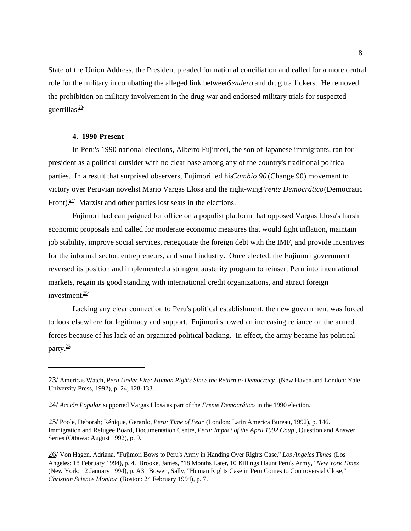State of the Union Address, the President pleaded for national conciliation and called for a more central role for the military in combatting the alleged link between *Sendero* and drug traffickers. He removed the prohibition on military involvement in the drug war and endorsed military trials for suspected guerrillas. $\frac{23}{3}$ 

# **4. 1990-Present**

In Peru's 1990 national elections, Alberto Fujimori, the son of Japanese immigrants, ran for president as a political outsider with no clear base among any of the country's traditional political parties. In a result that surprised observers, Fujimori led his *Cambio 90* (Change 90) movement to victory over Peruvian novelist Mario Vargas Llosa and the right-wing *Frente Democrático* (Democratic Front). $24$  Marxist and other parties lost seats in the elections.

Fujimori had campaigned for office on a populist platform that opposed Vargas Llosa's harsh economic proposals and called for moderate economic measures that would fight inflation, maintain job stability, improve social services, renegotiate the foreign debt with the IMF, and provide incentives for the informal sector, entrepreneurs, and small industry. Once elected, the Fujimori government reversed its position and implemented a stringent austerity program to reinsert Peru into international markets, regain its good standing with international credit organizations, and attract foreign investment. $25/$ 

Lacking any clear connection to Peru's political establishment, the new government was forced to look elsewhere for legitimacy and support. Fujimori showed an increasing reliance on the armed forces because of his lack of an organized political backing. In effect, the army became his political party.<sup>26/</sup>

<sup>23/</sup> Americas Watch, *Peru Under Fire: Human Rights Since the Return to Democracy* (New Haven and London: Yale University Press, 1992), p. 24, 128-133.

<sup>24/</sup> *Acción Popular* supported Vargas Llosa as part of the *Frente Democrático* in the 1990 election.

<sup>25/</sup> Poole, Deborah; Rénique, Gerardo, *Peru: Time of Fear* (London: Latin America Bureau, 1992), p. 146. Immigration and Refugee Board, Documentation Centre, *Peru: Impact of the April 1992 Coup* , Question and Answer Series (Ottawa: August 1992), p. 9.

<sup>26/</sup> Von Hagen, Adriana, "Fujimori Bows to Peru's Army in Handing Over Rights Case," *Los Angeles Times* (Los Angeles: 18 February 1994), p. 4. Brooke, James, "18 Months Later, 10 Killings Haunt Peru's Army," *New York Times* (New York: 12 January 1994), p. A3. Bowen, Sally, "Human Rights Case in Peru Comes to Controversial Close," *Christian Science Monitor* (Boston: 24 February 1994), p. 7.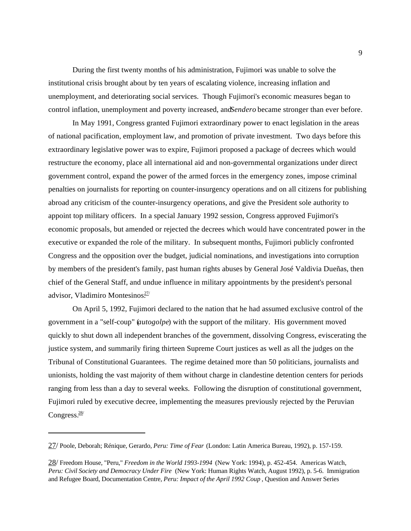During the first twenty months of his administration, Fujimori was unable to solve the institutional crisis brought about by ten years of escalating violence, increasing inflation and unemployment, and deteriorating social services. Though Fujimori's economic measures began to control inflation, unemployment and poverty increased, and *Sendero* became stronger than ever before.

In May 1991, Congress granted Fujimori extraordinary power to enact legislation in the areas of national pacification, employment law, and promotion of private investment. Two days before this extraordinary legislative power was to expire, Fujimori proposed a package of decrees which would restructure the economy, place all international aid and non-governmental organizations under direct government control, expand the power of the armed forces in the emergency zones, impose criminal penalties on journalists for reporting on counter-insurgency operations and on all citizens for publishing abroad any criticism of the counter-insurgency operations, and give the President sole authority to appoint top military officers. In a special January 1992 session, Congress approved Fujimori's economic proposals, but amended or rejected the decrees which would have concentrated power in the executive or expanded the role of the military. In subsequent months, Fujimori publicly confronted Congress and the opposition over the budget, judicial nominations, and investigations into corruption by members of the president's family, past human rights abuses by General José Valdivia Dueñas, then chief of the General Staff, and undue influence in military appointments by the president's personal advisor, Vladimiro Montesinos $\frac{27}{2}$ 

On April 5, 1992, Fujimori declared to the nation that he had assumed exclusive control of the government in a "self-coup" (*autogolpe*) with the support of the military. His government moved quickly to shut down all independent branches of the government, dissolving Congress, eviscerating the justice system, and summarily firing thirteen Supreme Court justices as well as all the judges on the Tribunal of Constitutional Guarantees. The regime detained more than 50 politicians, journalists and unionists, holding the vast majority of them without charge in clandestine detention centers for periods ranging from less than a day to several weeks. Following the disruption of constitutional government, Fujimori ruled by executive decree, implementing the measures previously rejected by the Peruvian Congress.<sup>28/</sup>

<sup>27/</sup> Poole, Deborah; Rénique, Gerardo, *Peru: Time of Fear* (London: Latin America Bureau, 1992), p. 157-159.

<sup>28/</sup> Freedom House, "Peru," *Freedom in the World 1993-1994* (New York: 1994), p. 452-454. Americas Watch, *Peru: Civil Society and Democracy Under Fire* (New York: Human Rights Watch, August 1992), p. 5-6. Immigration and Refugee Board, Documentation Centre, *Peru: Impact of the April 1992 Coup* , Question and Answer Series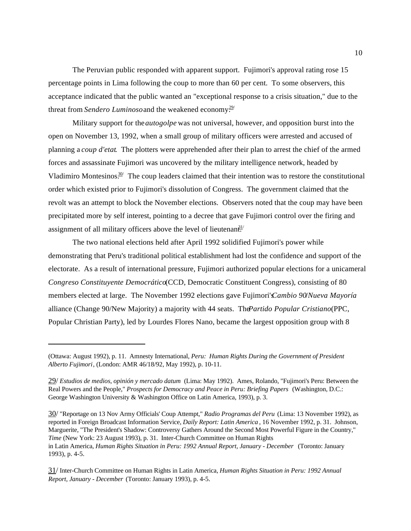The Peruvian public responded with apparent support. Fujimori's approval rating rose 15 percentage points in Lima following the coup to more than 60 per cent. To some observers, this acceptance indicated that the public wanted an "exceptional response to a crisis situation," due to the threat from *Sendero Luminoso* and the weakened economy.<sup>29/</sup>

Military support for the *autogolpe* was not universal, however, and opposition burst into the open on November 13, 1992, when a small group of military officers were arrested and accused of planning a *coup d'etat*. The plotters were apprehended after their plan to arrest the chief of the armed forces and assassinate Fujimori was uncovered by the military intelligence network, headed by Vladimiro Montesinos. $30/2$  The coup leaders claimed that their intention was to restore the constitutional order which existed prior to Fujimori's dissolution of Congress. The government claimed that the revolt was an attempt to block the November elections. Observers noted that the coup may have been precipitated more by self interest, pointing to a decree that gave Fujimori control over the firing and assignment of all military officers above the level of lieutenan $\frac{\partial 1}{\partial x}$ 

The two national elections held after April 1992 solidified Fujimori's power while demonstrating that Peru's traditional political establishment had lost the confidence and support of the electorate. As a result of international pressure, Fujimori authorized popular elections for a unicameral *Congreso Constituyente Democrático* (CCD, Democratic Constituent Congress), consisting of 80 members elected at large. The November 1992 elections gave Fujimori's *Cambio 90*/*Nueva Mayoría* alliance (Change 90/New Majority) a majority with 44 seats. The *Partido Popular Cristiano* (PPC, Popular Christian Party), led by Lourdes Flores Nano, became the largest opposition group with 8

30/ "Reportage on 13 Nov Army Officials' Coup Attempt," *Radio Programas del Peru* (Lima: 13 November 1992), as reported in Foreign Broadcast Information Service, *Daily Report: Latin America* , 16 November 1992, p. 31. Johnson, Marguerite, "The President's Shadow: Controversy Gathers Around the Second Most Powerful Figure in the Country," *Time* (New York: 23 August 1993), p. 31. Inter-Church Committee on Human Rights in Latin America, *Human Rights Situation in Peru: 1992 Annual Report, January - December* (Toronto: January 1993), p. 4-5.

<sup>(</sup>Ottawa: August 1992), p. 11. Amnesty International, *Peru: Human Rights During the Government of President Alberto Fujimori*, (London: AMR 46/18/92, May 1992), p. 10-11.

<sup>29/</sup> *Estudios de medios, opinión y mercado datum* (Lima: May 1992). Ames, Rolando, "Fujimori's Peru: Between the Real Powers and the People," *Prospects for Democracy and Peace in Peru: Briefing Papers* (Washington, D.C.: George Washington University & Washington Office on Latin America, 1993), p. 3.

<sup>31/</sup> Inter-Church Committee on Human Rights in Latin America, *Human Rights Situation in Peru: 1992 Annual Report, January - December* (Toronto: January 1993), p. 4-5.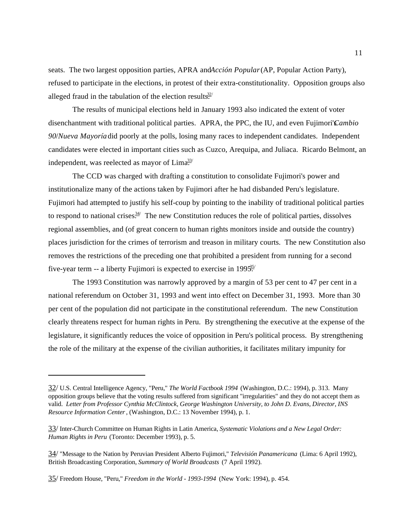seats. The two largest opposition parties, APRA andAcción Popular (AP, Popular Action Party), refused to participate in the elections, in protest of their extra-constitutionality. Opposition groups also alleged fraud in the tabulation of the election results.<sup>32/</sup>

The results of municipal elections held in January 1993 also indicated the extent of voter disenchantment with traditional political parties. APRA, the PPC, the IU, and even Fujimori's *Cambio 90*/*Nueva Mayoría* did poorly at the polls, losing many races to independent candidates. Independent candidates were elected in important cities such as Cuzco, Arequipa, and Juliaca. Ricardo Belmont, an independent, was reelected as mayor of  $\text{Lima}^{\frac{33}{2}}$ 

The CCD was charged with drafting a constitution to consolidate Fujimori's power and institutionalize many of the actions taken by Fujimori after he had disbanded Peru's legislature. Fujimori had attempted to justify his self-coup by pointing to the inability of traditional political parties to respond to national crises.<sup> $34$ </sup> The new Constitution reduces the role of political parties, dissolves regional assemblies, and (of great concern to human rights monitors inside and outside the country) places jurisdiction for the crimes of terrorism and treason in military courts. The new Constitution also removes the restrictions of the preceding one that prohibited a president from running for a second five-year term -- a liberty Fujimori is expected to exercise in 199 $\frac{35}{25}$ 

The 1993 Constitution was narrowly approved by a margin of 53 per cent to 47 per cent in a national referendum on October 31, 1993 and went into effect on December 31, 1993. More than 30 per cent of the population did not participate in the constitutional referendum. The new Constitution clearly threatens respect for human rights in Peru. By strengthening the executive at the expense of the legislature, it significantly reduces the voice of opposition in Peru's political process. By strengthening the role of the military at the expense of the civilian authorities, it facilitates military impunity for

<sup>32/</sup> U.S. Central Intelligence Agency, "Peru," *The World Factbook 1994* (Washington, D.C.: 1994), p. 313. Many opposition groups believe that the voting results suffered from significant "irregularities" and they do not accept them as valid. *Letter from Professor Cynthia McClintock, George Washington University, to John D. Evans, Director, INS Resource Information Center* , (Washington, D.C.: 13 November 1994), p. 1.

<sup>33/</sup> Inter-Church Committee on Human Rights in Latin America, *Systematic Violations and a New Legal Order: Human Rights in Peru* (Toronto: December 1993), p. 5.

<sup>34/</sup> "Message to the Nation by Peruvian President Alberto Fujimori," *Televisión Panamericana* (Lima: 6 April 1992), British Broadcasting Corporation, *Summary of World Broadcasts* (7 April 1992).

<sup>35/</sup> Freedom House, "Peru," *Freedom in the World - 1993-1994* (New York: 1994), p. 454.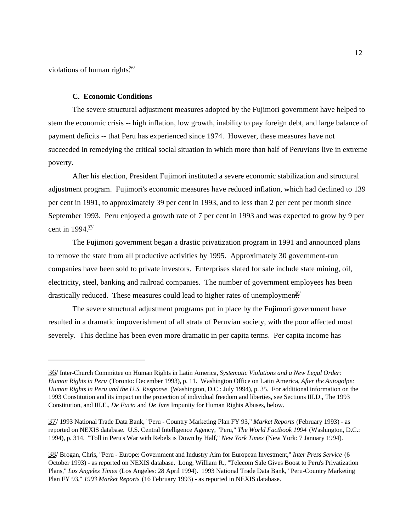violations of human rights $\frac{36}{10}$ 

#### **C. Economic Conditions**

The severe structural adjustment measures adopted by the Fujimori government have helped to stem the economic crisis -- high inflation, low growth, inability to pay foreign debt, and large balance of payment deficits -- that Peru has experienced since 1974. However, these measures have not succeeded in remedying the critical social situation in which more than half of Peruvians live in extreme poverty.

After his election, President Fujimori instituted a severe economic stabilization and structural adjustment program. Fujimori's economic measures have reduced inflation, which had declined to 139 per cent in 1991, to approximately 39 per cent in 1993, and to less than 2 per cent per month since September 1993. Peru enjoyed a growth rate of 7 per cent in 1993 and was expected to grow by 9 per cent in  $1994 \frac{37}{3}$ 

The Fujimori government began a drastic privatization program in 1991 and announced plans to remove the state from all productive activities by 1995. Approximately 30 government-run companies have been sold to private investors. Enterprises slated for sale include state mining, oil, electricity, steel, banking and railroad companies. The number of government employees has been drastically reduced. These measures could lead to higher rates of unemployment.<sup>38</sup>

The severe structural adjustment programs put in place by the Fujimori government have resulted in a dramatic impoverishment of all strata of Peruvian society, with the poor affected most severely. This decline has been even more dramatic in per capita terms. Per capita income has

<sup>36/</sup> Inter-Church Committee on Human Rights in Latin America, *Systematic Violations and a New Legal Order: Human Rights in Peru* (Toronto: December 1993), p. 11. Washington Office on Latin America, *After the Autogolpe: Human Rights in Peru and the U.S. Response* (Washington, D.C.: July 1994), p. 35. For additional information on the 1993 Constitution and its impact on the protection of individual freedom and liberties, see Sections III.D., The 1993 Constitution, and III.E., *De Facto* and *De Jure* Impunity for Human Rights Abuses, below.

<sup>37/</sup> 1993 National Trade Data Bank, "Peru - Country Marketing Plan FY 93," *Market Reports* (February 1993) - as reported on NEXIS database. U.S. Central Intelligence Agency, "Peru," *The World Factbook 1994* (Washington, D.C.: 1994), p. 314. "Toll in Peru's War with Rebels is Down by Half," *New York Times* (New York: 7 January 1994).

<sup>38/</sup> Brogan, Chris, "Peru - Europe: Government and Industry Aim for European Investment," *Inter Press Service* (6 October 1993) - as reported on NEXIS database. Long, William R., "Telecom Sale Gives Boost to Peru's Privatization Plans," *Los Angeles Times* (Los Angeles: 28 April 1994). 1993 National Trade Data Bank, "Peru-Country Marketing Plan FY 93," *1993 Market Reports* (16 February 1993) - as reported in NEXIS database.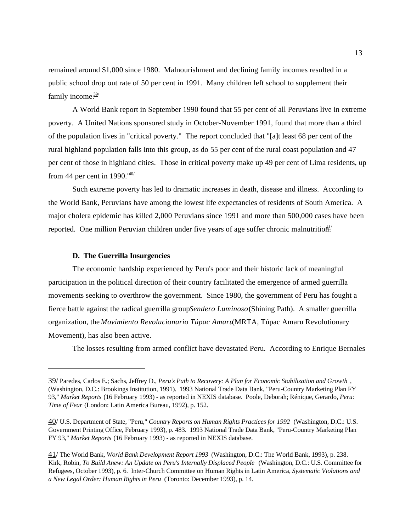remained around \$1,000 since 1980. Malnourishment and declining family incomes resulted in a public school drop out rate of 50 per cent in 1991. Many children left school to supplement their family income.<sup>39/</sup>

A World Bank report in September 1990 found that 55 per cent of all Peruvians live in extreme poverty. A United Nations sponsored study in October-November 1991, found that more than a third of the population lives in "critical poverty." The report concluded that "[a]t least 68 per cent of the rural highland population falls into this group, as do 55 per cent of the rural coast population and 47 per cent of those in highland cities. Those in critical poverty make up 49 per cent of Lima residents, up from 44 per cent in 1990. $\frac{40}{1}$ 

Such extreme poverty has led to dramatic increases in death, disease and illness. According to the World Bank, Peruvians have among the lowest life expectancies of residents of South America. A major cholera epidemic has killed 2,000 Peruvians since 1991 and more than 500,000 cases have been reported. One million Peruvian children under five years of age suffer chronic malnutrition.  $4^{1/2}$ 

#### **D. The Guerrilla Insurgencies**

The economic hardship experienced by Peru's poor and their historic lack of meaningful participation in the political direction of their country facilitated the emergence of armed guerrilla movements seeking to overthrow the government. Since 1980, the government of Peru has fought a fierce battle against the radical guerrilla group *Sendero Luminoso* (Shining Path). A smaller guerrilla organization, the *Movimiento Revolucionario Túpac Amaru* (MRTA, Túpac Amaru Revolutionary Movement), has also been active.

The losses resulting from armed conflict have devastated Peru. According to Enrique Bernales

<sup>39/</sup> Paredes, Carlos E.; Sachs, Jeffrey D., *Peru's Path to Recovery: A Plan for Economic Stabilization and Growth* , (Washington, D.C.: Brookings Institution, 1991). 1993 National Trade Data Bank, "Peru-Country Marketing Plan FY 93," *Market Reports* (16 February 1993) - as reported in NEXIS database. Poole, Deborah; Rénique, Gerardo, *Peru: Time of Fear* (London: Latin America Bureau, 1992), p. 152.

<sup>40/</sup> U.S. Department of State, "Peru," *Country Reports on Human Rights Practices for 1992* (Washington, D.C.: U.S. Government Printing Office, February 1993), p. 483. 1993 National Trade Data Bank, "Peru-Country Marketing Plan FY 93," *Market Reports* (16 February 1993) - as reported in NEXIS database.

<sup>41/</sup> The World Bank, *World Bank Development Report 1993* (Washington, D.C.: The World Bank, 1993), p. 238. Kirk, Robin, *To Build Anew: An Update on Peru's Internally Displaced People* (Washington, D.C.: U.S. Committee for Refugees, October 1993), p. 6. Inter-Church Committee on Human Rights in Latin America, *Systematic Violations and a New Legal Order: Human Rights in Peru* (Toronto: December 1993), p. 14.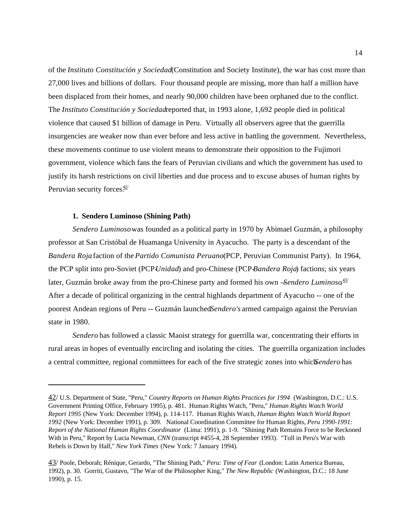of the *Instituto Constitución y Sociedad* (Constitution and Society Institute), the war has cost more than 27,000 lives and billions of dollars. Four thousand people are missing, more than half a million have been displaced from their homes, and nearly 90,000 children have been orphaned due to the conflict. The *Instituto Constitución y Sociedad* reported that, in 1993 alone, 1,692 people died in political violence that caused \$1 billion of damage in Peru. Virtually all observers agree that the guerrilla insurgencies are weaker now than ever before and less active in battling the government. Nevertheless, these movements continue to use violent means to demonstrate their opposition to the Fujimori government, violence which fans the fears of Peruvian civilians and which the government has used to justify its harsh restrictions on civil liberties and due process and to excuse abuses of human rights by Peruvian security forces $\frac{42}{1}$ 

#### **1. Sendero Luminoso (Shining Path)**

*Sendero Luminoso* was founded as a political party in 1970 by Abimael Guzmán, a philosophy professor at San Cristóbal de Huamanga University in Ayacucho. The party is a descendant of the *Bandera Roja* faction of the *Partido Comunista Peruano* (PCP, Peruvian Communist Party). In 1964, the PCP split into pro-Soviet (PCP-*Unidad*) and pro-Chinese (PCP-*Bandera Roja*) factions; six years later, Guzmán broke away from the pro-Chinese party and formed his own -Sendero Luminoso.<sup>43/</sup> After a decade of political organizing in the central highlands department of Ayacucho -- one of the poorest Andean regions of Peru -- Guzmán launched *Sendero's* armed campaign against the Peruvian state in 1980.

*Sendero* has followed a classic Maoist strategy for guerrilla war, concentrating their efforts in rural areas in hopes of eventually encircling and isolating the cities. The guerrilla organization includes a central committee, regional committees for each of the five strategic zones into which *Sendero* has

<sup>42/</sup> U.S. Department of State, "Peru," *Country Reports on Human Rights Practices for 1994* (Washington, D.C.: U.S. Government Printing Office, February 1995), p. 481. Human Rights Watch, "Peru," *Human Rights Watch World Report 1995* (New York: December 1994), p. 114-117. Human Rights Watch, *Human Rights Watch World Report 1992* (New York: December 1991), p. 309. National Coordination Committee for Human Rights, *Peru 1990-1991: Report of the National Human Rights Coordinator* (Lima: 1991), p. 1-9. "Shining Path Remains Force to be Reckoned With in Peru," Report by Lucia Newman, *CNN* (transcript #455-4, 28 September 1993). "Toll in Peru's War with Rebels is Down by Half," *New York Times* (New York: 7 January 1994).

<sup>43/</sup> Poole, Deborah; Rénique, Gerardo, "The Shining Path," *Peru: Time of Fear* (London: Latin America Bureau, 1992), p. 30. Gorriti, Gustavo, "The War of the Philosopher King," *The New Republic* (Washington, D.C.: 18 June 1990), p. 15.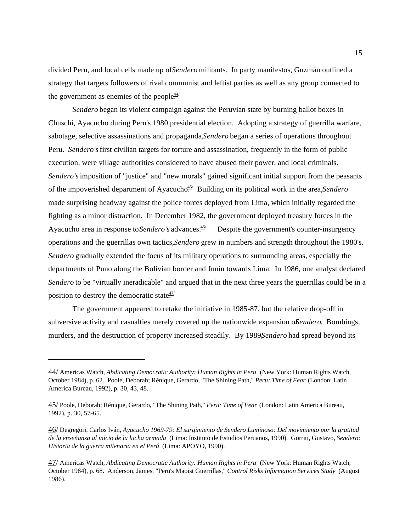divided Peru, and local cells made up of *Sendero* militants. In party manifestos, Guzmán outlined a strategy that targets followers of rival communist and leftist parties as well as any group connected to the government as enemies of the people $\frac{44}{5}$ 

*Sendero* began its violent campaign against the Peruvian state by burning ballot boxes in Chuschi, Ayacucho during Peru's 1980 presidential election. Adopting a strategy of guerrilla warfare, sabotage, selective assassinations and propaganda, Sendero began a series of operations throughout Peru. *Sendero's* first civilian targets for torture and assassination, frequently in the form of public execution, were village authorities considered to have abused their power, and local criminals. *Sendero's* imposition of "justice" and "new morals" gained significant initial support from the peasants of the impoverished department of Ayacucho<sup>45/</sup> Building on its political work in the area, *Sendero* made surprising headway against the police forces deployed from Lima, which initially regarded the fighting as a minor distraction. In December 1982, the government deployed treasury forces in the Ayacucho area in response to *Sendero's* advances.<sup>46/</sup> Despite the government's counter-insurgency operations and the guerrillas own tactics, *Sendero* grew in numbers and strength throughout the 1980's. *Sendero* gradually extended the focus of its military operations to surrounding areas, especially the departments of Puno along the Bolivian border and Junín towards Lima. In 1986, one analyst declared *Sendero* to be "virtually ineradicable" and argued that in the next three years the guerrillas could be in a position to destroy the democratic state $\frac{47}{1}$ 

The government appeared to retake the initiative in 1985-87, but the relative drop-off in subversive activity and casualties merely covered up the nationwide expansion of *Sendero*. Bombings, murders, and the destruction of property increased steadily. By 1989, Sendero had spread beyond its

<sup>44/</sup> Americas Watch, *Abdicating Democratic Authority: Human Rights in Peru* (New York: Human Rights Watch, October 1984), p. 62. Poole, Deborah; Rénique, Gerardo, "The Shining Path," *Peru: Time of Fear* (London: Latin America Bureau, 1992), p. 30, 43, 48.

<sup>45/</sup> Poole, Deborah; Rénique, Gerardo, "The Shining Path," *Peru: Time of Fear* (London: Latin America Bureau, 1992), p. 30, 57-65.

<sup>46/</sup> Degregori, Carlos Iván, *Ayacucho 1969-79: El surgimiento de Sendero Luminoso: Del movimiento por la gratitud de la enseñanza al inicio de la lucha armada* (Lima: Instituto de Estudios Peruanos, 1990). Gorriti, Gustavo, *Sendero: Historia de la guerra milenaria en el Perú* (Lima: APOYO, 1990).

<sup>47/</sup> Americas Watch, *Abdicating Democratic Authority: Human Rights in Peru* (New York: Human Rights Watch, October 1984), p. 68. Anderson, James, "Peru's Maoist Guerrillas," *Control Risks Information Services Study* (August 1986).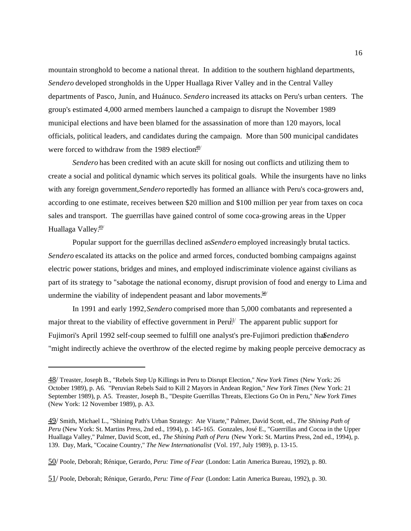mountain stronghold to become a national threat. In addition to the southern highland departments, *Sendero* developed strongholds in the Upper Huallaga River Valley and in the Central Valley departments of Pasco, Junín, and Huánuco. *Sendero* increased its attacks on Peru's urban centers. The group's estimated 4,000 armed members launched a campaign to disrupt the November 1989 municipal elections and have been blamed for the assassination of more than 120 mayors, local officials, political leaders, and candidates during the campaign. More than 500 municipal candidates were forced to withdraw from the 1989 election $\frac{48}{15}$ 

*Sendero* has been credited with an acute skill for nosing out conflicts and utilizing them to create a social and political dynamic which serves its political goals. While the insurgents have no links with any foreign government, *Sendero* reportedly has formed an alliance with Peru's coca-growers and, according to one estimate, receives between \$20 million and \$100 million per year from taxes on coca sales and transport. The guerrillas have gained control of some coca-growing areas in the Upper Huallaga Valley.<sup>49/</sup>

Popular support for the guerrillas declined as *Sendero* employed increasingly brutal tactics. *Sendero* escalated its attacks on the police and armed forces, conducted bombing campaigns against electric power stations, bridges and mines, and employed indiscriminate violence against civilians as part of its strategy to "sabotage the national economy, disrupt provision of food and energy to Lima and undermine the viability of independent peasant and labor movements. $\frac{50}{10}$ 

In 1991 and early 1992, *Sendero* comprised more than 5,000 combatants and represented a major threat to the viability of effective government in Peru<sup>51</sup>. The apparent public support for Fujimori's April 1992 self-coup seemed to fulfill one analyst's pre-Fujimori prediction thas *endero* "might indirectly achieve the overthrow of the elected regime by making people perceive democracy as

<sup>48/</sup> Treaster, Joseph B., "Rebels Step Up Killings in Peru to Disrupt Election," *New York Times* (New York: 26 October 1989), p. A6. "Peruvian Rebels Said to Kill 2 Mayors in Andean Region," *New York Times* (New York: 21 September 1989), p. A5. Treaster, Joseph B., "Despite Guerrillas Threats, Elections Go On in Peru," *New York Times* (New York: 12 November 1989), p. A3.

<sup>49/</sup> Smith, Michael L., "Shining Path's Urban Strategy: Ate Vitarte," Palmer, David Scott, ed., *The Shining Path of Peru* (New York: St. Martins Press, 2nd ed., 1994), p. 145-165. Gonzales, José E., "Guerrillas and Cocoa in the Upper Huallaga Valley," Palmer, David Scott, ed., *The Shining Path of Peru* (New York: St. Martins Press, 2nd ed., 1994), p. 139. Day, Mark, "Cocaine Country," *The New Internationalist* (Vol. 197, July 1989), p. 13-15.

<sup>50/</sup> Poole, Deborah; Rénique, Gerardo, *Peru: Time of Fear* (London: Latin America Bureau, 1992), p. 80.

<sup>51/</sup> Poole, Deborah; Rénique, Gerardo, *Peru: Time of Fear* (London: Latin America Bureau, 1992), p. 30.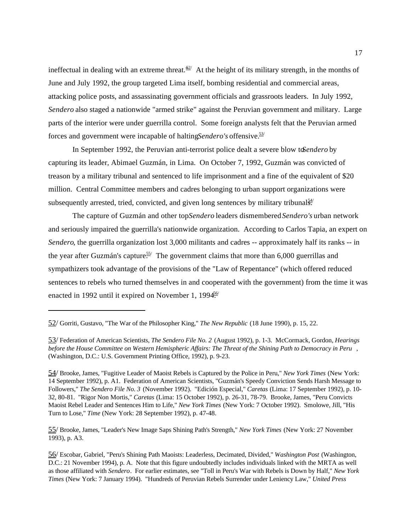ineffectual in dealing with an extreme threat.<sup> $62/$ </sup> At the height of its military strength, in the months of June and July 1992, the group targeted Lima itself, bombing residential and commercial areas, attacking police posts, and assassinating government officials and grassroots leaders. In July 1992, *Sendero* also staged a nationwide "armed strike" against the Peruvian government and military. Large parts of the interior were under guerrilla control. Some foreign analysts felt that the Peruvian armed forces and government were incapable of halting *Sendero's* offensive.<sup>53/</sup>

In September 1992, the Peruvian anti-terrorist police dealt a severe blow to *Sendero* by capturing its leader, Abimael Guzmán, in Lima. On October 7, 1992, Guzmán was convicted of treason by a military tribunal and sentenced to life imprisonment and a fine of the equivalent of \$20 million. Central Committee members and cadres belonging to urban support organizations were subsequently arrested, tried, convicted, and given long sentences by military tribunal $\frac{54}{3}$ .

The capture of Guzmán and other top *Sendero* leaders dismembered *Sendero's* urban network and seriously impaired the guerrilla's nationwide organization. According to Carlos Tapia, an expert on *Sendero*, the guerrilla organization lost 3,000 militants and cadres -- approximately half its ranks -- in the year after Guzmán's capture.<sup>55/</sup> The government claims that more than 6,000 guerrillas and sympathizers took advantage of the provisions of the "Law of Repentance" (which offered reduced sentences to rebels who turned themselves in and cooperated with the government) from the time it was enacted in 1992 until it expired on November 1, 1994 $\frac{36}{5}$ 

55/ Brooke, James, "Leader's New Image Saps Shining Path's Strength," *New York Times* (New York: 27 November 1993), p. A3.

<sup>52/</sup> Gorriti, Gustavo, "The War of the Philosopher King," *The New Republic* (18 June 1990), p. 15, 22.

<sup>53/</sup> Federation of American Scientists, *The Sendero File No. 2* (August 1992), p. 1-3. McCormack, Gordon, *Hearings before the House Committee on Western Hemispheric Affairs: The Threat of the Shining Path to Democracy in Peru* , (Washington, D.C.: U.S. Government Printing Office, 1992), p. 9-23.

<sup>54/</sup> Brooke, James, "Fugitive Leader of Maoist Rebels is Captured by the Police in Peru," *New York Times* (New York: 14 September 1992), p. A1. Federation of American Scientists, "Guzmán's Speedy Conviction Sends Harsh Message to Followers," *The Sendero File No. 3* (November 1992). "Edición Especial," *Caretas* (Lima: 17 September 1992), p. 10- 32, 80-81. "Rigor Non Mortis," *Caretas* (Lima: 15 October 1992), p. 26-31, 78-79. Brooke, James, "Peru Convicts Maoist Rebel Leader and Sentences Him to Life," *New York Times* (New York: 7 October 1992). Smolowe, Jill, "His Turn to Lose," *Time* (New York: 28 September 1992), p. 47-48.

<sup>56/</sup> Escobar, Gabriel, "Peru's Shining Path Maoists: Leaderless, Decimated, Divided," *Washington Post* (Washington, D.C.: 21 November 1994), p. A. Note that this figure undoubtedly includes individuals linked with the MRTA as well as those affiliated with *Sendero*. For earlier estimates, see "Toll in Peru's War with Rebels is Down by Half," *New York Times* (New York: 7 January 1994). "Hundreds of Peruvian Rebels Surrender under Leniency Law," *United Press*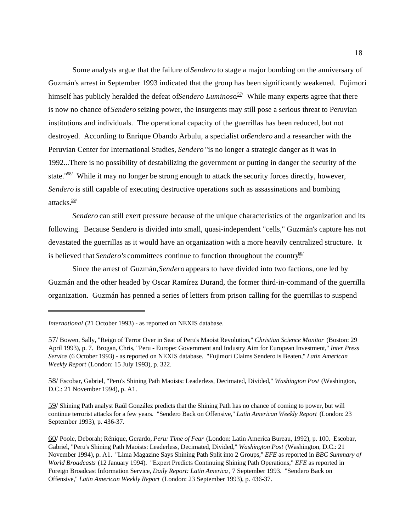Some analysts argue that the failure of *Sendero* to stage a major bombing on the anniversary of Guzmán's arrest in September 1993 indicated that the group has been significantly weakened. Fujimori himself has publicly heralded the defeat of *Sendero Luminoso*<sup>57</sup> While many experts agree that there is now no chance of *Sendero* seizing power, the insurgents may still pose a serious threat to Peruvian institutions and individuals. The operational capacity of the guerrillas has been reduced, but not destroyed. According to Enrique Obando Arbulu, a specialist on *Sendero* and a researcher with the Peruvian Center for International Studies, *Sendero* "is no longer a strategic danger as it was in 1992...There is no possibility of destabilizing the government or putting in danger the security of the state."<sup>58/</sup> While it may no longer be strong enough to attack the security forces directly, however, *Sendero* is still capable of executing destructive operations such as assassinations and bombing attacks. $\frac{59}{3}$ 

*Sendero* can still exert pressure because of the unique characteristics of the organization and its following. Because Sendero is divided into small, quasi-independent "cells," Guzmán's capture has not devastated the guerrillas as it would have an organization with a more heavily centralized structure. It is believed that *Sendero's* committees continue to function throughout the country.<sup>60/</sup>

Since the arrest of Guzmán, *Sendero* appears to have divided into two factions, one led by Guzmán and the other headed by Oscar Ramírez Durand, the former third-in-command of the guerrilla organization. Guzmán has penned a series of letters from prison calling for the guerrillas to suspend

58/ Escobar, Gabriel, "Peru's Shining Path Maoists: Leaderless, Decimated, Divided," *Washington Post* (Washington, D.C.: 21 November 1994), p. A1.

59/ Shining Path analyst Raúl González predicts that the Shining Path has no chance of coming to power, but will continue terrorist attacks for a few years. "Sendero Back on Offensive," *Latin American Weekly Report* (London: 23 September 1993), p. 436-37.

60/ Poole, Deborah; Rénique, Gerardo, *Peru: Time of Fear* (London: Latin America Bureau, 1992), p. 100. Escobar, Gabriel, "Peru's Shining Path Maoists: Leaderless, Decimated, Divided," *Washington Post* (Washington, D.C.: 21 November 1994), p. A1. "Lima Magazine Says Shining Path Split into 2 Groups," *EFE* as reported in *BBC Summary of World Broadcasts* (12 January 1994). "Expert Predicts Continuing Shining Path Operations," *EFE* as reported in Foreign Broadcast Information Service, *Daily Report: Latin America* , 7 September 1993. "Sendero Back on Offensive," *Latin American Weekly Report* (London: 23 September 1993), p. 436-37.

*International* (21 October 1993) - as reported on NEXIS database.

<sup>57/</sup> Bowen, Sally, "Reign of Terror Over in Seat of Peru's Maoist Revolution," *Christian Science Monitor* (Boston: 29 April 1993), p. 7. Brogan, Chris, "Peru - Europe: Government and Industry Aim for European Investment," *Inter Press Service* (6 October 1993) - as reported on NEXIS database. "Fujimori Claims Sendero is Beaten," *Latin American Weekly Report* (London: 15 July 1993), p. 322.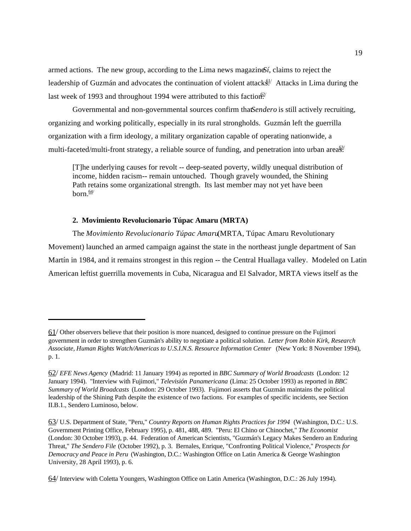armed actions. The new group, according to the Lima news magazine *Sí*, claims to reject the leadership of Guzmán and advocates the continuation of violent attacks. Attacks in Lima during the last week of 1993 and throughout 1994 were attributed to this faction.<sup>62/</sup>

Governmental and non-governmental sources confirm that Sendero is still actively recruiting, organizing and working politically, especially in its rural strongholds. Guzmán left the guerrilla organization with a firm ideology, a military organization capable of operating nationwide, a multi-faceted/multi-front strategy, a reliable source of funding, and penetration into urban area<sup> $63/$ </sup>

[T]he underlying causes for revolt -- deep-seated poverty, wildly unequal distribution of income, hidden racism-- remain untouched. Though gravely wounded, the Shining Path retains some organizational strength. Its last member may not yet have been  $horn \frac{64}{ }$ 

### **2. Movimiento Revolucionario Túpac Amaru (MRTA)**

The *Movimiento Revolucionario Túpac Amaru* (MRTA, Túpac Amaru Revolutionary Movement) launched an armed campaign against the state in the northeast jungle department of San Martín in 1984, and it remains strongest in this region -- the Central Huallaga valley. Modeled on Latin American leftist guerrilla movements in Cuba, Nicaragua and El Salvador, MRTA views itself as the

<sup>61/</sup> Other observers believe that their position is more nuanced, designed to continue pressure on the Fujimori government in order to strengthen Guzmán's ability to negotiate a political solution. *Letter from Robin Kirk, Research Associate, Human Rights Watch/Americas to U.S.I.N.S. Resource Information Center* (New York: 8 November 1994), p. 1.

<sup>62/</sup> *EFE News Agency* (Madrid: 11 January 1994) as reported in *BBC Summary of World Broadcasts* (London: 12 January 1994). "Interview with Fujimori," *Televisión Panamericana* (Lima: 25 October 1993) as reported in *BBC Summary of World Broadcasts* (London: 29 October 1993). Fujimori asserts that Guzmán maintains the political leadership of the Shining Path despite the existence of two factions. For examples of specific incidents, see Section II.B.1., Sendero Luminoso, below.

<sup>63/</sup> U.S. Department of State, "Peru," *Country Reports on Human Rights Practices for 1994* (Washington, D.C.: U.S. Government Printing Office, February 1995), p. 481, 488, 489. "Peru: El Chino or Chinochet," *The Economist* (London: 30 October 1993), p. 44. Federation of American Scientists, "Guzmán's Legacy Makes Sendero an Enduring Threat," *The Sendero File* (October 1992), p. 3. Bernales, Enrique, "Confronting Political Violence," *Prospects for Democracy and Peace in Peru* (Washington, D.C.: Washington Office on Latin America & George Washington University, 28 April 1993), p. 6.

<sup>64/</sup> Interview with Coletta Youngers, Washington Office on Latin America (Washington, D.C.: 26 July 1994).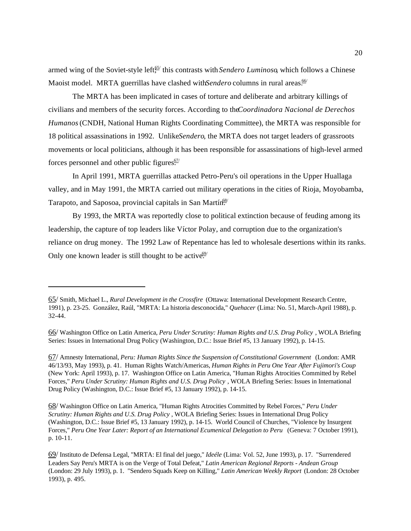armed wing of the Soviet-style left<sup>65</sup> this contrasts with *Sendero Luminoso*, which follows a Chinese Maoist model. MRTA guerrillas have clashed with *Sendero* columns in rural areas.<sup>66/</sup>

The MRTA has been implicated in cases of torture and deliberate and arbitrary killings of civilians and members of the security forces. According to the *Coordinadora Nacional de Derechos Humanos* (CNDH, National Human Rights Coordinating Committee), the MRTA was responsible for 18 political assassinations in 1992. Unlike *Sendero*, the MRTA does not target leaders of grassroots movements or local politicians, although it has been responsible for assassinations of high-level armed forces personnel and other public figures. $\frac{67}{ }$ 

In April 1991, MRTA guerrillas attacked Petro-Peru's oil operations in the Upper Huallaga valley, and in May 1991, the MRTA carried out military operations in the cities of Rioja, Moyobamba, Tarapoto, and Saposoa, provincial capitals in San Martín.<sup>68/</sup>

By 1993, the MRTA was reportedly close to political extinction because of feuding among its leadership, the capture of top leaders like Víctor Polay, and corruption due to the organization's reliance on drug money. The 1992 Law of Repentance has led to wholesale desertions within its ranks. Only one known leader is still thought to be active.<sup>69/</sup>

67/ Amnesty International, *Peru: Human Rights Since the Suspension of Constitutional Government* (London: AMR 46/13/93, May 1993), p. 41. Human Rights Watch/Americas, *Human Rights in Peru One Year After Fujimori's Coup* (New York: April 1993), p. 17. Washington Office on Latin America, "Human Rights Atrocities Committed by Rebel Forces," *Peru Under Scrutiny: Human Rights and U.S. Drug Policy* , WOLA Briefing Series: Issues in International Drug Policy (Washington, D.C.: Issue Brief #5, 13 January 1992), p. 14-15.

68/ Washington Office on Latin America, "Human Rights Atrocities Committed by Rebel Forces," *Peru Under Scrutiny: Human Rights and U.S. Drug Policy* , WOLA Briefing Series: Issues in International Drug Policy (Washington, D.C.: Issue Brief #5, 13 January 1992), p. 14-15. World Council of Churches, "Violence by Insurgent Forces," *Peru One Year Later: Report of an International Ecumenical Delegation to Peru* (Geneva: 7 October 1991), p. 10-11.

<sup>65/</sup> Smith, Michael L., *Rural Development in the Crossfire* (Ottawa: International Development Research Centre, 1991), p. 23-25. González, Raúl, "MRTA: La historia desconocida," *Quehacer* (Lima: No. 51, March-April 1988), p. 32-44.

<sup>66/</sup> Washington Office on Latin America, *Peru Under Scrutiny: Human Rights and U.S. Drug Policy* , WOLA Briefing Series: Issues in International Drug Policy (Washington, D.C.: Issue Brief #5, 13 January 1992), p. 14-15.

<sup>69/</sup> Instituto de Defensa Legal, "MRTA: El final del juego," *Ideéle* (Lima: Vol. 52, June 1993), p. 17. "Surrendered Leaders Say Peru's MRTA is on the Verge of Total Defeat," *Latin American Regional Reports - Andean Group* (London: 29 July 1993), p. 1. "Sendero Squads Keep on Killing," *Latin American Weekly Report* (London: 28 October 1993), p. 495.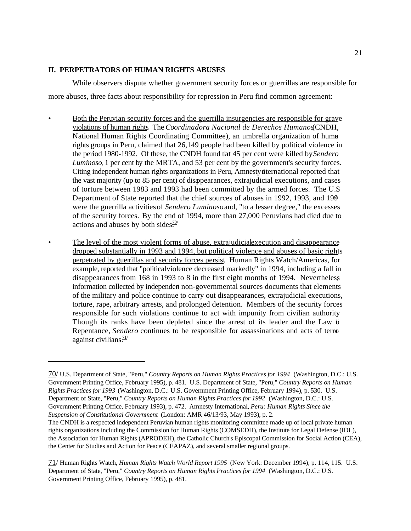# **II. PERPETRATORS OF HUMAN RIGHTS ABUSES**

While observers dispute whether government security forces or guerrillas are responsible for more abuses, three facts about responsibility for repression in Peru find common agreement:

- Both the Peruvian security forces and the guerrilla insurgencies are responsible for grave violations of human rights. The *Coordinadora Nacional de Derechos Humanos* (CNDH, National Human Rights Coordinating Committee), an umbrella organization of human rights groups in Peru, claimed that 26,149 people had been killed by political violence in the period 1980-1992. Of these, the CNDH found that 45 per cent were killed by *Sendero Luminoso*, 1 per cent by the MRTA, and 53 per cent by the government's security forces. Citing independent human rights organizations in Peru, Amnesty International reported that the vast majority (up to 85 per cent) of disappearances, extrajudicial executions, and cases of torture between 1983 and 1993 had been committed by the armed forces. The U.S. Department of State reported that the chief sources of abuses in 1992, 1993, and 1994 were the guerrilla activities of *Sendero Luminoso* and, "to a lesser degree," the excesses of the security forces. By the end of 1994, more than 27,000 Peruvians had died due to actions and abuses by both sides.<sup>70/</sup>
- The level of the most violent forms of abuse, extrajudicial execution and disappearance dropped substantially in 1993 and 1994, but political violence and abuses of basic rights perpetrated by guerrillas and security forces persist. Human Rights Watch/Americas, for example, reported that "political violence decreased markedly" in 1994, including a fall in disappearances from 168 in 1993 to 8 in the first eight months of 1994. Nevertheless, information collected by independent non-governmental sources documents that elements of the military and police continue to carry out disappearances, extrajudicial executions, torture, rape, arbitrary arrests, and prolonged detention. Members of the security forces responsible for such violations continue to act with impunity from civilian authority. Though its ranks have been depleted since the arrest of its leader and the Law  $6$ Repentance, *Sendero* continues to be responsible for assassinations and acts of terror against civilians. $\frac{71}{7}$

<sup>70/</sup> U.S. Department of State, "Peru," *Country Reports on Human Rights Practices for 1994* (Washington, D.C.: U.S. Government Printing Office, February 1995), p. 481. U.S. Department of State, "Peru," *Country Reports on Human Rights Practices for 1993* (Washington, D.C.: U.S. Government Printing Office, February 1994), p. 530. U.S. Department of State, "Peru," *Country Reports on Human Rights Practices for 1992* (Washington, D.C.: U.S. Government Printing Office, February 1993), p. 472. Amnesty International, *Peru: Human Rights Since the Suspension of Constitutional Government* (London: AMR 46/13/93, May 1993), p. 2.

The CNDH is a respected independent Peruvian human rights monitoring committee made up of local private human rights organizations including the Commission for Human Rights (COMSEDH), the Institute for Legal Defense (IDL), the Association for Human Rights (APRODEH), the Catholic Church's Episcopal Commission for Social Action (CEA), the Center for Studies and Action for Peace (CEAPAZ), and several smaller regional groups.

<sup>71/</sup> Human Rights Watch, *Human Rights Watch World Report 1995* (New York: December 1994), p. 114, 115. U.S. Department of State, "Peru," *Country Reports on Human Rights Practices for 1994* (Washington, D.C.: U.S. Government Printing Office, February 1995), p. 481.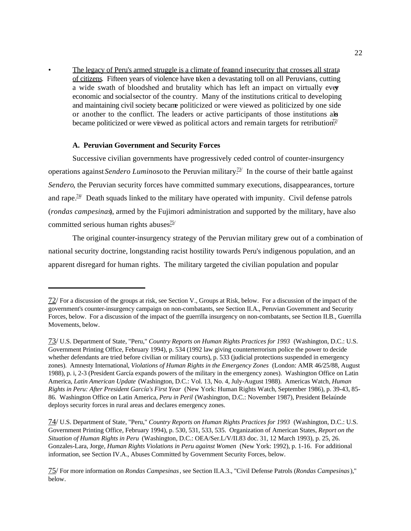The legacy of Peru's armed struggle is a climate of fear and insecurity that crosses all strata of citizens. Fifteen years of violence have taken a devastating toll on all Peruvians, cutting a wide swath of bloodshed and brutality which has left an impact on virtually every economic and social sector of the country. Many of the institutions critical to developing and maintaining civil society became politicized or were viewed as politicized by one side or another to the conflict. The leaders or active participants of those institutions als became politicized or were viewed as political actors and remain targets for retribution.<sup>72/</sup>

#### **A. Peruvian Government and Security Forces**

Successive civilian governments have progressively ceded control of counter-insurgency operations against *Sendero Luminoso* to the Peruvian military.<sup> $73/$ </sup> In the course of their battle against *Sendero*, the Peruvian security forces have committed summary executions, disappearances, torture and rape.<sup> $74$ </sup> Death squads linked to the military have operated with impunity. Civil defense patrols (*rondas campesinas*), armed by the Fujimori administration and supported by the military, have also committed serious human rights abuses $\frac{75}{10}$ 

The original counter-insurgency strategy of the Peruvian military grew out of a combination of national security doctrine, longstanding racist hostility towards Peru's indigenous population, and an apparent disregard for human rights. The military targeted the civilian population and popular

 $72/$  For a discussion of the groups at risk, see Section V., Groups at Risk, below. For a discussion of the impact of the government's counter-insurgency campaign on non-combatants, see Section II.A., Peruvian Government and Security Forces, below. For a discussion of the impact of the guerrilla insurgency on non-combatants, see Section II.B., Guerrilla Movements, below.

<sup>73/</sup> U.S. Department of State, "Peru," *Country Reports on Human Rights Practices for 1993* (Washington, D.C.: U.S. Government Printing Office, February 1994), p. 534 (1992 law giving counterterrorism police the power to decide whether defendants are tried before civilian or military courts), p. 533 (judicial protections suspended in emergency zones). Amnesty International, *Violations of Human Rights in the Emergency Zones* (London: AMR 46/25/88, August 1988), p. i, 2-3 (President García expands powers of the military in the emergency zones). Washington Office on Latin America, *Latin American Update* (Washington, D.C.: Vol. 13, No. 4, July-August 1988). Americas Watch, *Human Rights in Peru: After President García's First Year* (New York: Human Rights Watch, September 1986), p. 39-43, 85- 86. Washington Office on Latin America, *Peru in Peril* (Washington, D.C.: November 1987), President Belaúnde deploys security forces in rural areas and declares emergency zones.

<sup>74/</sup> U.S. Department of State, "Peru," *Country Reports on Human Rights Practices for 1993* (Washington, D.C.: U.S. Government Printing Office, February 1994), p. 530, 531, 533, 535. Organization of American States, *Report on the Situation of Human Rights in Peru* (Washington, D.C.: OEA/Ser.L/V/II.83 doc. 31, 12 March 1993), p. 25, 26. Gonzales-Lara, Jorge, *Human Rights Violations in Peru against Women* (New York: 1992), p. 1-16. For additional information, see Section IV.A., Abuses Committed by Government Security Forces, below.

<sup>75/</sup> For more information on *Rondas Campesinas*, see Section II.A.3., "Civil Defense Patrols (*Rondas Campesinas*)," below.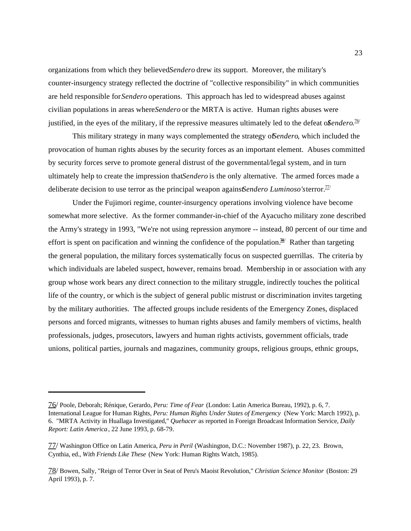organizations from which they believed *Sendero* drew its support. Moreover, the military's counter-insurgency strategy reflected the doctrine of "collective responsibility" in which communities are held responsible for *Sendero* operations. This approach has led to widespread abuses against civilian populations in areas where *Sendero* or the MRTA is active. Human rights abuses were justified, in the eyes of the military, if the repressive measures ultimately led to the defeat of *Sendero*.<sup>76/</sup>

This military strategy in many ways complemented the strategy of *Sendero*, which included the provocation of human rights abuses by the security forces as an important element. Abuses committed by security forces serve to promote general distrust of the governmental/legal system, and in turn ultimately help to create the impression that *Sendero* is the only alternative. The armed forces made a deliberate decision to use terror as the principal weapon agains *Sendero Luminoso's* terror.<sup>77/</sup>

Under the Fujimori regime, counter-insurgency operations involving violence have become somewhat more selective. As the former commander-in-chief of the Ayacucho military zone described the Army's strategy in 1993, "We're not using repression anymore -- instead, 80 percent of our time and effort is spent on pacification and winning the confidence of the population.<sup>78</sup> Rather than targeting the general population, the military forces systematically focus on suspected guerrillas. The criteria by which individuals are labeled suspect, however, remains broad. Membership in or association with any group whose work bears any direct connection to the military struggle, indirectly touches the political life of the country, or which is the subject of general public mistrust or discrimination invites targeting by the military authorities. The affected groups include residents of the Emergency Zones, displaced persons and forced migrants, witnesses to human rights abuses and family members of victims, health professionals, judges, prosecutors, lawyers and human rights activists, government officials, trade unions, political parties, journals and magazines, community groups, religious groups, ethnic groups,

<sup>76/</sup> Poole, Deborah; Rénique, Gerardo, *Peru: Time of Fear* (London: Latin America Bureau, 1992), p. 6, 7. International League for Human Rights, *Peru: Human Rights Under States of Emergency* (New York: March 1992), p. 6. "MRTA Activity in Huallaga Investigated," *Quehacer* as reported in Foreign Broadcast Information Service, *Daily Report: Latin America*, 22 June 1993, p. 68-79.

<sup>77/</sup> Washington Office on Latin America, *Peru in Peril* (Washington, D.C.: November 1987), p. 22, 23. Brown, Cynthia, ed., *With Friends Like These* (New York: Human Rights Watch, 1985).

<sup>78/</sup> Bowen, Sally, "Reign of Terror Over in Seat of Peru's Maoist Revolution," *Christian Science Monitor* (Boston: 29 April 1993), p. 7.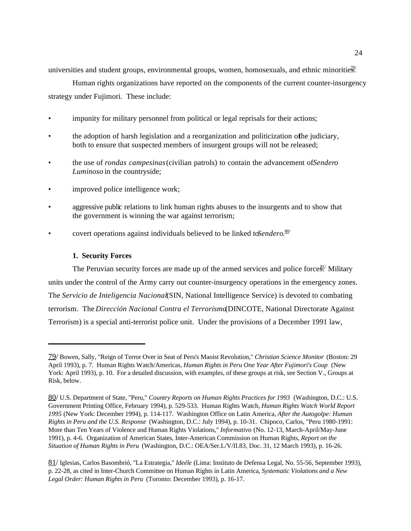universities and student groups, environmental groups, women, homosexuals, and ethnic minorities.

Human rights organizations have reported on the components of the current counter-insurgency strategy under Fujimori. These include:

- impunity for military personnel from political or legal reprisals for their actions;
- the adoption of harsh legislation and a reorganization and politicization of he judiciary, both to ensure that suspected members of insurgent groups will not be released;
- the use of *rondas campesinas* (civilian patrols) to contain the advancement of *Sendero Luminoso* in the countryside;
- improved police intelligence work;
- aggressive public relations to link human rights abuses to the insurgents and to show that the government is winning the war against terrorism;
- covert operations against individuals believed to be linked to *Sendero*.<sup>80/</sup>

# **1. Security Forces**

The Peruvian security forces are made up of the armed services and police forces.<sup>81</sup> Military units under the control of the Army carry out counter-insurgency operations in the emergency zones. The *Servicio de Inteligencia Nacional* (SIN, National Intelligence Service) is devoted to combating terrorism. The *Dirección Nacional Contra el Terrorismo* (DINCOTE, National Directorate Against Terrorism) is a special anti-terrorist police unit. Under the provisions of a December 1991 law,

<sup>79/</sup> Bowen, Sally, "Reign of Terror Over in Seat of Peru's Maoist Revolution," *Christian Science Monitor* (Boston: 29 April 1993), p. 7. Human Rights Watch/Americas, *Human Rights in Peru One Year After Fujimori's Coup* (New York: April 1993), p. 10. For a detailed discussion, with examples, of these groups at risk, see Section V., Groups at Risk, below.

<sup>80/</sup> U.S. Department of State, "Peru," *Country Reports on Human Rights Practices for 1993* (Washington, D.C.: U.S. Government Printing Office, February 1994), p. 529-533. Human Rights Watch, *Human Rights Watch World Report 1995* (New York: December 1994), p. 114-117. Washington Office on Latin America, *After the Autogolpe: Human Rights in Peru and the U.S. Response* (Washington, D.C.: July 1994), p. 10-31. Chipoco, Carlos, "Peru 1980-1991: More than Ten Years of Violence and Human Rights Violations," *Informativo* (No. 12-13, March-April/May-June 1991), p. 4-6. Organization of American States, Inter-American Commission on Human Rights, *Report on the Situation of Human Rights in Peru* (Washington, D.C.: OEA/Ser.L/V/II.83, Doc. 31, 12 March 1993), p. 16-26.

<sup>81/</sup> Iglesias, Carlos Basombrió, "La Estrategia," *Ideéle* (Lima: Instituto de Defensa Legal, No. 55-56, September 1993), p. 22-28, as cited in Inter-Church Committee on Human Rights in Latin America, *Systematic Violations and a New Legal Order: Human Rights in Peru* (Toronto: December 1993), p. 16-17.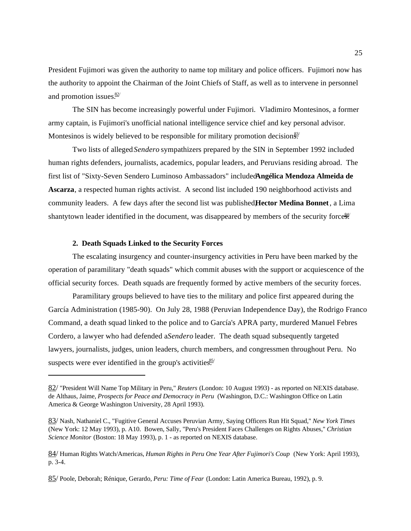President Fujimori was given the authority to name top military and police officers. Fujimori now has the authority to appoint the Chairman of the Joint Chiefs of Staff, as well as to intervene in personnel and promotion issues. $\frac{82}{7}$ 

The SIN has become increasingly powerful under Fujimori. Vladimiro Montesinos, a former army captain, is Fujimori's unofficial national intelligence service chief and key personal advisor. Montesinos is widely believed to be responsible for military promotion decision $\frac{83}{50}$ 

Two lists of alleged *Sendero* sympathizers prepared by the SIN in September 1992 included human rights defenders, journalists, academics, popular leaders, and Peruvians residing abroad. The first list of "Sixty-Seven Sendero Luminoso Ambassadors" included **Angélica Mendoza Almeida de Ascarza**, a respected human rights activist. A second list included 190 neighborhood activists and community leaders. A few days after the second list was published, **Hector Medina Bonnet**, a Lima shantytown leader identified in the document, was disappeared by members of the security forces.

## **2. Death Squads Linked to the Security Forces**

The escalating insurgency and counter-insurgency activities in Peru have been marked by the operation of paramilitary "death squads" which commit abuses with the support or acquiescence of the official security forces. Death squads are frequently formed by active members of the security forces.

Paramilitary groups believed to have ties to the military and police first appeared during the García Administration (1985-90). On July 28, 1988 (Peruvian Independence Day), the Rodrigo Franco Command, a death squad linked to the police and to García's APRA party, murdered Manuel Febres Cordero, a lawyer who had defended a *Sendero* leader. The death squad subsequently targeted lawyers, journalists, judges, union leaders, church members, and congressmen throughout Peru. No suspects were ever identified in the group's activities.<sup>85/</sup>

<sup>82/</sup> "President Will Name Top Military in Peru," *Reuters* (London: 10 August 1993) - as reported on NEXIS database. de Althaus, Jaime, *Prospects for Peace and Democracy in Peru* (Washington, D.C.: Washington Office on Latin America & George Washington University, 28 April 1993).

<sup>83/</sup> Nash, Nathaniel C., "Fugitive General Accuses Peruvian Army, Saying Officers Run Hit Squad," *New York Times* (New York: 12 May 1993), p. A10. Bowen, Sally, "Peru's President Faces Challenges on Rights Abuses," *Christian Science Monitor* (Boston: 18 May 1993), p. 1 - as reported on NEXIS database.

<sup>84/</sup> Human Rights Watch/Americas, *Human Rights in Peru One Year After Fujimori's Coup* (New York: April 1993), p. 3-4.

<sup>85/</sup> Poole, Deborah; Rénique, Gerardo, *Peru: Time of Fear* (London: Latin America Bureau, 1992), p. 9.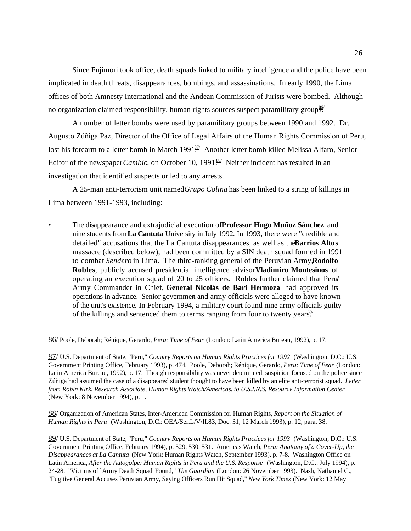Since Fujimori took office, death squads linked to military intelligence and the police have been implicated in death threats, disappearances, bombings, and assassinations. In early 1990, the Lima offices of both Amnesty International and the Andean Commission of Jurists were bombed. Although no organization claimed responsibility, human rights sources suspect paramilitary groups.

A number of letter bombs were used by paramilitary groups between 1990 and 1992. Dr. Augusto Zúñiga Paz, Director of the Office of Legal Affairs of the Human Rights Commission of Peru, lost his forearm to a letter bomb in March 1991<sup>87</sup> Another letter bomb killed Melissa Alfaro, Senior Editor of the newspaper *Cambio*, on October 10, 1991<sup>88</sup> Neither incident has resulted in an investigation that identified suspects or led to any arrests.

A 25-man anti-terrorism unit named *Grupo Colina* has been linked to a string of killings in Lima between 1991-1993, including:

• The disappearance and extrajudicial execution of **Professor Hugo Muñoz Sánchez** and nine students from **La Cantuta** University in July 1992. In 1993, there were "credible and detailed" accusations that the La Cantuta disappearances, as well as the Barrios Altos massacre (described below), had been committed by a SIN death squad formed in 1991 to combat *Sendero* in Lima. The third-ranking general of the Peruvian Army, **Rodolfo Robles**, publicly accused presidential intelligence advisor **Vladimiro Montesinos** of operating an execution squad of 20 to 25 officers. Robles further claimed that Peru' Army Commander in Chief, **General Nicolás de Bari Hermoza** had approved its operations in advance. Senior government and army officials were alleged to have known of the unit's existence. In February 1994, a military court found nine army officials guilty of the killings and sentenced them to terms ranging from four to twenty years.<sup>89/</sup>

88/ Organization of American States, Inter-American Commission for Human Rights, *Report on the Situation of Human Rights in Peru* (Washington, D.C.: OEA/Ser.L/V/II.83, Doc. 31, 12 March 1993), p. 12, para. 38.

89/ U.S. Department of State, "Peru," *Country Reports on Human Rights Practices for 1993* (Washington, D.C.: U.S. Government Printing Office, February 1994), p. 529, 530, 531. Americas Watch, *Peru: Anatomy of a Cover-Up, the Disappearances at La Cantuta* (New York: Human Rights Watch, September 1993), p. 7-8. Washington Office on Latin America, *After the Autogolpe: Human Rights in Peru and the U.S. Response* (Washington, D.C.: July 1994), p. 24-28. "Victims of `Army Death Squad' Found," *The Guardian* (London: 26 November 1993). Nash, Nathaniel C., "Fugitive General Accuses Peruvian Army, Saying Officers Run Hit Squad," *New York Times* (New York: 12 May

<sup>86/</sup> Poole, Deborah; Rénique, Gerardo, *Peru: Time of Fear* (London: Latin America Bureau, 1992), p. 17.

<sup>87/</sup> U.S. Department of State, "Peru," *Country Reports on Human Rights Practices for 1992* (Washington, D.C.: U.S. Government Printing Office, February 1993), p. 474. Poole, Deborah; Rénique, Gerardo, *Peru: Time of Fear* (London: Latin America Bureau, 1992), p. 17. Though responsibility was never determined, suspicion focused on the police since Zúñiga had assumed the case of a disappeared student thought to have been killed by an elite anti-terrorist squad. *Letter from Robin Kirk, Research Associate, Human Rights Watch/Americas, to U.S.I.N.S. Resource Information Center* (New York: 8 November 1994), p. 1.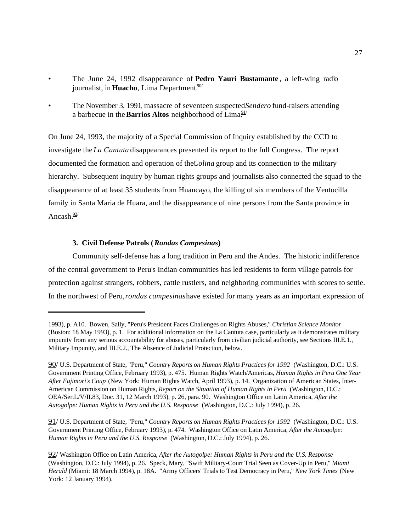- The June 24, 1992 disappearance of **Pedro Yauri Bustamante** , a left-wing radio journalist, in **Huacho**, Lima Department.<sup>90/</sup>
- The November 3, 1991, massacre of seventeen suspected *Sendero* fund-raisers attending a barbecue in the **Barrios Altos** neighborhood of Lima<sup>91/</sup>

On June 24, 1993, the majority of a Special Commission of Inquiry established by the CCD to investigate the *La Cantuta* disappearances presented its report to the full Congress. The report documented the formation and operation of the *Colina* group and its connection to the military hierarchy. Subsequent inquiry by human rights groups and journalists also connected the squad to the disappearance of at least 35 students from Huancayo, the killing of six members of the Ventocilla family in Santa Maria de Huara, and the disappearance of nine persons from the Santa province in Ancash $\frac{92}{4}$ 

# **3. Civil Defense Patrols (***Rondas Campesinas***)**

Community self-defense has a long tradition in Peru and the Andes. The historic indifference of the central government to Peru's Indian communities has led residents to form village patrols for protection against strangers, robbers, cattle rustlers, and neighboring communities with scores to settle. In the northwest of Peru, *rondas campesinas* have existed for many years as an important expression of

91/ U.S. Department of State, "Peru," *Country Reports on Human Rights Practices for 1992* (Washington, D.C.: U.S. Government Printing Office, February 1993), p. 474. Washington Office on Latin America, *After the Autogolpe: Human Rights in Peru and the U.S. Response* (Washington, D.C.: July 1994), p. 26.

<sup>1993),</sup> p. A10. Bowen, Sally, "Peru's President Faces Challenges on Rights Abuses," *Christian Science Monitor* (Boston: 18 May 1993), p. 1. For additional information on the La Cantuta case, particularly as it demonstrates military impunity from any serious accountability for abuses, particularly from civilian judicial authority, see Sections III.E.1., Military Impunity, and III.E.2., The Absence of Judicial Protection, below.

<sup>90/</sup> U.S. Department of State, "Peru," *Country Reports on Human Rights Practices for 1992* (Washington, D.C.: U.S. Government Printing Office, February 1993), p. 475. Human Rights Watch/Americas, *Human Rights in Peru One Year After Fujimori's Coup* (New York: Human Rights Watch, April 1993), p. 14. Organization of American States, Inter-American Commission on Human Rights, *Report on the Situation of Human Rights in Peru* (Washington, D.C.: OEA/Ser.L/V/II.83, Doc. 31, 12 March 1993), p. 26, para. 90. Washington Office on Latin America, *After the Autogolpe: Human Rights in Peru and the U.S. Response* (Washington, D.C.: July 1994), p. 26.

<sup>92/</sup> Washington Office on Latin America, *After the Autogolpe: Human Rights in Peru and the U.S. Response* (Washington, D.C.: July 1994), p. 26. Speck, Mary, "Swift Military-Court Trial Seen as Cover-Up in Peru," *Miami Herald* (Miami: 18 March 1994), p. 18A. "Army Officers' Trials to Test Democracy in Peru," *New York Times* (New York: 12 January 1994).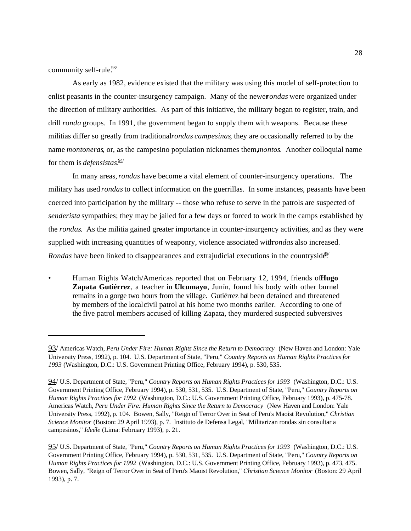community self-rule. $\frac{93}{7}$ 

As early as 1982, evidence existed that the military was using this model of self-protection to enlist peasants in the counter-insurgency campaign. Many of the newerondas were organized under the direction of military authorities. As part of this initiative, the military began to register, train, and drill *ronda* groups. In 1991, the government began to supply them with weapons. Because these militias differ so greatly from traditional *rondas campesinas*, they are occasionally referred to by the name *montoneras*, or, as the campesino population nicknames them, *montos*. Another colloquial name for them is *defensistas*. 94/

In many areas, *rondas* have become a vital element of counter-insurgency operations. The military has used *rondas* to collect information on the guerrillas. In some instances, peasants have been coerced into participation by the military -- those who refuse to serve in the patrols are suspected of *senderista* sympathies; they may be jailed for a few days or forced to work in the camps established by the *rondas*. As the militia gained greater importance in counter-insurgency activities, and as they were supplied with increasing quantities of weaponry, violence associated with *rondas* also increased. *Rondas* have been linked to disappearances and extrajudicial executions in the countryside.<sup>95/</sup>

• Human Rights Watch/Americas reported that on February 12, 1994, friends of **Hugo Zapata Gutiérrez**, a teacher in **Ulcumayo**, Junín, found his body with other burned remains in a gorge two hours from the village. Gutiérrez had been detained and threatened by members of the local civil patrol at his home two months earlier. According to one of the five patrol members accused of killing Zapata, they murdered suspected subversives

<sup>93/</sup> Americas Watch, *Peru Under Fire: Human Rights Since the Return to Democracy* (New Haven and London: Yale University Press, 1992), p. 104. U.S. Department of State, "Peru," *Country Reports on Human Rights Practices for 1993* (Washington, D.C.: U.S. Government Printing Office, February 1994), p. 530, 535.

<sup>94/</sup> U.S. Department of State, "Peru," *Country Reports on Human Rights Practices for 1993* (Washington, D.C.: U.S. Government Printing Office, February 1994), p. 530, 531, 535. U.S. Department of State, "Peru," *Country Reports on Human Rights Practices for 1992* (Washington, D.C.: U.S. Government Printing Office, February 1993), p. 475-78. Americas Watch, *Peru Under Fire: Human Rights Since the Return to Democracy* (New Haven and London: Yale University Press, 1992), p. 104. Bowen, Sally, "Reign of Terror Over in Seat of Peru's Maoist Revolution," *Christian Science Monitor* (Boston: 29 April 1993), p. 7. Instituto de Defensa Legal, "Militarizan rondas sin consultar a campesinos," *Ideéle* (Lima: February 1993), p. 21.

<sup>95/</sup> U.S. Department of State, "Peru," *Country Reports on Human Rights Practices for 1993* (Washington, D.C.: U.S. Government Printing Office, February 1994), p. 530, 531, 535. U.S. Department of State, "Peru," *Country Reports on Human Rights Practices for 1992* (Washington, D.C.: U.S. Government Printing Office, February 1993), p. 473, 475. Bowen, Sally, "Reign of Terror Over in Seat of Peru's Maoist Revolution," *Christian Science Monitor* (Boston: 29 April 1993), p. 7.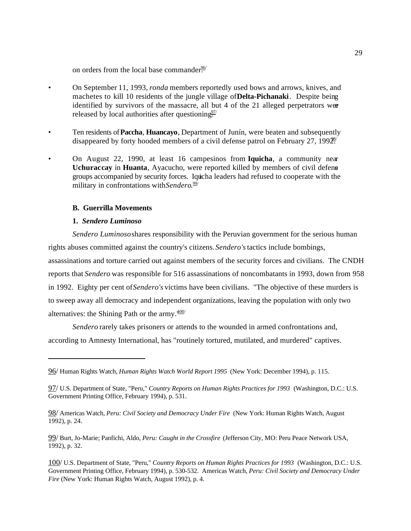on orders from the local base commander<sup>96/</sup>

- On September 11, 1993, *ronda* members reportedly used bows and arrows, knives, and machetes to kill 10 residents of the jungle village of **Delta-Pichanaki**. Despite being identified by survivors of the massacre, all but 4 of the 21 alleged perpetrators were released by local authorities after questioning $\frac{97}{7}$
- Ten residents of **Paccha**, **Huancayo**, Department of Junín, were beaten and subsequently disappeared by forty hooded members of a civil defense patrol on February 27,  $1992$ <sup>89</sup>/
- On August 22, 1990, at least 16 campesinos from **Iquicha**, a community near **Uchuraccay** in **Huanta**, Ayacucho, were reported killed by members of civil defense groups accompanied by security forces. Iquicha leaders had refused to cooperate with the military in confrontations with *Sendero*. 99/

## **B. Guerrilla Movements**

#### **1.** *Sendero Luminoso*

*Sendero Luminoso* shares responsibility with the Peruvian government for the serious human rights abuses committed against the country's citizens. *Sendero's* tactics include bombings, assassinations and torture carried out against members of the security forces and civilians. The CNDH reports that *Sendero* was responsible for 516 assassinations of noncombatants in 1993, down from 958 in 1992. Eighty per cent of *Sendero's* victims have been civilians. "The objective of these murders is to sweep away all democracy and independent organizations, leaving the population with only two alternatives: the Shining Path or the army. $\frac{100}{100}$ 

*Sendero* rarely takes prisoners or attends to the wounded in armed confrontations and, according to Amnesty International, has "routinely tortured, mutilated, and murdered" captives.

<sup>96/</sup> Human Rights Watch, *Human Rights Watch World Report 1995* (New York: December 1994), p. 115.

<sup>97/</sup> U.S. Department of State, "Peru," *Country Reports on Human Rights Practices for 1993* (Washington, D.C.: U.S. Government Printing Office, February 1994), p. 531.

<sup>98/</sup> Americas Watch, *Peru: Civil Society and Democracy Under Fire* (New York: Human Rights Watch, August 1992), p. 24.

<sup>99/</sup> Burt, Jo-Marie; Panfichi, Aldo, *Peru: Caught in the Crossfire* (Jefferson City, MO: Peru Peace Network USA, 1992), p. 32.

<sup>100/</sup> U.S. Department of State, "Peru," *Country Reports on Human Rights Practices for 1993* (Washington, D.C.: U.S. Government Printing Office, February 1994), p. 530-532. Americas Watch, *Peru: Civil Society and Democracy Under Fire* (New York: Human Rights Watch, August 1992), p. 4.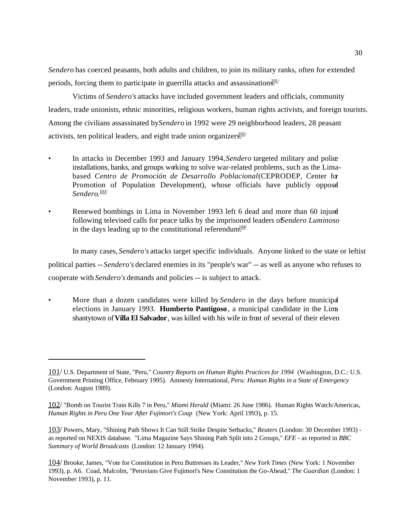*Sendero* has coerced peasants, both adults and children, to join its military ranks, often for extended periods, forcing them to participate in guerrilla attacks and assassination $\frac{101}{101}$ 

Victims of *Sendero's* attacks have included government leaders and officials, community leaders, trade unionists, ethnic minorities, religious workers, human rights activists, and foreign tourists. Among the civilians assassinated by *Sendero* in 1992 were 29 neighborhood leaders, 28 peasant activists, ten political leaders, and eight trade union organizers.<sup>102/</sup>

- In attacks in December 1993 and January 1994, *Sendero* targeted military and police installations, banks, and groups working to solve war-related problems, such as the Limabased *Centro de Promoción de Desarrollo Poblacional* (CEPRODEP, Center for Promotion of Population Development), whose officials have publicly opposed Sendero.<sup>103/</sup>
- Renewed bombings in Lima in November 1993 left 6 dead and more than 60 injure following televised calls for peace talks by the imprisoned leaders of *Sendero Luminoso* in the days leading up to the constitutional referendum<sup>104/</sup>

In many cases, *Sendero's* attacks target specific individuals. Anyone linked to the state or leftist political parties -- *Sendero's* declared enemies in its "people's war" -- as well as anyone who refuses to cooperate with *Sendero's* demands and policies -- is subject to attack.

• More than a dozen candidates were killed by *Sendero* in the days before municipal elections in January 1993. **Humberto Pantigoso**, a municipal candidate in the Lima shantytown of **Villa El Salvador**, was killed with his wife in front of several of their eleven

<sup>101/</sup> U.S. Department of State, "Peru," *Country Reports on Human Rights Practices for 1994* (Washington, D.C.: U.S. Government Printing Office, February 1995). Amnesty International, *Peru: Human Rights in a State of Emergency* (London: August 1989).

<sup>102/</sup> "Bomb on Tourist Train Kills 7 in Peru," *Miami Herald* (Miami: 26 June 1986). Human Rights Watch/Americas, *Human Rights in Peru One Year After Fujimori's Coup* (New York: April 1993), p. 15.

<sup>103/</sup> Powers, Mary, "Shining Path Shows It Can Still Strike Despite Setbacks," *Reuters* (London: 30 December 1993) as reported on NEXIS database. "Lima Magazine Says Shining Path Split into 2 Groups," *EFE* - as reported in *BBC Summary of World Broadcasts* (London: 12 January 1994).

<sup>104/</sup> Brooke, James, "Vote for Constitution in Peru Buttresses its Leader," *New York Times* (New York: 1 November 1993), p. A6. Coad, Malcolm, "Peruvians Give Fujimori's New Constitution the Go-Ahead," *The Guardian* (London: 1 November 1993), p. 11.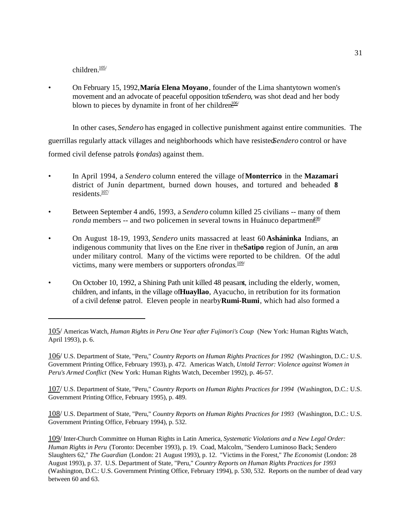children. $\frac{105}{ }$ 

• On February 15, 1992, **María Elena Moyano**, founder of the Lima shantytown women's movement and an advocate of peaceful opposition to *Sendero*, was shot dead and her body blown to pieces by dynamite in front of her children<sup>106/</sup>

In other cases, *Sendero* has engaged in collective punishment against entire communities. The guerrillas regularly attack villages and neighborhoods which have resisted *Sendero* control or have formed civil defense patrols (*rondas*) against them.

- In April 1994, a *Sendero* column entered the village of **Monterrico** in the **Mazamari** district of Junín department, burned down houses, and tortured and beheaded \$ residents.<sup>107/</sup>
- Between September 4 and 6, 1993, a *Sendero* column killed 25 civilians -- many of them *ronda* members -- and two policemen in several towns in Huánuco department<sup>os/</sup>
- On August 18-19, 1993, *Sendero* units massacred at least 60 **Asháninka** Indians, an indigenous community that lives on the Ene river in the **Satipo** region of Junín, an area under military control. Many of the victims were reported to be children. Of the adul victims, many were members or supporters of *rondas*.<sup>109/</sup>
- On October 10, 1992, a Shining Path unit killed 48 peasant, including the elderly, women, children, and infants, in the village of **Huayllao**, Ayacucho, in retribution for its formation of a civil defense patrol. Eleven people in nearby **Rumi-Rumi**, which had also formed a

106/ U.S. Department of State, "Peru," *Country Reports on Human Rights Practices for 1992* (Washington, D.C.: U.S. Government Printing Office, February 1993), p. 472. Americas Watch, *Untold Terror: Violence against Women in Peru's Armed Conflict* (New York: Human Rights Watch, December 1992), p. 46-57.

107/ U.S. Department of State, "Peru," *Country Reports on Human Rights Practices for 1994* (Washington, D.C.: U.S. Government Printing Office, February 1995), p. 489.

108/ U.S. Department of State, "Peru," *Country Reports on Human Rights Practices for 1993* (Washington, D.C.: U.S. Government Printing Office, February 1994), p. 532.

109/ Inter-Church Committee on Human Rights in Latin America, *Systematic Violations and a New Legal Order: Human Rights in Peru* (Toronto: December 1993), p. 19. Coad, Malcolm, "Sendero Luminoso Back; Sendero Slaughters 62," *The Guardian* (London: 21 August 1993), p. 12. "Victims in the Forest," *The Economist* (London: 28 August 1993), p. 37. U.S. Department of State, "Peru," *Country Reports on Human Rights Practices for 1993* (Washington, D.C.: U.S. Government Printing Office, February 1994), p. 530, 532. Reports on the number of dead vary between 60 and 63.

<sup>105/</sup> Americas Watch, *Human Rights in Peru One Year after Fujimori's Coup* (New York: Human Rights Watch, April 1993), p. 6.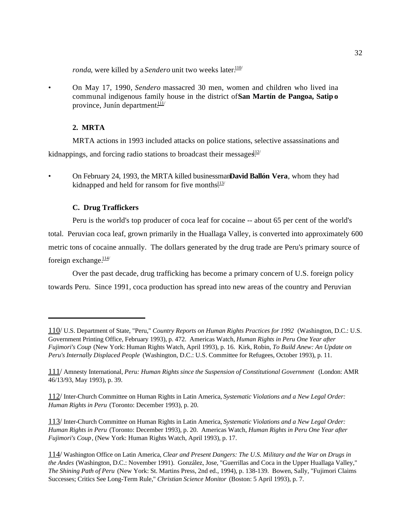*ronda*, were killed by a *Sendero* unit two weeks later.<sup>110/</sup>

• On May 17, 1990, *Sendero* massacred 30 men, women and children who lived in a communal indigenous family house in the district of **San Martín de Pangoa, Satip o** province, Junín department $\frac{111}{11}$ 

### **2. MRTA**

MRTA actions in 1993 included attacks on police stations, selective assassinations and kidnappings, and forcing radio stations to broadcast their messages.<sup>112/</sup>

## **C. Drug Traffickers**

Peru is the world's top producer of coca leaf for cocaine -- about 65 per cent of the world's total. Peruvian coca leaf, grown primarily in the Huallaga Valley, is converted into approximately 600 metric tons of cocaine annually. The dollars generated by the drug trade are Peru's primary source of foreign exchange. $\frac{114}{11}$ 

Over the past decade, drug trafficking has become a primary concern of U.S. foreign policy towards Peru. Since 1991, coca production has spread into new areas of the country and Peruvian

113/ Inter-Church Committee on Human Rights in Latin America, *Systematic Violations and a New Legal Order: Human Rights in Peru* (Toronto: December 1993), p. 20. Americas Watch, *Human Rights in Peru One Year after Fujimori's Coup*, (New York: Human Rights Watch, April 1993), p. 17.

<sup>•</sup> On February 24, 1993, the MRTA killed businessman **David Ballón Vera**, whom they had kidnapped and held for ransom for five months $\frac{113}{11}$ 

<sup>110/</sup> U.S. Department of State, "Peru," *Country Reports on Human Rights Practices for 1992* (Washington, D.C.: U.S. Government Printing Office, February 1993), p. 472. Americas Watch, *Human Rights in Peru One Year after Fujimori's Coup* (New York: Human Rights Watch, April 1993), p. 16. Kirk, Robin, *To Build Anew: An Update on Peru's Internally Displaced People* (Washington, D.C.: U.S. Committee for Refugees, October 1993), p. 11.

<sup>111/</sup> Amnesty International, *Peru: Human Rights since the Suspension of Constitutional Government* (London: AMR 46/13/93, May 1993), p. 39.

<sup>112/</sup> Inter-Church Committee on Human Rights in Latin America, *Systematic Violations and a New Legal Order: Human Rights in Peru* (Toronto: December 1993), p. 20.

<sup>114/</sup> Washington Office on Latin America, *Clear and Present Dangers: The U.S. Military and the War on Drugs in the Andes* (Washington, D.C.: November 1991). González, Jose, "Guerrillas and Coca in the Upper Huallaga Valley," *The Shining Path of Peru* (New York: St. Martins Press, 2nd ed., 1994), p. 138-139. Bowen, Sally, "Fujimori Claims Successes; Critics See Long-Term Rule," *Christian Science Monitor* (Boston: 5 April 1993), p. 7.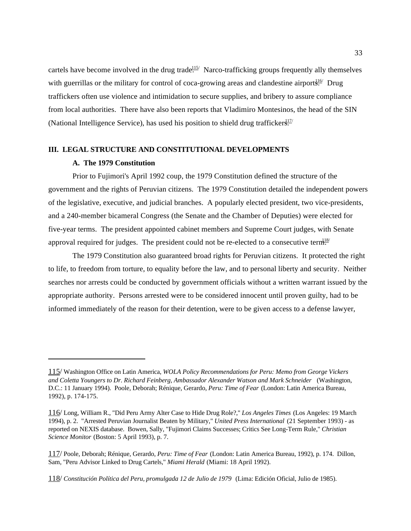cartels have become involved in the drug trade.<sup> $115/$ </sup> Narco-trafficking groups frequently ally themselves with guerrillas or the military for control of coca-growing areas and clandestine airports<sup>16/</sup> Drug traffickers often use violence and intimidation to secure supplies, and bribery to assure compliance from local authorities. There have also been reports that Vladimiro Montesinos, the head of the SIN (National Intelligence Service), has used his position to shield drug trafficker $\frac{117}{2}$ 

# **III. LEGAL STRUCTURE AND CONSTITUTIONAL DEVELOPMENTS**

## **A. The 1979 Constitution**

Prior to Fujimori's April 1992 coup, the 1979 Constitution defined the structure of the government and the rights of Peruvian citizens. The 1979 Constitution detailed the independent powers of the legislative, executive, and judicial branches. A popularly elected president, two vice-presidents, and a 240-member bicameral Congress (the Senate and the Chamber of Deputies) were elected for five-year terms. The president appointed cabinet members and Supreme Court judges, with Senate approval required for judges. The president could not be re-elected to a consecutive term.

The 1979 Constitution also guaranteed broad rights for Peruvian citizens. It protected the right to life, to freedom from torture, to equality before the law, and to personal liberty and security. Neither searches nor arrests could be conducted by government officials without a written warrant issued by the appropriate authority. Persons arrested were to be considered innocent until proven guilty, had to be informed immediately of the reason for their detention, were to be given access to a defense lawyer,

<sup>115/</sup> Washington Office on Latin America, *WOLA Policy Recommendations for Peru: Memo from George Vickers and Coletta Youngers to Dr. Richard Feinberg, Ambassador Alexander Watson and Mark Schneider* (Washington, D.C.: 11 January 1994). Poole, Deborah; Rénique, Gerardo, *Peru: Time of Fear* (London: Latin America Bureau, 1992), p. 174-175.

<sup>116/</sup> Long, William R., "Did Peru Army Alter Case to Hide Drug Role?," *Los Angeles Times* (Los Angeles: 19 March 1994), p. 2. "Arrested Peruvian Journalist Beaten by Military," *United Press International* (21 September 1993) - as reported on NEXIS database. Bowen, Sally, "Fujimori Claims Successes; Critics See Long-Term Rule," *Christian Science Monitor* (Boston: 5 April 1993), p. 7.

<sup>117/</sup> Poole, Deborah; Rénique, Gerardo, *Peru: Time of Fear* (London: Latin America Bureau, 1992), p. 174. Dillon, Sam, "Peru Advisor Linked to Drug Cartels," *Miami Herald* (Miami: 18 April 1992).

<sup>118/</sup> *Constitución Política del Peru, promulgada 12 de Julio de 1979* (Lima: Edición Oficial, Julio de 1985).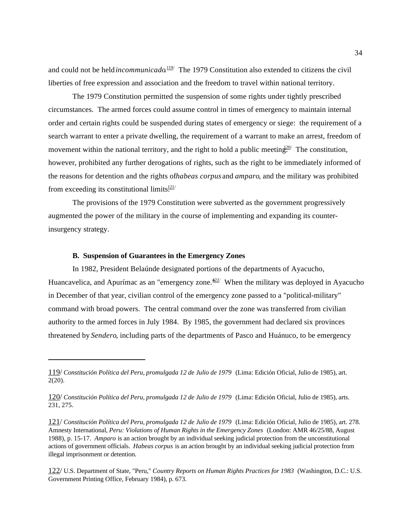and could not be held *incommunicado*.<sup>119</sup> The 1979 Constitution also extended to citizens the civil liberties of free expression and association and the freedom to travel within national territory.

The 1979 Constitution permitted the suspension of some rights under tightly prescribed circumstances. The armed forces could assume control in times of emergency to maintain internal order and certain rights could be suspended during states of emergency or siege: the requirement of a search warrant to enter a private dwelling, the requirement of a warrant to make an arrest, freedom of movement within the national territory, and the right to hold a public meeting.<sup>20/</sup> The constitution, however, prohibited any further derogations of rights, such as the right to be immediately informed of the reasons for detention and the rights of *habeas corpus* and *amparo*, and the military was prohibited from exceeding its constitutional limits $\frac{121}{1}$ 

The provisions of the 1979 Constitution were subverted as the government progressively augmented the power of the military in the course of implementing and expanding its counterinsurgency strategy.

## **B. Suspension of Guarantees in the Emergency Zones**

In 1982, President Belaúnde designated portions of the departments of Ayacucho, Huancavelica, and Apurímac as an "emergency zone. $\frac{\omega_2}{2}$ " When the military was deployed in Ayacucho in December of that year, civilian control of the emergency zone passed to a "political-military" command with broad powers. The central command over the zone was transferred from civilian authority to the armed forces in July 1984. By 1985, the government had declared six provinces threatened by *Sendero*, including parts of the departments of Pasco and Huánuco, to be emergency

122/ U.S. Department of State, "Peru," *Country Reports on Human Rights Practices for 1983* (Washington, D.C.: U.S. Government Printing Office, February 1984), p. 673.

<sup>119/</sup> *Constitución Política del Peru, promulgada 12 de Julio de 1979* (Lima: Edición Oficial, Julio de 1985), art. 2(20).

<sup>120/</sup> *Constitución Política del Peru, promulgada 12 de Julio de 1979* (Lima: Edición Oficial, Julio de 1985), arts. 231, 275.

<sup>121/</sup> *Constitución Política del Peru, promulgada 12 de Julio de 1979* (Lima: Edición Oficial, Julio de 1985), art. 278. Amnesty International, *Peru: Violations of Human Rights in the Emergency Zones* (London: AMR 46/25/88, August 1988), p. 15-17. *Amparo* is an action brought by an individual seeking judicial protection from the unconstitutional actions of government officials. *Habeas corpus* is an action brought by an individual seeking judicial protection from illegal imprisonment or detention.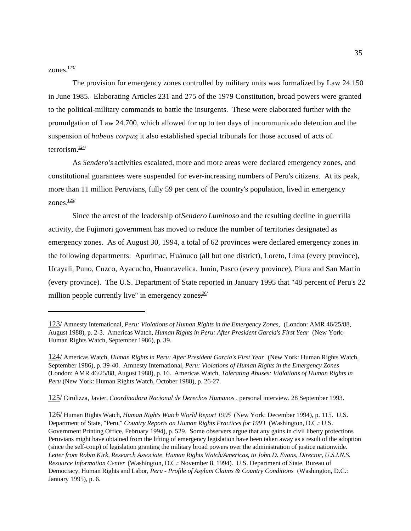zones.<sup>123/</sup>

The provision for emergency zones controlled by military units was formalized by Law 24.150 in June 1985. Elaborating Articles 231 and 275 of the 1979 Constitution, broad powers were granted to the political-military commands to battle the insurgents. These were elaborated further with the promulgation of Law 24.700, which allowed for up to ten days of incommunicado detention and the suspension of *habeas corpus*; it also established special tribunals for those accused of acts of terrorism $\frac{124}{ }$ 

As *Sendero's* activities escalated, more and more areas were declared emergency zones, and constitutional guarantees were suspended for ever-increasing numbers of Peru's citizens. At its peak, more than 11 million Peruvians, fully 59 per cent of the country's population, lived in emergency zones. $\frac{125}{ }$ 

Since the arrest of the leadership of *Sendero Luminoso* and the resulting decline in guerrilla activity, the Fujimori government has moved to reduce the number of territories designated as emergency zones. As of August 30, 1994, a total of 62 provinces were declared emergency zones in the following departments: Apurímac, Huánuco (all but one district), Loreto, Lima (every province), Ucayali, Puno, Cuzco, Ayacucho, Huancavelica, Junín, Pasco (every province), Piura and San Martín (every province). The U.S. Department of State reported in January 1995 that "48 percent of Peru's 22 million people currently live" in emergency zones $\frac{126}{1}$ 

125/ Cirulizza, Javier, *Coordinadora Nacional de Derechos Humanos* , personal interview, 28 September 1993.

126/ Human Rights Watch, *Human Rights Watch World Report 1995* (New York: December 1994), p. 115. U.S. Department of State, "Peru," *Country Reports on Human Rights Practices for 1993* (Washington, D.C.: U.S. Government Printing Office, February 1994), p. 529. Some observers argue that any gains in civil liberty protections Peruvians might have obtained from the lifting of emergency legislation have been taken away as a result of the adoption (since the self-coup) of legislation granting the military broad powers over the administration of justice nationwide. *Letter from Robin Kirk, Research Associate, Human Rights Watch/Americas, to John D. Evans, Director, U.S.I.N.S. Resource Information Center* (Washington, D.C.: November 8, 1994). U.S. Department of State, Bureau of Democracy, Human Rights and Labor, *Peru - Profile of Asylum Claims & Country Conditions* (Washington, D.C.: January 1995), p. 6.

<sup>123/</sup> Amnesty International, *Peru: Violations of Human Rights in the Emergency Zones,* (London: AMR 46/25/88, August 1988), p. 2-3. Americas Watch, *Human Rights in Peru: After President García's First Year* (New York: Human Rights Watch, September 1986), p. 39.

<sup>124/</sup> Americas Watch, *Human Rights in Peru: After President García's First Year* (New York: Human Rights Watch, September 1986), p. 39-40. Amnesty International, *Peru: Violations of Human Rights in the Emergency Zones* (London: AMR 46/25/88, August 1988), p. 16. Americas Watch, *Tolerating Abuses: Violations of Human Rights in Peru* (New York: Human Rights Watch, October 1988), p. 26-27.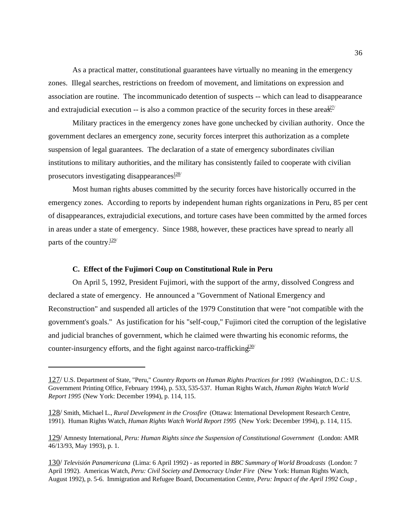As a practical matter, constitutional guarantees have virtually no meaning in the emergency zones. Illegal searches, restrictions on freedom of movement, and limitations on expression and association are routine. The incommunicado detention of suspects -- which can lead to disappearance and extrajudicial execution  $-$  is also a common practice of the security forces in these area $\frac{127}{5}$ 

Military practices in the emergency zones have gone unchecked by civilian authority. Once the government declares an emergency zone, security forces interpret this authorization as a complete suspension of legal guarantees. The declaration of a state of emergency subordinates civilian institutions to military authorities, and the military has consistently failed to cooperate with civilian prosecutors investigating disappearances. $\frac{128}{128}$ 

Most human rights abuses committed by the security forces have historically occurred in the emergency zones. According to reports by independent human rights organizations in Peru, 85 per cent of disappearances, extrajudicial executions, and torture cases have been committed by the armed forces in areas under a state of emergency. Since 1988, however, these practices have spread to nearly all parts of the country. $\frac{129}{129}$ 

## **C. Effect of the Fujimori Coup on Constitutional Rule in Peru**

On April 5, 1992, President Fujimori, with the support of the army, dissolved Congress and declared a state of emergency. He announced a "Government of National Emergency and Reconstruction" and suspended all articles of the 1979 Constitution that were "not compatible with the government's goals." As justification for his "self-coup," Fujimori cited the corruption of the legislative and judicial branches of government, which he claimed were thwarting his economic reforms, the counter-insurgency efforts, and the fight against narco-trafficking.<sup>130</sup>

<sup>127/</sup> U.S. Department of State, "Peru," *Country Reports on Human Rights Practices for 1993* (Washington, D.C.: U.S. Government Printing Office, February 1994), p. 533, 535-537. Human Rights Watch, *Human Rights Watch World Report 1995* (New York: December 1994), p. 114, 115.

<sup>128/</sup> Smith, Michael L., *Rural Development in the Crossfire* (Ottawa: International Development Research Centre, 1991). Human Rights Watch, *Human Rights Watch World Report 1995* (New York: December 1994), p. 114, 115.

<sup>129/</sup> Amnesty International, *Peru: Human Rights since the Suspension of Constitutional Government* (London: AMR 46/13/93, May 1993), p. 1.

<sup>130/</sup> *Televisión Panamericana* (Lima: 6 April 1992) - as reported in *BBC Summary of World Broadcasts* (London: 7 April 1992). Americas Watch, *Peru: Civil Society and Democracy Under Fire* (New York: Human Rights Watch, August 1992), p. 5-6. Immigration and Refugee Board, Documentation Centre, *Peru: Impact of the April 1992 Coup* ,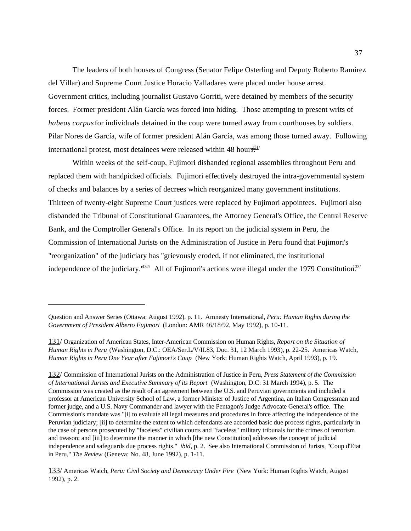The leaders of both houses of Congress (Senator Felipe Osterling and Deputy Roberto Ramírez del Villar) and Supreme Court Justice Horacio Valladares were placed under house arrest. Government critics, including journalist Gustavo Gorriti, were detained by members of the security forces. Former president Alán García was forced into hiding. Those attempting to present writs of *habeas corpus* for individuals detained in the coup were turned away from courthouses by soldiers. Pilar Nores de García, wife of former president Alán García, was among those turned away. Following international protest, most detainees were released within 48 hours.<sup>331/</sup>

Within weeks of the self-coup, Fujimori disbanded regional assemblies throughout Peru and replaced them with handpicked officials. Fujimori effectively destroyed the intra-governmental system of checks and balances by a series of decrees which reorganized many government institutions. Thirteen of twenty-eight Supreme Court justices were replaced by Fujimori appointees. Fujimori also disbanded the Tribunal of Constitutional Guarantees, the Attorney General's Office, the Central Reserve Bank, and the Comptroller General's Office. In its report on the judicial system in Peru, the Commission of International Jurists on the Administration of Justice in Peru found that Fujimori's "reorganization" of the judiciary has "grievously eroded, if not eliminated, the institutional independence of the judiciary.<sup> $132/$ </sup> All of Fujimori's actions were illegal under the 1979 Constitution<sup>133/</sup>

Question and Answer Series (Ottawa: August 1992), p. 11. Amnesty International, *Peru: Human Rights during the Government of President Alberto Fujimori* (London: AMR 46/18/92, May 1992), p. 10-11.

<sup>131/</sup> Organization of American States, Inter-American Commission on Human Rights, *Report on the Situation of Human Rights in Peru* (Washington, D.C.: OEA/Ser.L/V/II.83, Doc. 31, 12 March 1993), p. 22-25. Americas Watch, *Human Rights in Peru One Year after Fujimori's Coup* (New York: Human Rights Watch, April 1993), p. 19.

<sup>132/</sup> Commission of International Jurists on the Administration of Justice in Peru, *Press Statement of the Commission of International Jurists and Executive Summary of its Report* (Washington, D.C: 31 March 1994), p. 5. The Commission was created as the result of an agreement between the U.S. and Peruvian governments and included a professor at American University School of Law, a former Minister of Justice of Argentina, an Italian Congressman and former judge, and a U.S. Navy Commander and lawyer with the Pentagon's Judge Advocate General's office. The Commission's mandate was "[i] to evaluate all legal measures and procedures in force affecting the independence of the Peruvian judiciary; [ii] to determine the extent to which defendants are accorded basic due process rights, particularly in the case of persons prosecuted by "faceless" civilian courts and "faceless" military tribunals for the crimes of terrorism and treason; and [iii] to determine the manner in which [the new Constitution] addresses the concept of judicial independence and safeguards due process rights." *ibid*, p. 2. See also International Commission of Jurists, "Coup d'Etat in Peru," *The Review* (Geneva: No. 48, June 1992), p. 1-11.

<sup>133/</sup> Americas Watch, *Peru: Civil Society and Democracy Under Fire* (New York: Human Rights Watch, August 1992), p. 2.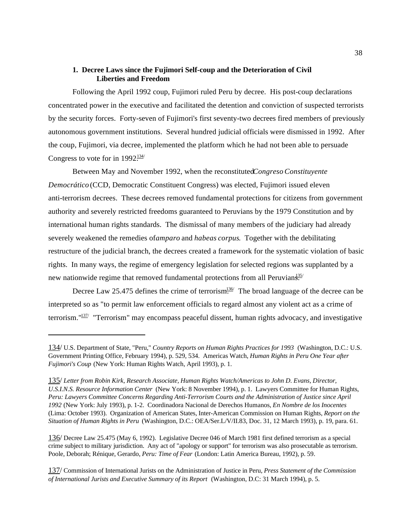# **1. Decree Laws since the Fujimori Self-coup and the Deterioration of Civil Liberties and Freedom**

Following the April 1992 coup, Fujimori ruled Peru by decree. His post-coup declarations concentrated power in the executive and facilitated the detention and conviction of suspected terrorists by the security forces. Forty-seven of Fujimori's first seventy-two decrees fired members of previously autonomous government institutions. Several hundred judicial officials were dismissed in 1992. After the coup, Fujimori, via decree, implemented the platform which he had not been able to persuade Congress to vote for in  $1992\frac{134}{12}$ 

Between May and November 1992, when the reconstituted *Congreso Constituyente Democrático* (CCD, Democratic Constituent Congress) was elected, Fujimori issued eleven anti-terrorism decrees. These decrees removed fundamental protections for citizens from government authority and severely restricted freedoms guaranteed to Peruvians by the 1979 Constitution and by international human rights standards. The dismissal of many members of the judiciary had already severely weakened the remedies of *amparo* and *habeas corpus*. Together with the debilitating restructure of the judicial branch, the decrees created a framework for the systematic violation of basic rights. In many ways, the regime of emergency legislation for selected regions was supplanted by a new nationwide regime that removed fundamental protections from all Peruvians.<sup>35/</sup>

Decree Law 25.475 defines the crime of terrorism.<sup>136/</sup> The broad language of the decree can be interpreted so as "to permit law enforcement officials to regard almost any violent act as a crime of terrorism." $137/$  "Terrorism" may encompass peaceful dissent, human rights advocacy, and investigative

<sup>134/</sup> U.S. Department of State, "Peru," *Country Reports on Human Rights Practices for 1993* (Washington, D.C.: U.S. Government Printing Office, February 1994), p. 529, 534. Americas Watch, *Human Rights in Peru One Year after Fujimori's Coup* (New York: Human Rights Watch, April 1993), p. 1.

<sup>135/</sup> *Letter from Robin Kirk, Research Associate, Human Rights Watch/Americas to John D. Evans, Director, U.S.I.N.S. Resource Information Center* (New York: 8 November 1994), p. 1. Lawyers Committee for Human Rights, *Peru: Lawyers Committee Concerns Regarding Anti-Terrorism Courts and the Administration of Justice since April 1992* (New York: July 1993), p. 1-2. Coordinadora Nacional de Derechos Humanos, *En Nombre de los Inocentes* (Lima: October 1993). Organization of American States, Inter-American Commission on Human Rights, *Report on the Situation of Human Rights in Peru* (Washington, D.C.: OEA/Ser.L/V/II.83, Doc. 31, 12 March 1993), p. 19, para. 61.

<sup>136/</sup> Decree Law 25.475 (May 6, 1992). Legislative Decree 046 of March 1981 first defined terrorism as a special crime subject to military jurisdiction. Any act of "apology or support" for terrorism was also prosecutable as terrorism. Poole, Deborah; Rénique, Gerardo, *Peru: Time of Fear* (London: Latin America Bureau, 1992), p. 59.

<sup>137/</sup> Commission of International Jurists on the Administration of Justice in Peru, *Press Statement of the Commission of International Jurists and Executive Summary of its Report* (Washington, D.C: 31 March 1994), p. 5.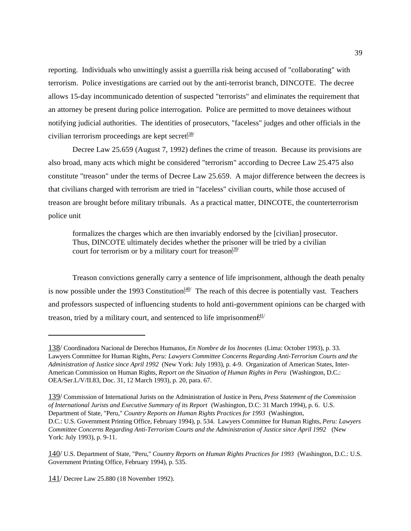reporting. Individuals who unwittingly assist a guerrilla risk being accused of "collaborating" with terrorism. Police investigations are carried out by the anti-terrorist branch, DINCOTE. The decree allows 15-day incommunicado detention of suspected "terrorists" and eliminates the requirement that an attorney be present during police interrogation. Police are permitted to move detainees without notifying judicial authorities. The identities of prosecutors, "faceless" judges and other officials in the civilian terrorism proceedings are kept secret.<sup>138/</sup>

Decree Law 25.659 (August 7, 1992) defines the crime of treason. Because its provisions are also broad, many acts which might be considered "terrorism" according to Decree Law 25.475 also constitute "treason" under the terms of Decree Law 25.659. A major difference between the decrees is that civilians charged with terrorism are tried in "faceless" civilian courts, while those accused of treason are brought before military tribunals. As a practical matter, DINCOTE, the counterterrorism police unit

formalizes the charges which are then invariably endorsed by the [civilian] prosecutor. Thus, DINCOTE ultimately decides whether the prisoner will be tried by a civilian court for terrorism or by a military court for treason.<sup>139/</sup>

Treason convictions generally carry a sentence of life imprisonment, although the death penalty is now possible under the 1993 Constitution.<sup>140</sup> The reach of this decree is potentially vast. Teachers and professors suspected of influencing students to hold anti-government opinions can be charged with treason, tried by a military court, and sentenced to life imprisonment.<sup>41/</sup>

<sup>138/</sup> Coordinadora Nacional de Derechos Humanos, *En Nombre de los Inocentes* (Lima: October 1993), p. 33. Lawyers Committee for Human Rights, *Peru: Lawyers Committee Concerns Regarding Anti-Terrorism Courts and the Administration of Justice since April 1992* (New York: July 1993), p. 4-9. Organization of American States, Inter-American Commission on Human Rights, *Report on the Situation of Human Rights in Peru* (Washington, D.C.: OEA/Ser.L/V/II.83, Doc. 31, 12 March 1993), p. 20, para. 67.

<sup>139/</sup> Commission of International Jurists on the Administration of Justice in Peru, *Press Statement of the Commission of International Jurists and Executive Summary of its Report* (Washington, D.C: 31 March 1994), p. 6. U.S. Department of State, "Peru," *Country Reports on Human Rights Practices for 1993* (Washington, D.C.: U.S. Government Printing Office, February 1994), p. 534. Lawyers Committee for Human Rights, *Peru: Lawyers Committee Concerns Regarding Anti-Terrorism Courts and the Administration of Justice since April 1992* (New York: July 1993), p. 9-11.

<sup>140/</sup> U.S. Department of State, "Peru," *Country Reports on Human Rights Practices for 1993* (Washington, D.C.: U.S. Government Printing Office, February 1994), p. 535.

<sup>141/</sup> Decree Law 25.880 (18 November 1992).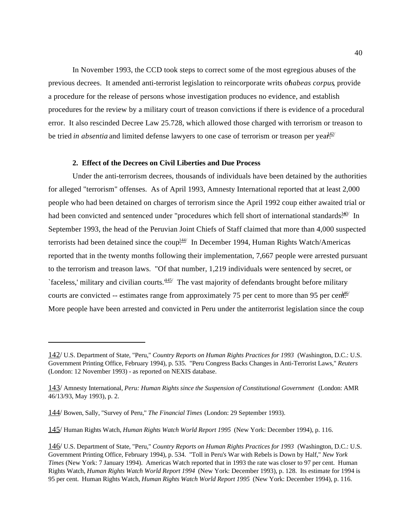In November 1993, the CCD took steps to correct some of the most egregious abuses of the previous decrees. It amended anti-terrorist legislation to reincorporate writs of *habeas corpus*, provide a procedure for the release of persons whose investigation produces no evidence, and establish procedures for the review by a military court of treason convictions if there is evidence of a procedural error. It also rescinded Decree Law 25.728, which allowed those charged with terrorism or treason to be tried *in absentia* and limited defense lawyers to one case of terrorism or treason per year.<sup>42/</sup>

## **2. Effect of the Decrees on Civil Liberties and Due Process**

Under the anti-terrorism decrees, thousands of individuals have been detained by the authorities for alleged "terrorism" offenses. As of April 1993, Amnesty International reported that at least 2,000 people who had been detained on charges of terrorism since the April 1992 coup either awaited trial or had been convicted and sentenced under "procedures which fell short of international standards.<sup>143/</sup> In September 1993, the head of the Peruvian Joint Chiefs of Staff claimed that more than 4,000 suspected terrorists had been detained since the coup<sup>144/</sup> In December 1994, Human Rights Watch/Americas reported that in the twenty months following their implementation, 7,667 people were arrested pursuant to the terrorism and treason laws. "Of that number, 1,219 individuals were sentenced by secret, or `faceless,' military and civilian courts. $145/2$  The vast majority of defendants brought before military courts are convicted -- estimates range from approximately 75 per cent to more than 95 per cent. More people have been arrested and convicted in Peru under the antiterrorist legislation since the coup

<sup>142/</sup> U.S. Department of State, "Peru," *Country Reports on Human Rights Practices for 1993* (Washington, D.C.: U.S. Government Printing Office, February 1994), p. 535. "Peru Congress Backs Changes in Anti-Terrorist Laws," *Reuters* (London: 12 November 1993) - as reported on NEXIS database.

<sup>143/</sup> Amnesty International, *Peru: Human Rights since the Suspension of Constitutional Government* (London: AMR 46/13/93, May 1993), p. 2.

<sup>144/</sup> Bowen, Sally, "Survey of Peru," *The Financial Times* (London: 29 September 1993).

<sup>145/</sup> Human Rights Watch, *Human Rights Watch World Report 1995* (New York: December 1994), p. 116.

<sup>146/</sup> U.S. Department of State, "Peru," *Country Reports on Human Rights Practices for 1993* (Washington, D.C.: U.S. Government Printing Office, February 1994), p. 534. "Toll in Peru's War with Rebels is Down by Half," *New York Times* (New York: 7 January 1994). Americas Watch reported that in 1993 the rate was closer to 97 per cent. Human Rights Watch, *Human Rights Watch World Report 1994* (New York: December 1993), p. 128. Its estimate for 1994 is 95 per cent. Human Rights Watch, *Human Rights Watch World Report 1995* (New York: December 1994), p. 116.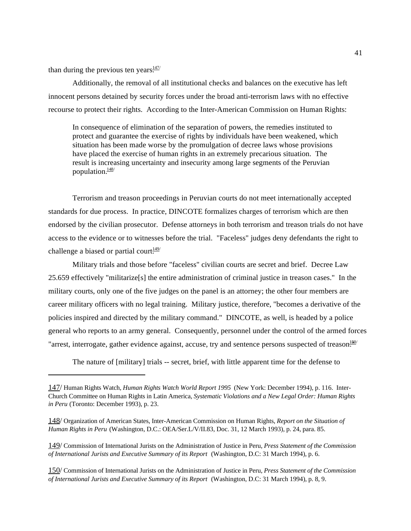than during the previous ten years $\frac{147}{12}$ 

Additionally, the removal of all institutional checks and balances on the executive has left innocent persons detained by security forces under the broad anti-terrorism laws with no effective recourse to protect their rights. According to the Inter-American Commission on Human Rights:

In consequence of elimination of the separation of powers, the remedies instituted to protect and guarantee the exercise of rights by individuals have been weakened, which situation has been made worse by the promulgation of decree laws whose provisions have placed the exercise of human rights in an extremely precarious situation. The result is increasing uncertainty and insecurity among large segments of the Peruvian population. $\frac{148}{1}$ 

Terrorism and treason proceedings in Peruvian courts do not meet internationally accepted standards for due process. In practice, DINCOTE formalizes charges of terrorism which are then endorsed by the civilian prosecutor. Defense attorneys in both terrorism and treason trials do not have access to the evidence or to witnesses before the trial. "Faceless" judges deny defendants the right to challenge a biased or partial court.<sup>149/</sup>

Military trials and those before "faceless" civilian courts are secret and brief. Decree Law 25.659 effectively "militarize[s] the entire administration of criminal justice in treason cases." In the military courts, only one of the five judges on the panel is an attorney; the other four members are career military officers with no legal training. Military justice, therefore, "becomes a derivative of the policies inspired and directed by the military command." DINCOTE, as well, is headed by a police general who reports to an army general. Consequently, personnel under the control of the armed forces "arrest, interrogate, gather evidence against, accuse, try and sentence persons suspected of treason.<sup>150/</sup>

The nature of [military] trials -- secret, brief, with little apparent time for the defense to

<sup>147/</sup> Human Rights Watch, *Human Rights Watch World Report 1995* (New York: December 1994), p. 116. Inter-Church Committee on Human Rights in Latin America, *Systematic Violations and a New Legal Order: Human Rights in Peru* (Toronto: December 1993), p. 23.

<sup>148/</sup> Organization of American States, Inter-American Commission on Human Rights, *Report on the Situation of Human Rights in Peru* (Washington, D.C.: OEA/Ser.L/V/II.83, Doc. 31, 12 March 1993), p. 24, para. 85.

<sup>149/</sup> Commission of International Jurists on the Administration of Justice in Peru, *Press Statement of the Commission of International Jurists and Executive Summary of its Report* (Washington, D.C: 31 March 1994), p. 6.

<sup>150/</sup> Commission of International Jurists on the Administration of Justice in Peru, *Press Statement of the Commission of International Jurists and Executive Summary of its Report* (Washington, D.C: 31 March 1994), p. 8, 9.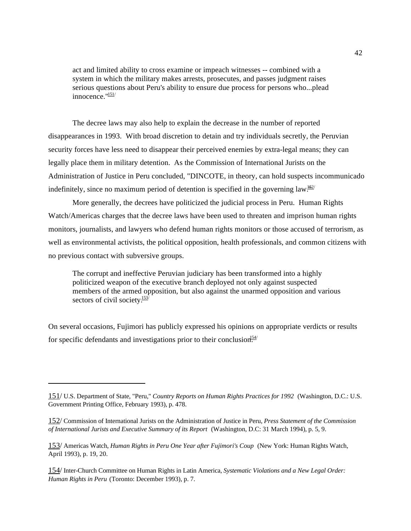act and limited ability to cross examine or impeach witnesses -- combined with a system in which the military makes arrests, prosecutes, and passes judgment raises serious questions about Peru's ability to ensure due process for persons who...plead  $innocence$  $^{\frac{151}{}}$ 

The decree laws may also help to explain the decrease in the number of reported disappearances in 1993. With broad discretion to detain and try individuals secretly, the Peruvian security forces have less need to disappear their perceived enemies by extra-legal means; they can legally place them in military detention. As the Commission of International Jurists on the Administration of Justice in Peru concluded, "DINCOTE, in theory, can hold suspects incommunicado indefinitely, since no maximum period of detention is specified in the governing law.<sup>152/</sup>

More generally, the decrees have politicized the judicial process in Peru. Human Rights Watch/Americas charges that the decree laws have been used to threaten and imprison human rights monitors, journalists, and lawyers who defend human rights monitors or those accused of terrorism, as well as environmental activists, the political opposition, health professionals, and common citizens with no previous contact with subversive groups.

The corrupt and ineffective Peruvian judiciary has been transformed into a highly politicized weapon of the executive branch deployed not only against suspected members of the armed opposition, but also against the unarmed opposition and various sectors of civil society. $\frac{153}{153}$ 

On several occasions, Fujimori has publicly expressed his opinions on appropriate verdicts or results for specific defendants and investigations prior to their conclusion.<sup>154/</sup>

153/ Americas Watch, *Human Rights in Peru One Year after Fujimori's Coup* (New York: Human Rights Watch, April 1993), p. 19, 20.

154/ Inter-Church Committee on Human Rights in Latin America, *Systematic Violations and a New Legal Order: Human Rights in Peru* (Toronto: December 1993), p. 7.

<sup>151/</sup> U.S. Department of State, "Peru," *Country Reports on Human Rights Practices for 1992* (Washington, D.C.: U.S. Government Printing Office, February 1993), p. 478.

<sup>152/</sup> Commission of International Jurists on the Administration of Justice in Peru, *Press Statement of the Commission of International Jurists and Executive Summary of its Report* (Washington, D.C: 31 March 1994), p. 5, 9.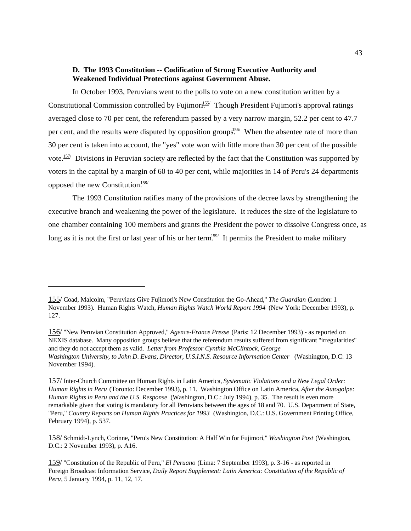# **D. The 1993 Constitution -- Codification of Strong Executive Authority and Weakened Individual Protections against Government Abuse.**

In October 1993, Peruvians went to the polls to vote on a new constitution written by a Constitutional Commission controlled by Fujimori<sup>155/</sup> Though President Fujimori's approval ratings averaged close to 70 per cent, the referendum passed by a very narrow margin, 52.2 per cent to 47.7 per cent, and the results were disputed by opposition groups<sup> $156/$ </sup> When the absentee rate of more than 30 per cent is taken into account, the "yes" vote won with little more than 30 per cent of the possible vote.  $157/2$  Divisions in Peruvian society are reflected by the fact that the Constitution was supported by voters in the capital by a margin of 60 to 40 per cent, while majorities in 14 of Peru's 24 departments opposed the new Constitution.<sup>158/</sup>

The 1993 Constitution ratifies many of the provisions of the decree laws by strengthening the executive branch and weakening the power of the legislature. It reduces the size of the legislature to one chamber containing 100 members and grants the President the power to dissolve Congress once, as long as it is not the first or last year of his or her term<sup>159</sup> It permits the President to make military

<sup>155/</sup> Coad, Malcolm, "Peruvians Give Fujimori's New Constitution the Go-Ahead," *The Guardian* (London: 1 November 1993). Human Rights Watch, *Human Rights Watch World Report 1994* (New York: December 1993), p. 127.

<sup>156/</sup> "New Peruvian Constitution Approved," *Agence-France Presse* (Paris: 12 December 1993) - as reported on NEXIS database. Many opposition groups believe that the referendum results suffered from significant "irregularities" and they do not accept them as valid. *Letter from Professor Cynthia McClintock, George Washington University, to John D. Evans, Director, U.S.I.N.S. Resource Information Center* (Washington, D.C: 13 November 1994).

<sup>157/</sup> Inter-Church Committee on Human Rights in Latin America, *Systematic Violations and a New Legal Order: Human Rights in Peru* (Toronto: December 1993), p. 11. Washington Office on Latin America, *After the Autogolpe: Human Rights in Peru and the U.S. Response* (Washington, D.C.: July 1994), p. 35. The result is even more remarkable given that voting is mandatory for all Peruvians between the ages of 18 and 70. U.S. Department of State, "Peru," *Country Reports on Human Rights Practices for 1993* (Washington, D.C.: U.S. Government Printing Office, February 1994), p. 537.

<sup>158/</sup> Schmidt-Lynch, Corinne, "Peru's New Constitution: A Half Win for Fujimori," *Washington Post* (Washington, D.C.: 2 November 1993), p. A16.

<sup>159/</sup> "Constitution of the Republic of Peru," *El Peruano* (Lima: 7 September 1993), p. 3-16 - as reported in Foreign Broadcast Information Service, *Daily Report Supplement: Latin America: Constitution of the Republic of Peru*, 5 January 1994, p. 11, 12, 17.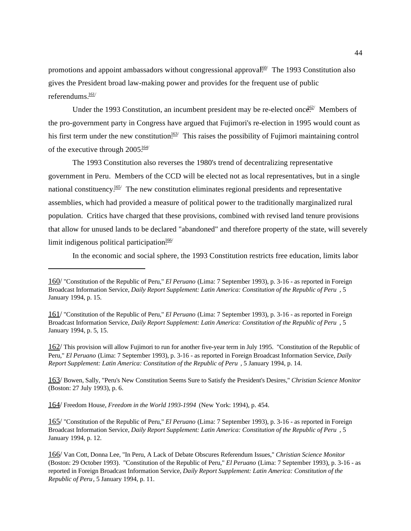promotions and appoint ambassadors without congressional approval<sup>60</sup> The 1993 Constitution also gives the President broad law-making power and provides for the frequent use of public referendums. $\frac{161}{ }$ 

Under the 1993 Constitution, an incumbent president may be re-elected once.<sup>62/</sup> Members of the pro-government party in Congress have argued that Fujimori's re-election in 1995 would count as his first term under the new constitution.<sup>163/</sup> This raises the possibility of Fujimori maintaining control of the executive through  $2005\frac{164}{16}$ 

The 1993 Constitution also reverses the 1980's trend of decentralizing representative government in Peru. Members of the CCD will be elected not as local representatives, but in a single national constituency.<sup> $165/$ </sup> The new constitution eliminates regional presidents and representative assemblies, which had provided a measure of political power to the traditionally marginalized rural population. Critics have charged that these provisions, combined with revised land tenure provisions that allow for unused lands to be declared "abandoned" and therefore property of the state, will severely limit indigenous political participation.<sup>166/</sup>

In the economic and social sphere, the 1993 Constitution restricts free education, limits labor

162/ This provision will allow Fujimori to run for another five-year term in July 1995. "Constitution of the Republic of Peru," *El Peruano* (Lima: 7 September 1993), p. 3-16 - as reported in Foreign Broadcast Information Service, *Daily Report Supplement: Latin America: Constitution of the Republic of Peru* , 5 January 1994, p. 14.

163/ Bowen, Sally, "Peru's New Constitution Seems Sure to Satisfy the President's Desires," *Christian Science Monitor* (Boston: 27 July 1993), p. 6.

164/ Freedom House, *Freedom in the World 1993-1994* (New York: 1994), p. 454.

165/ "Constitution of the Republic of Peru," *El Peruano* (Lima: 7 September 1993), p. 3-16 - as reported in Foreign Broadcast Information Service, *Daily Report Supplement: Latin America: Constitution of the Republic of Peru* , 5 January 1994, p. 12.

<sup>160/</sup> "Constitution of the Republic of Peru," *El Peruano* (Lima: 7 September 1993), p. 3-16 - as reported in Foreign Broadcast Information Service, *Daily Report Supplement: Latin America: Constitution of the Republic of Peru* , 5 January 1994, p. 15.

<sup>161/</sup> "Constitution of the Republic of Peru," *El Peruano* (Lima: 7 September 1993), p. 3-16 - as reported in Foreign Broadcast Information Service, *Daily Report Supplement: Latin America: Constitution of the Republic of Peru* , 5 January 1994, p. 5, 15.

<sup>166/</sup> Van Cott, Donna Lee, "In Peru, A Lack of Debate Obscures Referendum Issues," *Christian Science Monitor* (Boston: 29 October 1993). "Constitution of the Republic of Peru," *El Peruano* (Lima: 7 September 1993), p. 3-16 - as reported in Foreign Broadcast Information Service, *Daily Report Supplement: Latin America: Constitution of the Republic of Peru*, 5 January 1994, p. 11.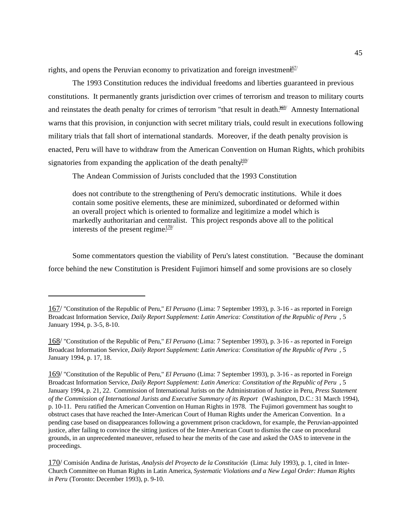rights, and opens the Peruvian economy to privatization and foreign investment.<sup>67/</sup>

The 1993 Constitution reduces the individual freedoms and liberties guaranteed in previous constitutions. It permanently grants jurisdiction over crimes of terrorism and treason to military courts and reinstates the death penalty for crimes of terrorism "that result in death. $^{168/}$  Amnesty International warns that this provision, in conjunction with secret military trials, could result in executions following military trials that fall short of international standards. Moreover, if the death penalty provision is enacted, Peru will have to withdraw from the American Convention on Human Rights, which prohibits signatories from expanding the application of the death penalty.<sup>169/</sup>

The Andean Commission of Jurists concluded that the 1993 Constitution

does not contribute to the strengthening of Peru's democratic institutions. While it does contain some positive elements, these are minimized, subordinated or deformed within an overall project which is oriented to formalize and legitimize a model which is markedly authoritarian and centralist. This project responds above all to the political interests of the present regime $\frac{170}{120}$ 

Some commentators question the viability of Peru's latest constitution. "Because the dominant force behind the new Constitution is President Fujimori himself and some provisions are so closely

<sup>167/</sup> "Constitution of the Republic of Peru," *El Peruano* (Lima: 7 September 1993), p. 3-16 - as reported in Foreign Broadcast Information Service, *Daily Report Supplement: Latin America: Constitution of the Republic of Peru* , 5 January 1994, p. 3-5, 8-10.

<sup>168/</sup> "Constitution of the Republic of Peru," *El Peruano* (Lima: 7 September 1993), p. 3-16 - as reported in Foreign Broadcast Information Service, *Daily Report Supplement: Latin America: Constitution of the Republic of Peru* , 5 January 1994, p. 17, 18.

<sup>169/</sup> "Constitution of the Republic of Peru," *El Peruano* (Lima: 7 September 1993), p. 3-16 - as reported in Foreign Broadcast Information Service, *Daily Report Supplement: Latin America: Constitution of the Republic of Peru* , 5 January 1994, p. 21, 22. Commission of International Jurists on the Administration of Justice in Peru, *Press Statement of the Commission of International Jurists and Executive Summary of its Report* (Washington, D.C.: 31 March 1994), p. 10-11. Peru ratified the American Convention on Human Rights in 1978. The Fujimori government has sought to obstruct cases that have reached the Inter-American Court of Human Rights under the American Convention. In a pending case based on disappearances following a government prison crackdown, for example, the Peruvian-appointed justice, after failing to convince the sitting justices of the Inter-American Court to dismiss the case on procedural grounds, in an unprecedented maneuver, refused to hear the merits of the case and asked the OAS to intervene in the proceedings.

<sup>170/</sup> Comisión Andina de Juristas, *Analysis del Proyecto de la Constitución* (Lima: July 1993), p. 1, cited in Inter-Church Committee on Human Rights in Latin America, *Systematic Violations and a New Legal Order: Human Rights in Peru* (Toronto: December 1993), p. 9-10.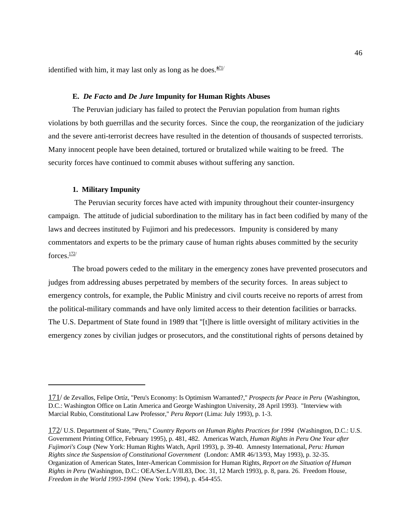identified with him, it may last only as long as he does. $\frac{101}{1}$ 

#### **E.** *De Facto* **and** *De Jure* **Impunity for Human Rights Abuses**

The Peruvian judiciary has failed to protect the Peruvian population from human rights violations by both guerrillas and the security forces. Since the coup, the reorganization of the judiciary and the severe anti-terrorist decrees have resulted in the detention of thousands of suspected terrorists. Many innocent people have been detained, tortured or brutalized while waiting to be freed. The security forces have continued to commit abuses without suffering any sanction.

#### **1. Military Impunity**

 The Peruvian security forces have acted with impunity throughout their counter-insurgency campaign. The attitude of judicial subordination to the military has in fact been codified by many of the laws and decrees instituted by Fujimori and his predecessors. Impunity is considered by many commentators and experts to be the primary cause of human rights abuses committed by the security forces  $\frac{172}{ }$ 

The broad powers ceded to the military in the emergency zones have prevented prosecutors and judges from addressing abuses perpetrated by members of the security forces. In areas subject to emergency controls, for example, the Public Ministry and civil courts receive no reports of arrest from the political-military commands and have only limited access to their detention facilities or barracks. The U.S. Department of State found in 1989 that "[t]here is little oversight of military activities in the emergency zones by civilian judges or prosecutors, and the constitutional rights of persons detained by

<sup>171/</sup> de Zevallos, Felipe Ortíz, "Peru's Economy: Is Optimism Warranted?," *Prospects for Peace in Peru* (Washington, D.C.: Washington Office on Latin America and George Washington University, 28 April 1993). "Interview with Marcial Rubio, Constitutional Law Professor," *Peru Report* (Lima: July 1993), p. 1-3.

<sup>172/</sup> U.S. Department of State, "Peru," *Country Reports on Human Rights Practices for 1994* (Washington, D.C.: U.S. Government Printing Office, February 1995), p. 481, 482. Americas Watch, *Human Rights in Peru One Year after Fujimori's Coup* (New York: Human Rights Watch, April 1993), p. 39-40. Amnesty International, *Peru: Human Rights since the Suspension of Constitutional Government* (London: AMR 46/13/93, May 1993), p. 32-35. Organization of American States, Inter-American Commission for Human Rights, *Report on the Situation of Human Rights in Peru* (Washington, D.C.: OEA/Ser.L/V/II.83, Doc. 31, 12 March 1993), p. 8, para. 26. Freedom House, *Freedom in the World 1993-1994* (New York: 1994), p. 454-455.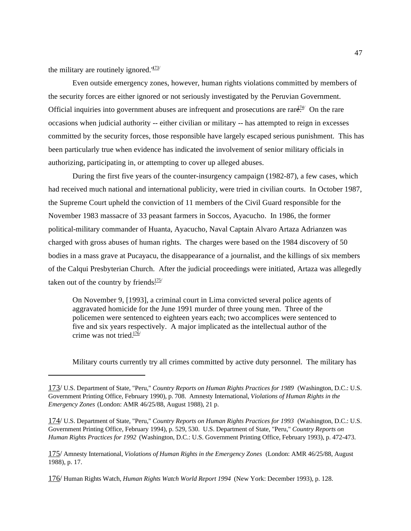the military are routinely ignored. $173/$ 

Even outside emergency zones, however, human rights violations committed by members of the security forces are either ignored or not seriously investigated by the Peruvian Government. Official inquiries into government abuses are infrequent and prosecutions are rare. On the rare occasions when judicial authority -- either civilian or military -- has attempted to reign in excesses committed by the security forces, those responsible have largely escaped serious punishment. This has been particularly true when evidence has indicated the involvement of senior military officials in authorizing, participating in, or attempting to cover up alleged abuses.

During the first five years of the counter-insurgency campaign (1982-87), a few cases, which had received much national and international publicity, were tried in civilian courts. In October 1987, the Supreme Court upheld the conviction of 11 members of the Civil Guard responsible for the November 1983 massacre of 33 peasant farmers in Soccos, Ayacucho. In 1986, the former political-military commander of Huanta, Ayacucho, Naval Captain Alvaro Artaza Adrianzen was charged with gross abuses of human rights. The charges were based on the 1984 discovery of 50 bodies in a mass grave at Pucayacu, the disappearance of a journalist, and the killings of six members of the Calqui Presbyterian Church. After the judicial proceedings were initiated, Artaza was allegedly taken out of the country by friends.<sup>175/</sup>

On November 9, [1993], a criminal court in Lima convicted several police agents of aggravated homicide for the June 1991 murder of three young men. Three of the policemen were sentenced to eighteen years each; two accomplices were sentenced to five and six years respectively. A major implicated as the intellectual author of the crime was not tried. $176/$ 

Military courts currently try all crimes committed by active duty personnel. The military has

174/ U.S. Department of State, "Peru," *Country Reports on Human Rights Practices for 1993* (Washington, D.C.: U.S. Government Printing Office, February 1994), p. 529, 530. U.S. Department of State, "Peru," *Country Reports on Human Rights Practices for 1992* (Washington, D.C.: U.S. Government Printing Office, February 1993), p. 472-473.

175/ Amnesty International, *Violations of Human Rights in the Emergency Zones* (London: AMR 46/25/88, August 1988), p. 17.

176/ Human Rights Watch, *Human Rights Watch World Report 1994* (New York: December 1993), p. 128.

<sup>173/</sup> U.S. Department of State, "Peru," *Country Reports on Human Rights Practices for 1989* (Washington, D.C.: U.S. Government Printing Office, February 1990), p. 708. Amnesty International, *Violations of Human Rights in the Emergency Zones* (London: AMR 46/25/88, August 1988), 21 p.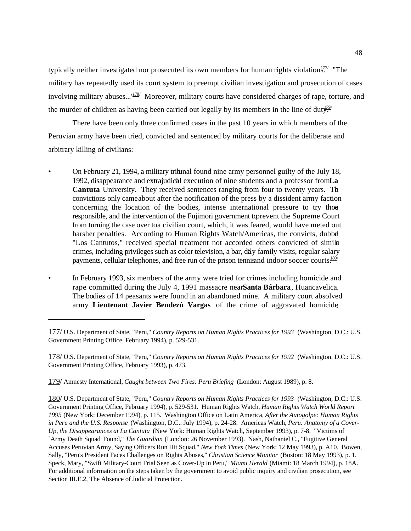typically neither investigated nor prosecuted its own members for human rights violation $\frac{177}{177}$  "The military has repeatedly used its court system to preempt civilian investigation and prosecution of cases involving military abuses..." $178$  Moreover, military courts have considered charges of rape, torture, and the murder of children as having been carried out legally by its members in the line of duty.

There have been only three confirmed cases in the past 10 years in which members of the Peruvian army have been tried, convicted and sentenced by military courts for the deliberate and arbitrary killing of civilians:

- On February 21, 1994, a military tribunal found nine army personnel guilty of the July 18, 1992, disappearance and extrajudicial execution of nine students and a professor from **La Cantuta** University. They received sentences ranging from four to twenty years. The convictions only came about after the notification of the press by a dissident army faction concerning the location of the bodies, intense international pressure to try those responsible, and the intervention of the Fujimori government to prevent the Supreme Court from turning the case over toa civilian court, which, it was feared, would have meted out harsher penalties. According to Human Rights Watch/Americas, the convicts, dubbe "Los Cantutos," received special treatment not accorded others convicted of similar crimes, including privileges such as color television, a bar, daily family visits, regular salary payments, cellular telephones, and free run of the prison tennis and indoor soccer courts.<sup>180/</sup>
- In February 1993, six members of the army were tried for crimes including homicide and rape committed during the July 4, 1991 massacre near **Santa Bárbara**, Huancavelica. The bodies of 14 peasants were found in an abandoned mine. A military court absolved army **Lieutenant Javier Bendezú Vargas** of the crime of aggravated homicide,

178/ U.S. Department of State, "Peru," *Country Reports on Human Rights Practices for 1992* (Washington, D.C.: U.S. Government Printing Office, February 1993), p. 473.

179/ Amnesty International, *Caught between Two Fires: Peru Briefing* (London: August 1989), p. 8.

180/ U.S. Department of State, "Peru," *Country Reports on Human Rights Practices for 1993* (Washington, D.C.: U.S. Government Printing Office, February 1994), p. 529-531. Human Rights Watch, *Human Rights Watch World Report 1995* (New York: December 1994), p. 115. Washington Office on Latin America, *After the Autogolpe: Human Rights in Peru and the U.S. Response* (Washington, D.C.: July 1994), p. 24-28. Americas Watch, *Peru: Anatomy of a Cover-Up, the Disappearances at La Cantuta* (New York: Human Rights Watch, September 1993), p. 7-8. "Victims of `Army Death Squad' Found," *The Guardian* (London: 26 November 1993). Nash, Nathaniel C., "Fugitive General Accuses Peruvian Army, Saying Officers Run Hit Squad," *New York Times* (New York: 12 May 1993), p. A10. Bowen, Sally, "Peru's President Faces Challenges on Rights Abuses," *Christian Science Monitor* (Boston: 18 May 1993), p. 1. Speck, Mary, "Swift Military-Court Trial Seen as Cover-Up in Peru," *Miami Herald* (Miami: 18 March 1994), p. 18A. For additional information on the steps taken by the government to avoid public inquiry and civilian prosecution, see Section III.E.2, The Absence of Judicial Protection.

<sup>177/</sup> U.S. Department of State, "Peru," *Country Reports on Human Rights Practices for 1993* (Washington, D.C.: U.S. Government Printing Office, February 1994), p. 529-531.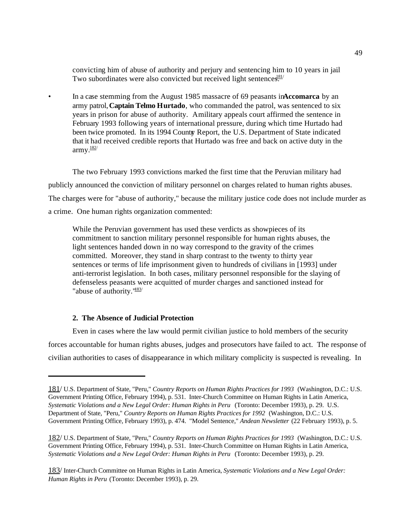convicting him of abuse of authority and perjury and sentencing him to 10 years in jail. Two subordinates were also convicted but received light sentences.<sup>81/</sup>

• In a case stemming from the August 1985 massacre of 69 peasants in**Accomarca** by an army patrol, **Captain Telmo Hurtado**, who commanded the patrol, was sentenced to six years in prison for abuse of authority. A military appeals court affirmed the sentence in February 1993 following years of international pressure, during which time Hurtado had been twice promoted. In its 1994 Country Report, the U.S. Department of State indicated that it had received credible reports that Hurtado was free and back on active duty in the  $army.$ <sup>182/</sup>

The two February 1993 convictions marked the first time that the Peruvian military had publicly announced the conviction of military personnel on charges related to human rights abuses. The charges were for "abuse of authority," because the military justice code does not include murder as a crime. One human rights organization commented:

While the Peruvian government has used these verdicts as showpieces of its commitment to sanction military personnel responsible for human rights abuses, the light sentences handed down in no way correspond to the gravity of the crimes committed. Moreover, they stand in sharp contrast to the twenty to thirty year sentences or terms of life imprisonment given to hundreds of civilians in [1993] under anti-terrorist legislation. In both cases, military personnel responsible for the slaying of defenseless peasants were acquitted of murder charges and sanctioned instead for "abuse of authority."<sup>183/</sup>

## **2. The Absence of Judicial Protection**

Even in cases where the law would permit civilian justice to hold members of the security forces accountable for human rights abuses, judges and prosecutors have failed to act. The response of civilian authorities to cases of disappearance in which military complicity is suspected is revealing. In

<sup>181/</sup> U.S. Department of State, "Peru," *Country Reports on Human Rights Practices for 1993* (Washington, D.C.: U.S. Government Printing Office, February 1994), p. 531. Inter-Church Committee on Human Rights in Latin America, *Systematic Violations and a New Legal Order: Human Rights in Peru* (Toronto: December 1993), p. 29. U.S. Department of State, "Peru," *Country Reports on Human Rights Practices for 1992* (Washington, D.C.: U.S. Government Printing Office, February 1993), p. 474. "Model Sentence," *Andean Newsletter* (22 February 1993), p. 5.

<sup>182/</sup> U.S. Department of State, "Peru," *Country Reports on Human Rights Practices for 1993* (Washington, D.C.: U.S. Government Printing Office, February 1994), p. 531. Inter-Church Committee on Human Rights in Latin America, *Systematic Violations and a New Legal Order: Human Rights in Peru* (Toronto: December 1993), p. 29.

<sup>183/</sup> Inter-Church Committee on Human Rights in Latin America, *Systematic Violations and a New Legal Order: Human Rights in Peru* (Toronto: December 1993), p. 29.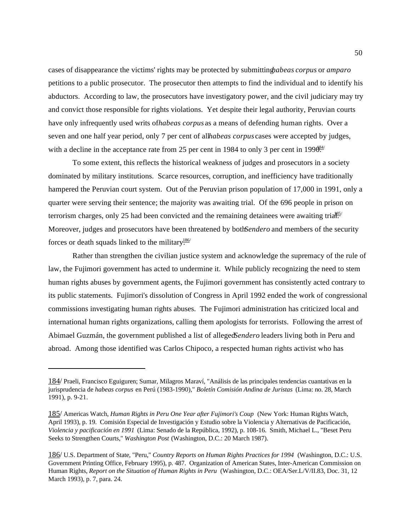cases of disappearance the victims' rights may be protected by submitting *habeas corpus* or *amparo* petitions to a public prosecutor. The prosecutor then attempts to find the individual and to identify his abductors. According to law, the prosecutors have investigatory power, and the civil judiciary may try and convict those responsible for rights violations. Yet despite their legal authority, Peruvian courts have only infrequently used writs of *habeas corpus* as a means of defending human rights. Over a seven and one half year period, only 7 per cent of allhabeas corpus cases were accepted by judges, with a decline in the acceptance rate from 25 per cent in 1984 to only 3 per cent in 199 $\theta_{\text{H}}^{\text{84}}$ 

To some extent, this reflects the historical weakness of judges and prosecutors in a society dominated by military institutions. Scarce resources, corruption, and inefficiency have traditionally hampered the Peruvian court system. Out of the Peruvian prison population of 17,000 in 1991, only a quarter were serving their sentence; the majority was awaiting trial. Of the 696 people in prison on terrorism charges, only 25 had been convicted and the remaining detainees were awaiting trial.  $\frac{185}{185}$ Moreover, judges and prosecutors have been threatened by both *Sendero* and members of the security forces or death squads linked to the military.<sup>186/</sup>

Rather than strengthen the civilian justice system and acknowledge the supremacy of the rule of law, the Fujimori government has acted to undermine it. While publicly recognizing the need to stem human rights abuses by government agents, the Fujimori government has consistently acted contrary to its public statements. Fujimori's dissolution of Congress in April 1992 ended the work of congressional commissions investigating human rights abuses. The Fujimori administration has criticized local and international human rights organizations, calling them apologists for terrorists. Following the arrest of Abimael Guzmán, the government published a list of alleged Sendero leaders living both in Peru and abroad. Among those identified was Carlos Chipoco, a respected human rights activist who has

<sup>184/</sup> Praeli, Francisco Eguiguren; Sumar, Milagros Maraví, "Análisis de las principales tendencias cuantativas en la jurisprudencia de *habeas corpus* en Perú (1983-1990)," *Boletín Comisión Andina de Juristas* (Lima: no. 28, March 1991), p. 9-21.

<sup>185/</sup> Americas Watch, *Human Rights in Peru One Year after Fujimori's Coup* (New York: Human Rights Watch, April 1993), p. 19. Comisión Especial de Investigación y Estudio sobre la Violencia y Alternativas de Pacificación, *Violencia y pacificación en 1991* (Lima: Senado de la República, 1992), p. 108-16. Smith, Michael L., "Beset Peru Seeks to Strengthen Courts," *Washington Post* (Washington, D.C.: 20 March 1987).

<sup>186/</sup> U.S. Department of State, "Peru," *Country Reports on Human Rights Practices for 1994* (Washington, D.C.: U.S. Government Printing Office, February 1995), p. 487. Organization of American States, Inter-American Commission on Human Rights, *Report on the Situation of Human Rights in Peru* (Washington, D.C.: OEA/Ser.L/V/II.83, Doc. 31, 12 March 1993), p. 7, para. 24.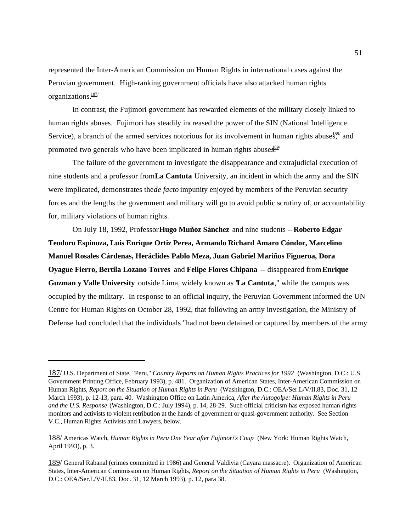represented the Inter-American Commission on Human Rights in international cases against the Peruvian government. High-ranking government officials have also attacked human rights organizations.187/

In contrast, the Fujimori government has rewarded elements of the military closely linked to human rights abuses. Fujimori has steadily increased the power of the SIN (National Intelligence Service), a branch of the armed services notorious for its involvement in human rights abuse $\frac{188}{5}$  and promoted two generals who have been implicated in human rights abuses.<sup>189</sup>/

The failure of the government to investigate the disappearance and extrajudicial execution of nine students and a professor from **La Cantuta** University, an incident in which the army and the SIN were implicated, demonstrates the *de facto* impunity enjoyed by members of the Peruvian security forces and the lengths the government and military will go to avoid public scrutiny of, or accountability for, military violations of human rights.

On July 18, 1992, Professor **Hugo Muñoz Sánchez** and nine students -- **Roberto Edgar Teodoro Espinoza, Luis Enrique Ortiz Perea, Armando Richard Amaro Cóndor, Marcelino Manuel Rosales Cárdenas, Heráclides Pablo Meza, Juan Gabriel Mariños Figueroa, Dora Oyague Fierro, Bertila Lozano Torres** and **Felipe Flores Chipana** -- disappeared from **Enrique Guzman y Valle University** outside Lima, widely known as "**La Cantuta**," while the campus was occupied by the military. In response to an official inquiry, the Peruvian Government informed the UN Centre for Human Rights on October 28, 1992, that following an army investigation, the Ministry of Defense had concluded that the individuals "had not been detained or captured by members of the army

<sup>187/</sup> U.S. Department of State, "Peru," *Country Reports on Human Rights Practices for 1992* (Washington, D.C.: U.S. Government Printing Office, February 1993), p. 481. Organization of American States, Inter-American Commission on Human Rights, *Report on the Situation of Human Rights in Peru* (Washington, D.C.: OEA/Ser.L/V/II.83, Doc. 31, 12 March 1993), p. 12-13, para. 40. Washington Office on Latin America, *After the Autogolpe: Human Rights in Peru and the U.S. Response* (Washington, D.C.: July 1994), p. 14, 28-29. Such official criticism has exposed human rights monitors and activists to violent retribution at the hands of government or quasi-government authority. See Section V.C., Human Rights Activists and Lawyers, below.

<sup>188/</sup> Americas Watch, *Human Rights in Peru One Year after Fujimori's Coup* (New York: Human Rights Watch, April 1993), p. 3.

<sup>189/</sup> General Rabanal (crimes committed in 1986) and General Valdivia (Cayara massacre). Organization of American States, Inter-American Commission on Human Rights, *Report on the Situation of Human Rights in Peru* (Washington, D.C.: OEA/Ser.L/V/II.83, Doc. 31, 12 March 1993), p. 12, para 38.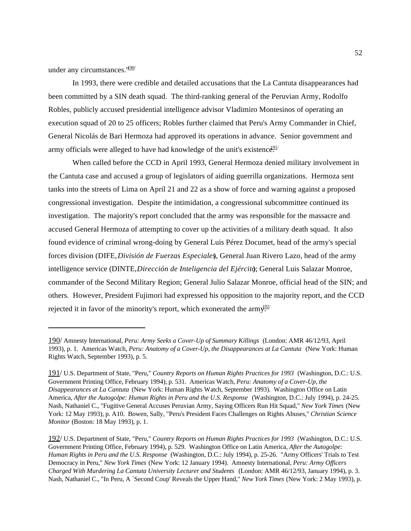under any circumstances. $1\frac{190}{ }$ 

In 1993, there were credible and detailed accusations that the La Cantuta disappearances had been committed by a SIN death squad. The third-ranking general of the Peruvian Army, Rodolfo Robles, publicly accused presidential intelligence advisor Vladimiro Montesinos of operating an execution squad of 20 to 25 officers; Robles further claimed that Peru's Army Commander in Chief, General Nicolás de Bari Hermoza had approved its operations in advance. Senior government and army officials were alleged to have had knowledge of the unit's existence.<sup>91/</sup>

When called before the CCD in April 1993, General Hermoza denied military involvement in the Cantuta case and accused a group of legislators of aiding guerrilla organizations. Hermoza sent tanks into the streets of Lima on April 21 and 22 as a show of force and warning against a proposed congressional investigation. Despite the intimidation, a congressional subcommittee continued its investigation. The majority's report concluded that the army was responsible for the massacre and accused General Hermoza of attempting to cover up the activities of a military death squad. It also found evidence of criminal wrong-doing by General Luis Pérez Documet, head of the army's special forces division (DIFE, *División de Fuerzas Especiales*), General Juan Rivero Lazo, head of the army intelligence service (DINTE, *Dirección de Inteligencia del Ejército*); General Luis Salazar Monroe, commander of the Second Military Region; General Julio Salazar Monroe, official head of the SIN; and others. However, President Fujimori had expressed his opposition to the majority report, and the CCD rejected it in favor of the minority's report, which exonerated the army.<sup>192/</sup>

<sup>190/</sup> Amnesty International, *Peru: Army Seeks a Cover-Up of Summary Killings* (London: AMR 46/12/93, April 1993), p. 1. Americas Watch, *Peru: Anatomy of a Cover-Up, the Disappearances at La Cantuta* (New York: Human Rights Watch, September 1993), p. 5.

<sup>191/</sup> U.S. Department of State, "Peru," *Country Reports on Human Rights Practices for 1993* (Washington, D.C.: U.S. Government Printing Office, February 1994), p. 531. Americas Watch, *Peru: Anatomy of a Cover-Up, the Disappearances at La Cantuta* (New York: Human Rights Watch, September 1993). Washington Office on Latin America, *After the Autogolpe: Human Rights in Peru and the U.S. Response* (Washington, D.C.: July 1994), p. 24-25. Nash, Nathaniel C., "Fugitive General Accuses Peruvian Army, Saying Officers Run Hit Squad," *New York Times* (New York: 12 May 1993), p. A10. Bowen, Sally, "Peru's President Faces Challenges on Rights Abuses," *Christian Science Monitor* (Boston: 18 May 1993), p. 1.

<sup>192/</sup> U.S. Department of State, "Peru," *Country Reports on Human Rights Practices for 1993* (Washington, D.C.: U.S. Government Printing Office, February 1994), p. 529. Washington Office on Latin America, *After the Autogolpe: Human Rights in Peru and the U.S. Response* (Washington, D.C.: July 1994), p. 25-26. "Army Officers' Trials to Test Democracy in Peru," *New York Times* (New York: 12 January 1994). Amnesty International, *Peru: Army Officers Charged With Murdering La Cantuta University Lecturer and Students* (London: AMR 46/12/93, January 1994), p. 3. Nash, Nathaniel C., "In Peru, A `Second Coup' Reveals the Upper Hand," *New York Times* (New York: 2 May 1993), p.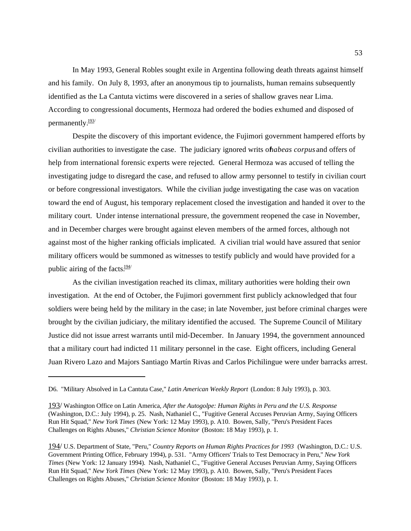In May 1993, General Robles sought exile in Argentina following death threats against himself and his family. On July 8, 1993, after an anonymous tip to journalists, human remains subsequently identified as the La Cantuta victims were discovered in a series of shallow graves near Lima. According to congressional documents, Hermoza had ordered the bodies exhumed and disposed of permanently. $\frac{193}{ }$ 

Despite the discovery of this important evidence, the Fujimori government hampered efforts by civilian authorities to investigate the case. The judiciary ignored writs of *habeas corpus* and offers of help from international forensic experts were rejected. General Hermoza was accused of telling the investigating judge to disregard the case, and refused to allow army personnel to testify in civilian court or before congressional investigators. While the civilian judge investigating the case was on vacation toward the end of August, his temporary replacement closed the investigation and handed it over to the military court. Under intense international pressure, the government reopened the case in November, and in December charges were brought against eleven members of the armed forces, although not against most of the higher ranking officials implicated. A civilian trial would have assured that senior military officers would be summoned as witnesses to testify publicly and would have provided for a public airing of the facts. $\frac{194}{12}$ 

As the civilian investigation reached its climax, military authorities were holding their own investigation. At the end of October, the Fujimori government first publicly acknowledged that four soldiers were being held by the military in the case; in late November, just before criminal charges were brought by the civilian judiciary, the military identified the accused. The Supreme Council of Military Justice did not issue arrest warrants until mid-December. In January 1994, the government announced that a military court had indicted 11 military personnel in the case. Eight officers, including General Juan Rivero Lazo and Majors Santiago Martín Rivas and Carlos Pichilingue were under barracks arrest.

D6. "Military Absolved in La Cantuta Case," *Latin American Weekly Report* (London: 8 July 1993), p. 303.

<sup>193/</sup> Washington Office on Latin America, *After the Autogolpe: Human Rights in Peru and the U.S. Response* (Washington, D.C.: July 1994), p. 25. Nash, Nathaniel C., "Fugitive General Accuses Peruvian Army, Saying Officers Run Hit Squad," *New York Times* (New York: 12 May 1993), p. A10. Bowen, Sally, "Peru's President Faces Challenges on Rights Abuses," *Christian Science Monitor* (Boston: 18 May 1993), p. 1.

<sup>194/</sup> U.S. Department of State, "Peru," *Country Reports on Human Rights Practices for 1993* (Washington, D.C.: U.S. Government Printing Office, February 1994), p. 531. "Army Officers' Trials to Test Democracy in Peru," *New York Times* (New York: 12 January 1994). Nash, Nathaniel C., "Fugitive General Accuses Peruvian Army, Saying Officers Run Hit Squad," *New York Times* (New York: 12 May 1993), p. A10. Bowen, Sally, "Peru's President Faces Challenges on Rights Abuses," *Christian Science Monitor* (Boston: 18 May 1993), p. 1.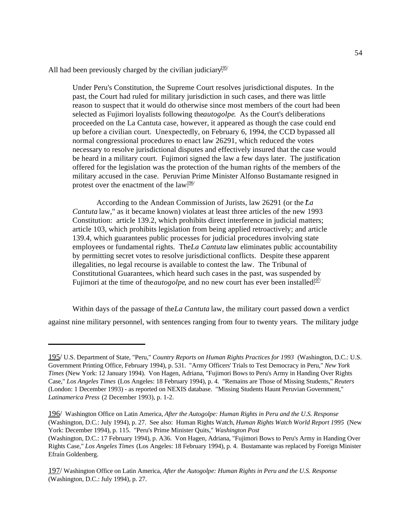All had been previously charged by the civilian judiciary.<sup>195/</sup>

Under Peru's Constitution, the Supreme Court resolves jurisdictional disputes. In the past, the Court had ruled for military jurisdiction in such cases, and there was little reason to suspect that it would do otherwise since most members of the court had been selected as Fujimori loyalists following the *autogolpe*. As the Court's deliberations proceeded on the La Cantuta case, however, it appeared as though the case could end up before a civilian court. Unexpectedly, on February 6, 1994, the CCD bypassed all normal congressional procedures to enact law 26291, which reduced the votes necessary to resolve jurisdictional disputes and effectively insured that the case would be heard in a military court. Fujimori signed the law a few days later. The justification offered for the legislation was the protection of the human rights of the members of the military accused in the case. Peruvian Prime Minister Alfonso Bustamante resigned in protest over the enactment of the  $law^{196/2}$ 

According to the Andean Commission of Jurists, law 26291 (or the La *Cantuta* law," as it became known) violates at least three articles of the new 1993 Constitution: article 139.2, which prohibits direct interference in judicial matters; article 103, which prohibits legislation from being applied retroactively; and article 139.4, which guarantees public processes for judicial procedures involving state employees or fundamental rights. The *La Cantuta* law eliminates public accountability by permitting secret votes to resolve jurisdictional conflicts. Despite these apparent illegalities, no legal recourse is available to contest the law. The Tribunal of Constitutional Guarantees, which heard such cases in the past, was suspended by Fujimori at the time of the *autogolpe*, and no new court has ever been installed<sup>197/</sup>

Within days of the passage of the *La Cantuta* law, the military court passed down a verdict against nine military personnel, with sentences ranging from four to twenty years. The military judge

<sup>195/</sup> U.S. Department of State, "Peru," *Country Reports on Human Rights Practices for 1993* (Washington, D.C.: U.S. Government Printing Office, February 1994), p. 531. "Army Officers' Trials to Test Democracy in Peru," *New York Times* (New York: 12 January 1994). Von Hagen, Adriana, "Fujimori Bows to Peru's Army in Handing Over Rights Case," *Los Angeles Times* (Los Angeles: 18 February 1994), p. 4. "Remains are Those of Missing Students," *Reuters* (London: 1 December 1993) - as reported on NEXIS database. "Missing Students Haunt Peruvian Government," *Latinamerica Press* (2 December 1993), p. 1-2.

<sup>196/</sup> Washington Office on Latin America, *After the Autogolpe: Human Rights in Peru and the U.S. Response* (Washington, D.C.: July 1994), p. 27. See also: Human Rights Watch, *Human Rights Watch World Report 1995* (New York: December 1994), p. 115. "Peru's Prime Minister Quits," *Washington Post*

<sup>(</sup>Washington, D.C.: 17 February 1994), p. A36. Von Hagen, Adriana, "Fujimori Bows to Peru's Army in Handing Over Rights Case," *Los Angeles Times* (Los Angeles: 18 February 1994), p. 4. Bustamante was replaced by Foreign Minister Efraín Goldenberg.

<sup>197/</sup> Washington Office on Latin America, *After the Autogolpe: Human Rights in Peru and the U.S. Response* (Washington, D.C.: July 1994), p. 27.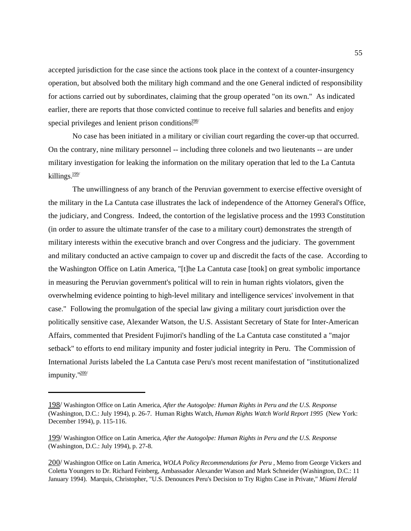accepted jurisdiction for the case since the actions took place in the context of a counter-insurgency operation, but absolved both the military high command and the one General indicted of responsibility for actions carried out by subordinates, claiming that the group operated "on its own." As indicated earlier, there are reports that those convicted continue to receive full salaries and benefits and enjoy special privileges and lenient prison conditions.<sup>198/</sup>

No case has been initiated in a military or civilian court regarding the cover-up that occurred. On the contrary, nine military personnel -- including three colonels and two lieutenants -- are under military investigation for leaking the information on the military operation that led to the La Cantuta killings. $\frac{199}{2}$ 

The unwillingness of any branch of the Peruvian government to exercise effective oversight of the military in the La Cantuta case illustrates the lack of independence of the Attorney General's Office, the judiciary, and Congress. Indeed, the contortion of the legislative process and the 1993 Constitution (in order to assure the ultimate transfer of the case to a military court) demonstrates the strength of military interests within the executive branch and over Congress and the judiciary. The government and military conducted an active campaign to cover up and discredit the facts of the case. According to the Washington Office on Latin America, "[t]he La Cantuta case [took] on great symbolic importance in measuring the Peruvian government's political will to rein in human rights violators, given the overwhelming evidence pointing to high-level military and intelligence services' involvement in that case." Following the promulgation of the special law giving a military court jurisdiction over the politically sensitive case, Alexander Watson, the U.S. Assistant Secretary of State for Inter-American Affairs, commented that President Fujimori's handling of the La Cantuta case constituted a "major setback" to efforts to end military impunity and foster judicial integrity in Peru. The Commission of International Jurists labeled the La Cantuta case Peru's most recent manifestation of "institutionalized impunity."200/

<sup>198/</sup> Washington Office on Latin America, *After the Autogolpe: Human Rights in Peru and the U.S. Response* (Washington, D.C.: July 1994), p. 26-7. Human Rights Watch, *Human Rights Watch World Report 1995* (New York: December 1994), p. 115-116.

<sup>199/</sup> Washington Office on Latin America, *After the Autogolpe: Human Rights in Peru and the U.S. Response* (Washington, D.C.: July 1994), p. 27-8.

<sup>200/</sup> Washington Office on Latin America, *WOLA Policy Recommendations for Peru* , Memo from George Vickers and Coletta Youngers to Dr. Richard Feinberg, Ambassador Alexander Watson and Mark Schneider (Washington, D.C.: 11 January 1994). Marquis, Christopher, "U.S. Denounces Peru's Decision to Try Rights Case in Private," *Miami Herald*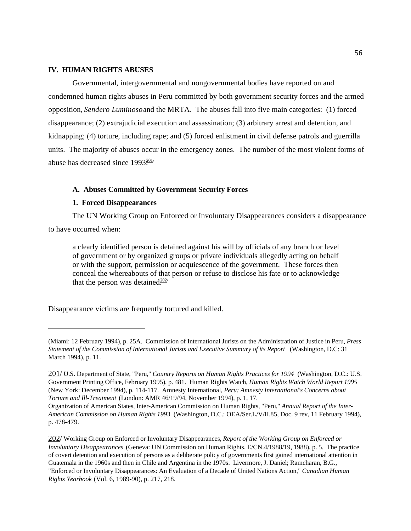## **IV. HUMAN RIGHTS ABUSES**

Governmental, intergovernmental and nongovernmental bodies have reported on and condemned human rights abuses in Peru committed by both government security forces and the armed opposition, *Sendero Luminoso* and the MRTA. The abuses fall into five main categories: (1) forced disappearance; (2) extrajudicial execution and assassination; (3) arbitrary arrest and detention, and kidnapping; (4) torture, including rape; and (5) forced enlistment in civil defense patrols and guerrilla units. The majority of abuses occur in the emergency zones. The number of the most violent forms of abuse has decreased since  $1993 \frac{201}{100}$ 

#### **A. Abuses Committed by Government Security Forces**

# **1. Forced Disappearances**

The UN Working Group on Enforced or Involuntary Disappearances considers a disappearance to have occurred when:

a clearly identified person is detained against his will by officials of any branch or level of government or by organized groups or private individuals allegedly acting on behalf or with the support, permission or acquiescence of the government. These forces then conceal the whereabouts of that person or refuse to disclose his fate or to acknowledge that the person was detained.<sup>202/</sup>

Disappearance victims are frequently tortured and killed.

<sup>(</sup>Miami: 12 February 1994), p. 25A. Commission of International Jurists on the Administration of Justice in Peru, *Press Statement of the Commission of International Jurists and Executive Summary of its Report* (Washington, D.C: 31 March 1994), p. 11.

<sup>201/</sup> U.S. Department of State, "Peru," *Country Reports on Human Rights Practices for 1994* (Washington, D.C.: U.S. Government Printing Office, February 1995), p. 481. Human Rights Watch, *Human Rights Watch World Report 1995* (New York: December 1994), p. 114-117. Amnesty International, *Peru: Amnesty International's Concerns about Torture and Ill-Treatment* (London: AMR 46/19/94, November 1994), p. 1, 17.

Organization of American States, Inter-American Commission on Human Rights, "Peru," *Annual Report of the Inter-American Commission on Human Rights 1993* (Washington, D.C.: OEA/Ser.L/V/II.85, Doc. 9 rev, 11 February 1994), p. 478-479.

<sup>202/</sup> Working Group on Enforced or Involuntary Disappearances, *Report of the Working Group on Enforced or Involuntary Disappearances* (Geneva: UN Commission on Human Rights, E/CN.4/1988/19, 1988), p. 5. The practice of covert detention and execution of persons as a deliberate policy of governments first gained international attention in Guatemala in the 1960s and then in Chile and Argentina in the 1970s. Livermore, J. Daniel; Ramcharan, B.G., "Enforced or Involuntary Disappearances: An Evaluation of a Decade of United Nations Action," *Canadian Human Rights Yearbook* (Vol. 6, 1989-90), p. 217, 218.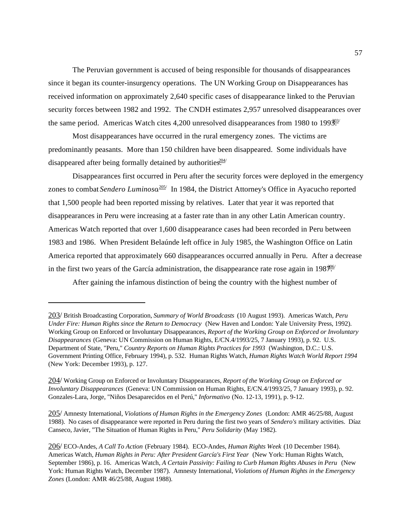The Peruvian government is accused of being responsible for thousands of disappearances since it began its counter-insurgency operations. The UN Working Group on Disappearances has received information on approximately 2,640 specific cases of disappearance linked to the Peruvian security forces between 1982 and 1992. The CNDH estimates 2,957 unresolved disappearances over the same period. Americas Watch cites 4,200 unresolved disappearances from 1980 to 199 $\frac{303}{20}$ 

Most disappearances have occurred in the rural emergency zones. The victims are predominantly peasants. More than 150 children have been disappeared. Some individuals have disappeared after being formally detained by authorities.<sup>204/</sup>

Disappearances first occurred in Peru after the security forces were deployed in the emergency zones to combat *Sendero Luminoso*<sup>205/</sup> In 1984, the District Attorney's Office in Ayacucho reported that 1,500 people had been reported missing by relatives. Later that year it was reported that disappearances in Peru were increasing at a faster rate than in any other Latin American country. Americas Watch reported that over 1,600 disappearance cases had been recorded in Peru between 1983 and 1986. When President Belaúnde left office in July 1985, the Washington Office on Latin America reported that approximately 660 disappearances occurred annually in Peru. After a decrease in the first two years of the García administration, the disappearance rate rose again in 198 $\frac{206}{10}$ 

After gaining the infamous distinction of being the country with the highest number of

<sup>203/</sup> British Broadcasting Corporation, *Summary of World Broadcasts* (10 August 1993). Americas Watch, *Peru Under Fire: Human Rights since the Return to Democracy* (New Haven and London: Yale University Press, 1992). Working Group on Enforced or Involuntary Disappearances, *Report of the Working Group on Enforced or Involuntary Disappearances* (Geneva: UN Commission on Human Rights, E/CN.4/1993/25, 7 January 1993), p. 92. U.S. Department of State, "Peru," *Country Reports on Human Rights Practices for 1993* (Washington, D.C.: U.S. Government Printing Office, February 1994), p. 532. Human Rights Watch, *Human Rights Watch World Report 1994* (New York: December 1993), p. 127.

<sup>204/</sup> Working Group on Enforced or Involuntary Disappearances, *Report of the Working Group on Enforced or Involuntary Disappearances* (Geneva: UN Commission on Human Rights, E/CN.4/1993/25, 7 January 1993), p. 92. Gonzales-Lara, Jorge, "Niños Desaparecidos en el Perú," *Informativo* (No. 12-13, 1991), p. 9-12.

<sup>205/</sup> Amnesty International, *Violations of Human Rights in the Emergency Zones* (London: AMR 46/25/88, August 1988). No cases of disappearance were reported in Peru during the first two years of *Sendero's* military activities. Díaz Canseco, Javier, "The Situation of Human Rights in Peru," *Peru Solidarity* (May 1982).

<sup>206/</sup> ECO-Andes, *A Call To Action* (February 1984). ECO-Andes, *Human Rights Week* (10 December 1984). Americas Watch, *Human Rights in Peru: After President García's First Year* (New York: Human Rights Watch, September 1986), p. 16. Americas Watch, *A Certain Passivity: Failing to Curb Human Rights Abuses in Peru* (New York: Human Rights Watch, December 1987). Amnesty International, *Violations of Human Rights in the Emergency Zones* (London: AMR 46/25/88, August 1988).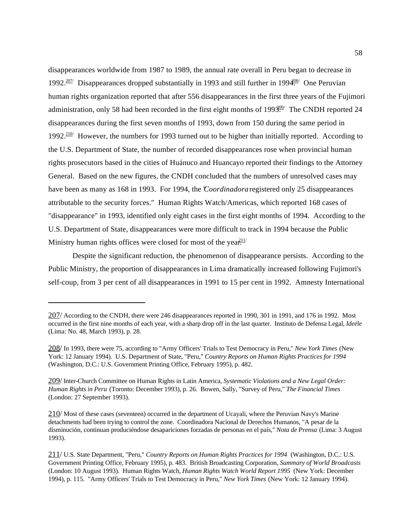disappearances worldwide from 1987 to 1989, the annual rate overall in Peru began to decrease in 1992.<sup>207/</sup> Disappearances dropped substantially in 1993 and still further in 1994<sup>08/</sup> One Peruvian human rights organization reported that after 556 disappearances in the first three years of the Fujimori administration, only 58 had been recorded in the first eight months of 199 $3.99$ . The CNDH reported 24 disappearances during the first seven months of 1993, down from 150 during the same period in 1992. $\frac{210}{}{ }$  However, the numbers for 1993 turned out to be higher than initially reported. According to the U.S. Department of State, the number of recorded disappearances rose when provincial human rights prosecutors based in the cities of Huánuco and Huancayo reported their findings to the Attorney General. Based on the new figures, the CNDH concluded that the numbers of unresolved cases may have been as many as 168 in 1993. For 1994, the "*Coordinadora* registered only 25 disappearances attributable to the security forces." Human Rights Watch/Americas, which reported 168 cases of "disappearance" in 1993, identified only eight cases in the first eight months of 1994. According to the U.S. Department of State, disappearances were more difficult to track in 1994 because the Public Ministry human rights offices were closed for most of the yea $\frac{211}{1}$ 

Despite the significant reduction, the phenomenon of disappearance persists. According to the Public Ministry, the proportion of disappearances in Lima dramatically increased following Fujimori's self-coup, from 3 per cent of all disappearances in 1991 to 15 per cent in 1992. Amnesty International

<sup>207/</sup> According to the CNDH, there were 246 disappearances reported in 1990, 301 in 1991, and 176 in 1992. Most occurred in the first nine months of each year, with a sharp drop off in the last quarter. Instituto de Defensa Legal, *Ideéle* (Lima: No. 48, March 1993), p. 28.

<sup>208/</sup> In 1993, there were 75, according to "Army Officers' Trials to Test Democracy in Peru," *New York Times* (New York: 12 January 1994). U.S. Department of State, "Peru," *Country Reports on Human Rights Practices for 1994* (Washington, D.C.: U.S. Government Printing Office, February 1995), p. 482.

<sup>209/</sup> Inter-Church Committee on Human Rights in Latin America, *Systematic Violations and a New Legal Order: Human Rights in Peru* (Toronto: December 1993), p. 26. Bowen, Sally, "Survey of Peru," *The Financial Times* (London: 27 September 1993).

<sup>210/</sup> Most of these cases (seventeen) occurred in the department of Ucayali, where the Peruvian Navy's Marine detachments had been trying to control the zone. Coordinadora Nacional de Derechos Humanos, "A pesar de la disminución, continuan produciéndose desapariciones forzadas de personas en el país," *Nota de Prensa* (Lima: 3 August 1993).

<sup>211/</sup> U.S. State Department, "Peru," *Country Reports on Human Rights Practices for 1994* (Washington, D.C.: U.S. Government Printing Office, February 1995), p. 483. British Broadcasting Corporation, *Summary of World Broadcasts* (London: 10 August 1993). Human Rights Watch, *Human Rights Watch World Report 1995* (New York: December 1994), p. 115. "Army Officers' Trials to Test Democracy in Peru," *New York Times* (New York: 12 January 1994).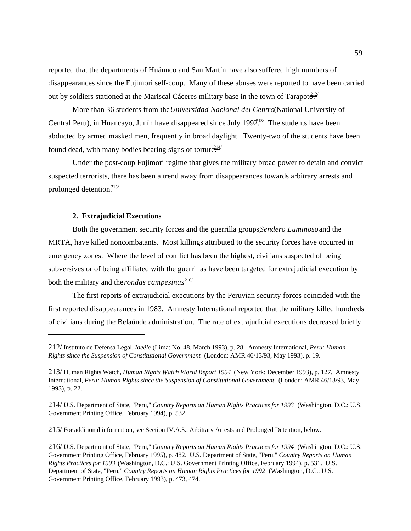reported that the departments of Huánuco and San Martín have also suffered high numbers of disappearances since the Fujimori self-coup. Many of these abuses were reported to have been carried out by soldiers stationed at the Mariscal Cáceres military base in the town of Tarapot $\frac{\partial^{12}}{\partial x^{12}}$ 

More than 36 students from the *Universidad Nacional del Centro* (National University of Central Peru), in Huancayo, Junín have disappeared since July 199 $2^{13}$  The students have been abducted by armed masked men, frequently in broad daylight. Twenty-two of the students have been found dead, with many bodies bearing signs of torture.<sup>214/</sup>

Under the post-coup Fujimori regime that gives the military broad power to detain and convict suspected terrorists, there has been a trend away from disappearances towards arbitrary arrests and prolonged detention. $215/$ 

#### **2. Extrajudicial Executions**

Both the government security forces and the guerrilla groups, *Sendero Luminoso* and the MRTA, have killed noncombatants. Most killings attributed to the security forces have occurred in emergency zones. Where the level of conflict has been the highest, civilians suspected of being subversives or of being affiliated with the guerrillas have been targeted for extrajudicial execution by both the military and the *rondas campesinas*<sup>216</sup>

The first reports of extrajudicial executions by the Peruvian security forces coincided with the first reported disappearances in 1983. Amnesty International reported that the military killed hundreds of civilians during the Belaúnde administration. The rate of extrajudicial executions decreased briefly

215/ For additional information, see Section IV.A.3., Arbitrary Arrests and Prolonged Detention, below.

<sup>212/</sup> Instituto de Defensa Legal, *Ideéle* (Lima: No. 48, March 1993), p. 28. Amnesty International, *Peru: Human Rights since the Suspension of Constitutional Government* (London: AMR 46/13/93, May 1993), p. 19.

<sup>213/</sup> Human Rights Watch, *Human Rights Watch World Report 1994* (New York: December 1993), p. 127. Amnesty International, *Peru: Human Rights since the Suspension of Constitutional Government* (London: AMR 46/13/93, May 1993), p. 22.

<sup>214/</sup> U.S. Department of State, "Peru," *Country Reports on Human Rights Practices for 1993* (Washington, D.C.: U.S. Government Printing Office, February 1994), p. 532.

<sup>216/</sup> U.S. Department of State, "Peru," *Country Reports on Human Rights Practices for 1994* (Washington, D.C.: U.S. Government Printing Office, February 1995), p. 482. U.S. Department of State, "Peru," *Country Reports on Human Rights Practices for 1993* (Washington, D.C.: U.S. Government Printing Office, February 1994), p. 531. U.S. Department of State, "Peru," *Country Reports on Human Rights Practices for 1992* (Washington, D.C.: U.S. Government Printing Office, February 1993), p. 473, 474.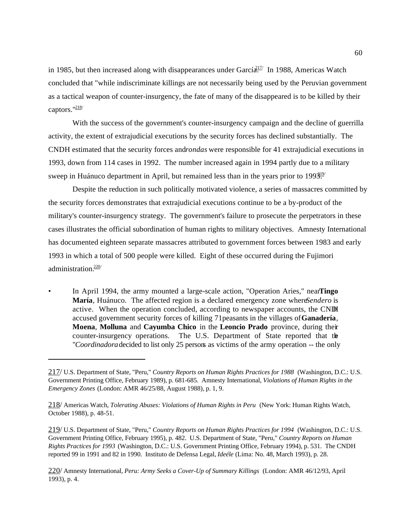in 1985, but then increased along with disappearances under García.<sup>217/</sup> In 1988, Americas Watch concluded that "while indiscriminate killings are not necessarily being used by the Peruvian government as a tactical weapon of counter-insurgency, the fate of many of the disappeared is to be killed by their captors."<sup>218/</sup>

With the success of the government's counter-insurgency campaign and the decline of guerrilla activity, the extent of extrajudicial executions by the security forces has declined substantially. The CNDH estimated that the security forces and *rondas* were responsible for 41 extrajudicial executions in 1993, down from 114 cases in 1992. The number increased again in 1994 partly due to a military sweep in Huánuco department in April, but remained less than in the years prior to  $199\frac{319}{21}$ 

Despite the reduction in such politically motivated violence, a series of massacres committed by the security forces demonstrates that extrajudicial executions continue to be a by-product of the military's counter-insurgency strategy. The government's failure to prosecute the perpetrators in these cases illustrates the official subordination of human rights to military objectives. Amnesty International has documented eighteen separate massacres attributed to government forces between 1983 and early 1993 in which a total of 500 people were killed. Eight of these occurred during the Fujimori administration $.220/$ 

In April 1994, the army mounted a large-scale action, "Operation Aries," nearTingo **María**, Huánuco. The affected region is a declared emergency zone where *Sendero* is active. When the operation concluded, according to newspaper accounts, the CNDH accused government security forces of killing 71 peasants in the villages of **Ganadería**, **Moena**, **Molluna** and **Cayumba Chico** in the **Leoncio Prado** province, during their counter-insurgency operations. The U.S. Department of State reported that the "*Coordinadora* decided to list only 25 persons as victims of the army operation -- the only

219/ U.S. Department of State, "Peru," *Country Reports on Human Rights Practices for 1994* (Washington, D.C.: U.S. Government Printing Office, February 1995), p. 482. U.S. Department of State, "Peru," *Country Reports on Human Rights Practices for 1993* (Washington, D.C.: U.S. Government Printing Office, February 1994), p. 531. The CNDH reported 99 in 1991 and 82 in 1990. Instituto de Defensa Legal, *Ideéle* (Lima: No. 48, March 1993), p. 28.

220/ Amnesty International, *Peru: Army Seeks a Cover-Up of Summary Killings* (London: AMR 46/12/93, April 1993), p. 4.

<sup>217/</sup> U.S. Department of State, "Peru," *Country Reports on Human Rights Practices for 1988* (Washington, D.C.: U.S. Government Printing Office, February 1989), p. 681-685. Amnesty International, *Violations of Human Rights in the Emergency Zones* (London: AMR 46/25/88, August 1988), p. 1, 9.

<sup>218/</sup> Americas Watch, *Tolerating Abuses: Violations of Human Rights in Peru* (New York: Human Rights Watch, October 1988), p. 48-51.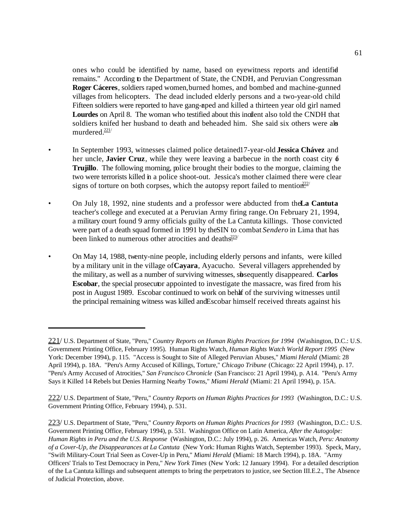ones who could be identified by name, based on eyewitness reports and identified remains." According to the Department of State, the CNDH, and Peruvian Congressman **Roger Cáceres**, soldiers raped women, burned homes, and bombed and machine-gunned villages from helicopters. The dead included elderly persons and a two-year-old child. Fifteen soldiers were reported to have gang-aped and killed a thirteen year old girl named Lourdes on April 8. The woman who testified about this incident also told the CNDH that soldiers knifed her husband to death and beheaded him. She said six others were als murdered.221/

- In September 1993, witnesses claimed police detained 17-year-old **Jessica Chávez** and her uncle, **Javier Cruz**, while they were leaving a barbecue in the north coast city  $\phi$ **Trujillo**. The following morning, police brought their bodies to the morgue, claiming the two were terrorists killed in a police shoot-out. Jessica's mother claimed there were clear signs of torture on both corpses, which the autopsy report failed to mention.<sup>222/</sup>
- On July 18, 1992, nine students and a professor were abducted from the La Cantuta teacher's college and executed at a Peruvian Army firing range. On February 21, 1994, a military court found 9 army officials guilty of the La Cantuta killings. Those convicted were part of a death squad formed in 1991 by the SIN to combat *Sendero* in Lima that has been linked to numerous other atrocities and deaths $223/$
- On May 14, 1988, twenty-nine people, including elderly persons and infants, were killed by a military unit in the village of **Cayara**, Ayacucho. Several villagers apprehended by the military, as well as a number of surviving witnesses, subsequently disappeared. **Carlos Escobar**, the special prosecutor appointed to investigate the massacre, was fired from his post in August 1989. Escobar continued to work on behalf of the surviving witnesses until the principal remaining witness was killed and Escobar himself received threats against his

<sup>221/</sup> U.S. Department of State, "Peru," *Country Reports on Human Rights Practices for 1994* (Washington, D.C.: U.S. Government Printing Office, February 1995). Human Rights Watch, *Human Rights Watch World Report 1995* (New York: December 1994), p. 115. "Access is Sought to Site of Alleged Peruvian Abuses," *Miami Herald* (Miami: 28 April 1994), p. 18A. "Peru's Army Accused of Killings, Torture," *Chicago Tribune* (Chicago: 22 April 1994), p. 17. "Peru's Army Accused of Atrocities," *San Francisco Chronicle* (San Francisco: 21 April 1994), p. A14. "Peru's Army Says it Killed 14 Rebels but Denies Harming Nearby Towns," *Miami Herald* (Miami: 21 April 1994), p. 15A.

<sup>222/</sup> U.S. Department of State, "Peru," *Country Reports on Human Rights Practices for 1993* (Washington, D.C.: U.S. Government Printing Office, February 1994), p. 531.

<sup>223/</sup> U.S. Department of State, "Peru," *Country Reports on Human Rights Practices for 1993* (Washington, D.C.: U.S. Government Printing Office, February 1994), p. 531. Washington Office on Latin America, *After the Autogolpe: Human Rights in Peru and the U.S. Response* (Washington, D.C.: July 1994), p. 26. Americas Watch, *Peru: Anatomy of a Cover-Up, the Disappearances at La Cantuta* (New York: Human Rights Watch, September 1993). Speck, Mary, "Swift Military-Court Trial Seen as Cover-Up in Peru," *Miami Herald* (Miami: 18 March 1994), p. 18A. "Army Officers' Trials to Test Democracy in Peru," *New York Times* (New York: 12 January 1994). For a detailed description of the La Cantuta killings and subsequent attempts to bring the perpetrators to justice, see Section III.E.2., The Absence of Judicial Protection, above.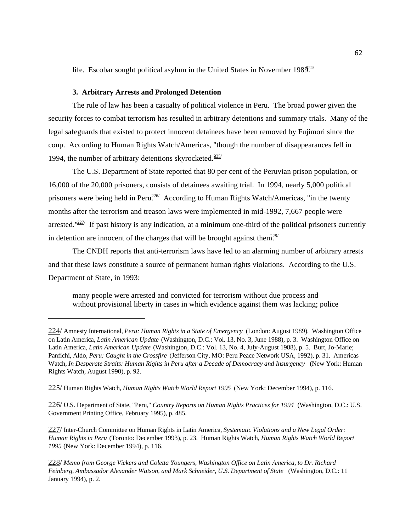life. Escobar sought political asylum in the United States in November 198 $924$ 

### **3. Arbitrary Arrests and Prolonged Detention**

The rule of law has been a casualty of political violence in Peru. The broad power given the security forces to combat terrorism has resulted in arbitrary detentions and summary trials. Many of the legal safeguards that existed to protect innocent detainees have been removed by Fujimori since the coup. According to Human Rights Watch/Americas, "though the number of disappearances fell in 1994, the number of arbitrary detentions skyrocketed. $225/$ 

The U.S. Department of State reported that 80 per cent of the Peruvian prison population, or 16,000 of the 20,000 prisoners, consists of detainees awaiting trial. In 1994, nearly 5,000 political prisoners were being held in Peru. According to Human Rights Watch/Americas, "in the twenty months after the terrorism and treason laws were implemented in mid-1992, 7,667 people were arrested." $227$  If past history is any indication, at a minimum one-third of the political prisoners currently in detention are innocent of the charges that will be brought against then.<sup>228/</sup>

The CNDH reports that anti-terrorism laws have led to an alarming number of arbitrary arrests and that these laws constitute a source of permanent human rights violations. According to the U.S. Department of State, in 1993:

many people were arrested and convicted for terrorism without due process and without provisional liberty in cases in which evidence against them was lacking; police

226/ U.S. Department of State, "Peru," *Country Reports on Human Rights Practices for 1994* (Washington, D.C.: U.S. Government Printing Office, February 1995), p. 485.

227/ Inter-Church Committee on Human Rights in Latin America, *Systematic Violations and a New Legal Order: Human Rights in Peru* (Toronto: December 1993), p. 23. Human Rights Watch, *Human Rights Watch World Report 1995* (New York: December 1994), p. 116.

<sup>224/</sup> Amnesty International, *Peru: Human Rights in a State of Emergency* (London: August 1989). Washington Office on Latin America, *Latin American Update* (Washington, D.C.: Vol. 13, No. 3, June 1988), p. 3. Washington Office on Latin America, *Latin American Update* (Washington, D.C.: Vol. 13, No. 4, July-August 1988), p. 5. Burt, Jo-Marie; Panfichi, Aldo, *Peru: Caught in the Crossfire* (Jefferson City, MO: Peru Peace Network USA, 1992), p. 31. Americas Watch, *In Desperate Straits: Human Rights in Peru after a Decade of Democracy and Insurgency* (New York: Human Rights Watch, August 1990), p. 92.

<sup>225/</sup> Human Rights Watch, *Human Rights Watch World Report 1995* (New York: December 1994), p. 116.

<sup>228/</sup> *Memo from George Vickers and Coletta Youngers, Washington Office on Latin America, to Dr. Richard Feinberg, Ambassador Alexander Watson, and Mark Schneider, U.S. Department of State* (Washington, D.C.: 11 January 1994), p. 2.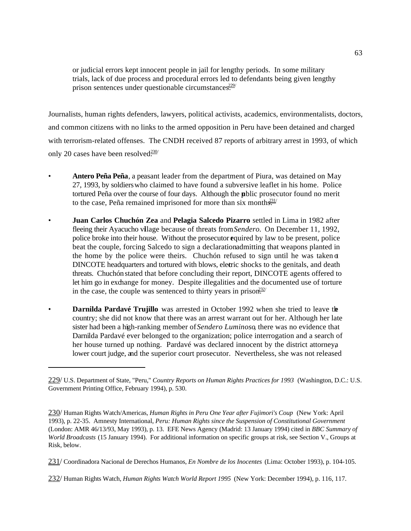or judicial errors kept innocent people in jail for lengthy periods. In some military trials, lack of due process and procedural errors led to defendants being given lengthy prison sentences under questionable circumstances.<sup>229/</sup>

Journalists, human rights defenders, lawyers, political activists, academics, environmentalists, doctors, and common citizens with no links to the armed opposition in Peru have been detained and charged with terrorism-related offenses. The CNDH received 87 reports of arbitrary arrest in 1993, of which only 20 cases have been resolved $\frac{230}{10}$ 

- **Antero Peña Peña**, a peasant leader from the department of Piura, was detained on May 27, 1993, by soldiers who claimed to have found a subversive leaflet in his home. Police tortured Peña over the course of four days. Although the public prosecutor found no merit to the case, Peña remained imprisoned for more than six month $\frac{231}{25}$
- **Juan Carlos Chuchón Zea** and **Pelagia Salcedo Pizarro** settled in Lima in 1982 after fleeing their Ayacucho village because of threats from *Sendero.* On December 11, 1992, police broke into their house. Without the prosecutor equired by law to be present, police beat the couple, forcing Salcedo to sign a declaration admitting that weapons planted in the home by the police were theirs. Chuchón refused to sign until he was taken  $\sigma$ DINCOTE headquarters and tortured with blows, electric shocks to the genitals, and death threats. Chuchón stated that before concluding their report, DINCOTE agents offered to let him go in exchange for money. Despite illegalities and the documented use of torture in the case, the couple was sentenced to thirty years in prison.<sup>232/</sup>
- **Darnilda Pardavé Trujillo** was arrested in October 1992 when she tried to leave the country; she did not know that there was an arrest warrant out for her. Although her late sister had been a high-ranking member of *Sendero Luminoso*, there was no evidence that Darnilda Pardavé ever belonged to the organization; police interrogation and a search of her house turned up nothing. Pardavé was declared innocent by the district attorneya lower court judge, and the superior court prosecutor. Nevertheless, she was not released

<sup>229/</sup> U.S. Department of State, "Peru," *Country Reports on Human Rights Practices for 1993* (Washington, D.C.: U.S. Government Printing Office, February 1994), p. 530.

<sup>230/</sup> Human Rights Watch/Americas, *Human Rights in Peru One Year after Fujimori's Coup* (New York: April 1993), p. 22-35. Amnesty International, *Peru: Human Rights since the Suspension of Constitutional Government* (London: AMR 46/13/93, May 1993), p. 13. EFE News Agency (Madrid: 13 January 1994) cited in *BBC Summary of World Broadcasts* (15 January 1994). For additional information on specific groups at risk, see Section V., Groups at Risk, below.

<sup>231/</sup> Coordinadora Nacional de Derechos Humanos, *En Nombre de los Inocentes* (Lima: October 1993), p. 104-105.

<sup>232/</sup> Human Rights Watch, *Human Rights Watch World Report 1995* (New York: December 1994), p. 116, 117.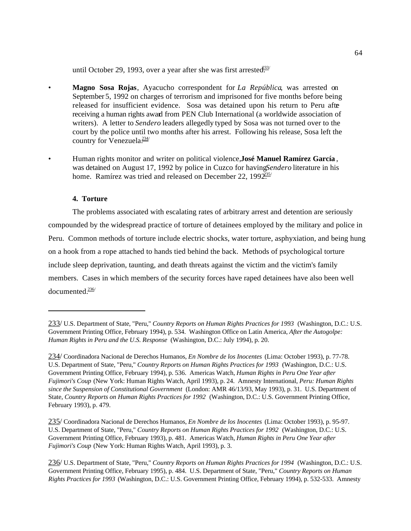until October 29, 1993, over a year after she was first arrested.<sup>33/</sup>

- **Magno Sosa Rojas**, Ayacucho correspondent for *La República*, was arrested on September 5, 1992 on charges of terrorism and imprisoned for five months before being released for insufficient evidence. Sosa was detained upon his return to Peru afte receiving a human rights award from PEN Club International (a worldwide association of writers). A letter to *Sendero* leaders allegedly typed by Sosa was not turned over to the court by the police until two months after his arrest. Following his release, Sosa left the country for Venezuela $\frac{234}{ }$
- Human rights monitor and writer on political violence, **José Manuel Ramírez García** , was detained on August 17, 1992 by police in Cuzco for having *Sendero* literature in his home. Ramírez was tried and released on December 22, 199 $2.25$

# **4. Torture**

The problems associated with escalating rates of arbitrary arrest and detention are seriously compounded by the widespread practice of torture of detainees employed by the military and police in Peru. Common methods of torture include electric shocks, water torture, asphyxiation, and being hung on a hook from a rope attached to hands tied behind the back. Methods of psychological torture include sleep deprivation, taunting, and death threats against the victim and the victim's family members. Cases in which members of the security forces have raped detainees have also been well documented. $236/$ 

<sup>233/</sup> U.S. Department of State, "Peru," *Country Reports on Human Rights Practices for 1993* (Washington, D.C.: U.S. Government Printing Office, February 1994), p. 534. Washington Office on Latin America, *After the Autogolpe: Human Rights in Peru and the U.S. Response* (Washington, D.C.: July 1994), p. 20.

<sup>234/</sup> Coordinadora Nacional de Derechos Humanos, *En Nombre de los Inocentes* (Lima: October 1993), p. 77-78. U.S. Department of State, "Peru," *Country Reports on Human Rights Practices for 1993* (Washington, D.C.: U.S. Government Printing Office, February 1994), p. 536. Americas Watch, *Human Rights in Peru One Year after Fujimori's Coup* (New York: Human Rights Watch, April 1993), p. 24. Amnesty International, *Peru: Human Rights since the Suspension of Constitutional Government* (London: AMR 46/13/93, May 1993), p. 31. U.S. Department of State, *Country Reports on Human Rights Practices for 1992* (Washington, D.C.: U.S. Government Printing Office, February 1993), p. 479.

<sup>235/</sup> Coordinadora Nacional de Derechos Humanos, *En Nombre de los Inocentes* (Lima: October 1993), p. 95-97. U.S. Department of State, "Peru," *Country Reports on Human Rights Practices for 1992* (Washington, D.C.: U.S. Government Printing Office, February 1993), p. 481. Americas Watch, *Human Rights in Peru One Year after Fujimori's Coup* (New York: Human Rights Watch, April 1993), p. 3.

<sup>236/</sup> U.S. Department of State, "Peru," *Country Reports on Human Rights Practices for 1994* (Washington, D.C.: U.S. Government Printing Office, February 1995), p. 484. U.S. Department of State, "Peru," *Country Reports on Human Rights Practices for 1993* (Washington, D.C.: U.S. Government Printing Office, February 1994), p. 532-533. Amnesty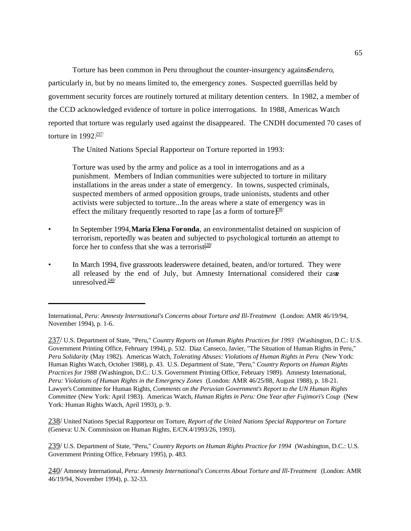Torture has been common in Peru throughout the counter-insurgency agains *Sendero*, particularly in, but by no means limited to, the emergency zones. Suspected guerrillas held by government security forces are routinely tortured at military detention centers. In 1982, a member of the CCD acknowledged evidence of torture in police interrogations. In 1988, Americas Watch reported that torture was regularly used against the disappeared. The CNDH documented 70 cases of torture in  $1992.237$ 

The United Nations Special Rapporteur on Torture reported in 1993:

Torture was used by the army and police as a tool in interrogations and as a punishment. Members of Indian communities were subjected to torture in military installations in the areas under a state of emergency. In towns, suspected criminals, suspected members of armed opposition groups, trade unionists, students and other activists were subjected to torture...In the areas where a state of emergency was in effect the military frequently resorted to rape [as a form of torture].<sup>338/</sup>

- In September 1994, **María Elena Foronda**, an environmentalist detained on suspicion of terrorism, reportedly was beaten and subjected to psychological torture in an attempt to force her to confess that she was a terrorist $\frac{239}{12}$
- In March 1994, five grassroots leaders were detained, beaten, and/or tortured. They were all released by the end of July, but Amnesty International considered their case unresolved $\frac{240}{ }$

238/ United Nations Special Rapporteur on Torture, *Report of the United Nations Special Rapporteur on Torture* (Geneva: U.N. Commission on Human Rights, E/CN.4/1993/26, 1993).

239/ U.S. Department of State, "Peru," *Country Reports on Human Rights Practice for 1994* (Washington, D.C.: U.S. Government Printing Office, February 1995), p. 483.

240/ Amnesty International, *Peru: Amnesty International's Concerns About Torture and Ill-Treatment* (London: AMR 46/19/94, November 1994), p. 32-33.

International, *Peru: Amnesty International's Concerns about Torture and Ill-Treatment* (London: AMR 46/19/94, November 1994), p. 1-6.

<sup>237/</sup> U.S. Department of State, "Peru," *Country Reports on Human Rights Practices for 1993* (Washington, D.C.: U.S. Government Printing Office, February 1994), p. 532. Díaz Canseco, Javier, "The Situation of Human Rights in Peru," *Peru Solidarity* (May 1982). Americas Watch, *Tolerating Abuses: Violations of Human Rights in Peru* (New York: Human Rights Watch, October 1988), p. 43. U.S. Department of State, "Peru," *Country Reports on Human Rights Practices for 1988* (Washington, D.C.: U.S. Government Printing Office, February 1989). Amnesty International, *Peru: Violations of Human Rights in the Emergency Zones* (London: AMR 46/25/88, August 1988), p. 18-21. Lawyer's Committee for Human Rights, *Comments on the Peruvian Government's Report to the UN Human Rights Committee* (New York: April 1983). Americas Watch, *Human Rights in Peru: One Year after Fujimori's Coup* (New York: Human Rights Watch, April 1993), p. 9.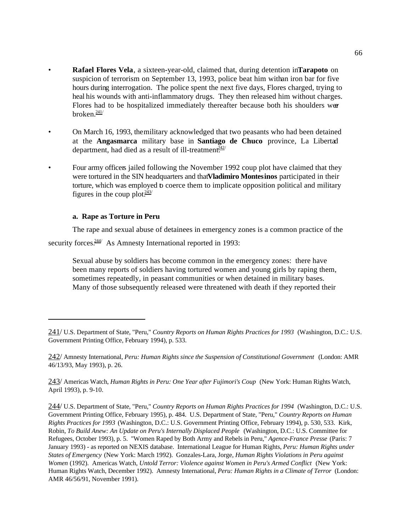- **Rafael Flores Vela**, a sixteen-year-old, claimed that, during detention in **Tarapoto** on suspicion of terrorism on September 13, 1993, police beat him with an iron bar for five hours during interrogation. The police spent the next five days, Flores charged, trying to heal his wounds with anti-inflammatory drugs. They then released him without charges. Flores had to be hospitalized immediately thereafter because both his shoulders were broken $.241/$
- On March 16, 1993, the military acknowledged that two peasants who had been detained at the **Angasmarca** military base in **Santiago de Chuco** province, La Libertad department, had died as a result of ill-treatment.<sup>242/</sup>
- Four army officers jailed following the November 1992 coup plot have claimed that they were tortured in the SIN headquarters and that **Vladimiro Montesinos** participated in their torture, which was employed to coerce them to implicate opposition political and military figures in the coup plot. $\frac{243}{4}$

#### **a. Rape as Torture in Peru**

The rape and sexual abuse of detainees in emergency zones is a common practice of the

security forces. $244/$  As Amnesty International reported in 1993:

Sexual abuse by soldiers has become common in the emergency zones: there have been many reports of soldiers having tortured women and young girls by raping them, sometimes repeatedly, in peasant communities or when detained in military bases. Many of those subsequently released were threatened with death if they reported their

<sup>241/</sup> U.S. Department of State, "Peru," *Country Reports on Human Rights Practices for 1993* (Washington, D.C.: U.S. Government Printing Office, February 1994), p. 533.

<sup>242/</sup> Amnesty International, *Peru: Human Rights since the Suspension of Constitutional Government* (London: AMR 46/13/93, May 1993), p. 26.

<sup>243/</sup> Americas Watch, *Human Rights in Peru: One Year after Fujimori's Coup* (New York: Human Rights Watch, April 1993), p. 9-10.

<sup>244/</sup> U.S. Department of State, "Peru," *Country Reports on Human Rights Practices for 1994* (Washington, D.C.: U.S. Government Printing Office, February 1995), p. 484. U.S. Department of State, "Peru," *Country Reports on Human Rights Practices for 1993* (Washington, D.C.: U.S. Government Printing Office, February 1994), p. 530, 533. Kirk, Robin, *To Build Anew: An Update on Peru's Internally Displaced People* (Washington, D.C.: U.S. Committee for Refugees, October 1993), p. 5. "Women Raped by Both Army and Rebels in Peru," *Agence-France Presse* (Paris: 7 January 1993) - as reported on NEXIS database. International League for Human Rights, *Peru: Human Rights under States of Emergency* (New York: March 1992). Gonzales-Lara, Jorge, *Human Rights Violations in Peru against Women* (1992). Americas Watch, *Untold Terror: Violence against Women in Peru's Armed Conflict* (New York: Human Rights Watch, December 1992). Amnesty International, *Peru: Human Rights in a Climate of Terror* (London: AMR 46/56/91, November 1991).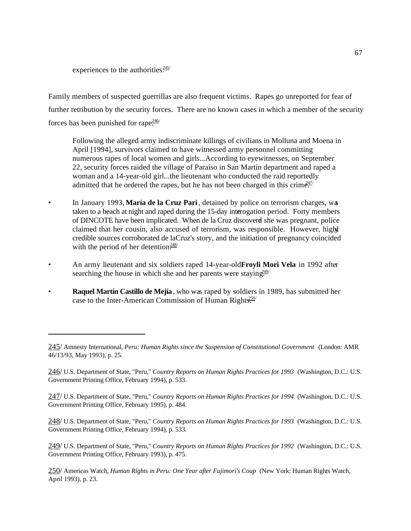experiences to the authorities. $245/$ 

Family members of suspected guerrillas are also frequent victims. Rapes go unreported for fear of further retribution by the security forces. There are no known cases in which a member of the security forces has been punished for rape $\frac{246}{1}$ 

Following the alleged army indiscriminate killings of civilians in Molluna and Moena in April [1994], survivors claimed to have witnessed army personnel committing numerous rapes of local women and girls...According to eyewitnesses, on September 22, security forces raided the village of Paraíso in San Martín department and raped a woman and a 14-year-old girl...the lieutenant who conducted the raid reportedly admitted that he ordered the rapes, but he has not been charged in this crime.<sup>447/</sup>

- In January 1993, **María de la Cruz Pari**, detained by police on terrorism charges, was taken to a beach at night and raped during the 15-day interrogation period. Forty members of DINCOTE have been implicated. When de la Cruz discoverd she was pregnant, police claimed that her cousin, also accused of terrorism, was responsible. However, highly credible sources corroborated de la Cruz's story, and the initiation of pregnancy coincided with the period of her detention $\frac{248}{1}$
- An army lieutenant and six soldiers raped 14-year-old **Froyli Mori Vela** in 1992 after searching the house in which she and her parents were staying.<sup>249/</sup>
- **Raquel Martín Castillo de Mejía**, who was raped by soldiers in 1989, has submitted her case to the Inter-American Commission of Human Rights<sup>250</sup>

247/ U.S. Department of State, "Peru," *Country Reports on Human Rights Practices for 1994* (Washington, D.C.: U.S. Government Printing Office, February 1995), p. 484.

248/ U.S. Department of State, "Peru," *Country Reports on Human Rights Practices for 1993* (Washington, D.C.: U.S. Government Printing Office, February 1994), p. 533.

249/ U.S. Department of State, "Peru," *Country Reports on Human Rights Practices for 1992* (Washington, D.C.: U.S. Government Printing Office, February 1993), p. 475.

250/ Americas Watch, *Human Rights in Peru: One Year after Fujimori's Coup* (New York: Human Rights Watch, April 1993), p. 23.

<sup>245/</sup> Amnesty International, *Peru: Human Rights since the Suspension of Constitutional Government* (London: AMR 46/13/93, May 1993), p. 25.

<sup>246/</sup> U.S. Department of State, "Peru," *Country Reports on Human Rights Practices for 1993* (Washington, D.C.: U.S. Government Printing Office, February 1994), p. 533.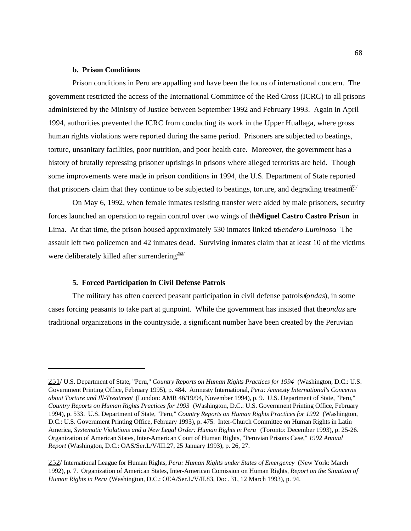## **b. Prison Conditions**

Prison conditions in Peru are appalling and have been the focus of international concern. The government restricted the access of the International Committee of the Red Cross (ICRC) to all prisons administered by the Ministry of Justice between September 1992 and February 1993. Again in April 1994, authorities prevented the ICRC from conducting its work in the Upper Huallaga, where gross human rights violations were reported during the same period. Prisoners are subjected to beatings, torture, unsanitary facilities, poor nutrition, and poor health care. Moreover, the government has a history of brutally repressing prisoner uprisings in prisons where alleged terrorists are held. Though some improvements were made in prison conditions in 1994, the U.S. Department of State reported that prisoners claim that they continue to be subjected to beatings, torture, and degrading treatment.

On May 6, 1992, when female inmates resisting transfer were aided by male prisoners, security forces launched an operation to regain control over two wings of the **Miguel Castro Castro Prison** in Lima. At that time, the prison housed approximately 530 inmates linked to *Sendero Luminoso*. The assault left two policemen and 42 inmates dead. Surviving inmates claim that at least 10 of the victims were deliberately killed after surrendering.<sup>252/</sup>

#### **5. Forced Participation in Civil Defense Patrols**

The military has often coerced peasant participation in civil defense patrols (*rondas*), in some cases forcing peasants to take part at gunpoint. While the government has insisted that the *ondas* are traditional organizations in the countryside, a significant number have been created by the Peruvian

<sup>251/</sup> U.S. Department of State, "Peru," *Country Reports on Human Rights Practices for 1994* (Washington, D.C.: U.S. Government Printing Office, February 1995), p. 484. Amnesty International, *Peru: Amnesty International's Concerns about Torture and Ill-Treatment* (London: AMR 46/19/94, November 1994), p. 9. U.S. Department of State, "Peru," *Country Reports on Human Rights Practices for 1993* (Washington, D.C.: U.S. Government Printing Office, February 1994), p. 533. U.S. Department of State, "Peru," *Country Reports on Human Rights Practices for 1992* (Washington, D.C.: U.S. Government Printing Office, February 1993), p. 475. Inter-Church Committee on Human Rights in Latin America, *Systematic Violations and a New Legal Order: Human Rights in Peru* (Toronto: December 1993), p. 25-26. Organization of American States, Inter-American Court of Human Rights, "Peruvian Prisons Case," *1992 Annual Report* (Washington, D.C.: OAS/Ser.L/V/III.27, 25 January 1993), p. 26, 27.

<sup>252/</sup> International League for Human Rights, *Peru: Human Rights under States of Emergency* (New York: March 1992), p. 7. Organization of American States, Inter-American Comission on Human Rights, *Report on the Situation of Human Rights in Peru* (Washington, D.C.: OEA/Ser.L/V/II.83, Doc. 31, 12 March 1993), p. 94.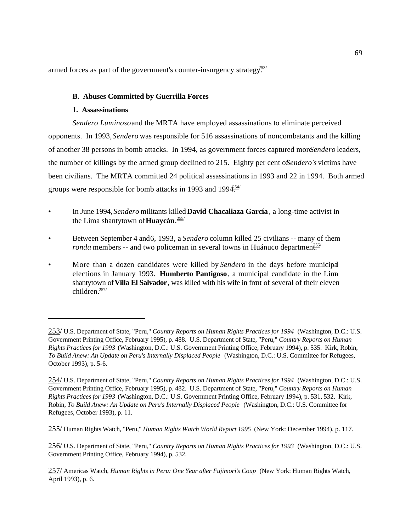armed forces as part of the government's counter-insurgency strategy.<sup> $253/$ </sup>

# **B. Abuses Committed by Guerrilla Forces**

## **1. Assassinations**

*Sendero Luminoso* and the MRTA have employed assassinations to eliminate perceived opponents. In 1993, *Sendero* was responsible for 516 assassinations of noncombatants and the killing of another 38 persons in bomb attacks. In 1994, as government forces captured more *Sendero* leaders, the number of killings by the armed group declined to 215. Eighty per cent of *Sendero's* victims have been civilians. The MRTA committed 24 political assassinations in 1993 and 22 in 1994. Both armed groups were responsible for bomb attacks in 1993 and 199 $4.54$ /

- In June 1994, *Sendero* militants killed **David Chacaliaza García** , a long-time activist in the Lima shantytown of **Huaycán**. 255/
- Between September 4 and 6, 1993, a *Sendero* column killed 25 civilians -- many of them *ronda* members -- and two policeman in several towns in Huánuco departmen<sup>256/</sup>
- More than a dozen candidates were killed by *Sendero* in the days before municipal elections in January 1993. **Humberto Pantigoso**, a municipal candidate in the Lima shantytown of **Villa El Salvador**, was killed with his wife in front of several of their eleven children.257/

255/ Human Rights Watch, "Peru," *Human Rights Watch World Report 1995* (New York: December 1994), p. 117.

256/ U.S. Department of State, "Peru," *Country Reports on Human Rights Practices for 1993* (Washington, D.C.: U.S. Government Printing Office, February 1994), p. 532.

257/ Americas Watch, *Human Rights in Peru: One Year after Fujimori's Coup* (New York: Human Rights Watch, April 1993), p. 6.

<sup>253/</sup> U.S. Department of State, "Peru," *Country Reports on Human Rights Practices for 1994* (Washington, D.C.: U.S. Government Printing Office, February 1995), p. 488. U.S. Department of State, "Peru," *Country Reports on Human Rights Practices for 1993* (Washington, D.C.: U.S. Government Printing Office, February 1994), p. 535. Kirk, Robin, *To Build Anew: An Update on Peru's Internally Displaced People* (Washington, D.C.: U.S. Committee for Refugees, October 1993), p. 5-6.

<sup>254/</sup> U.S. Department of State, "Peru," *Country Reports on Human Rights Practices for 1994* (Washington, D.C.: U.S. Government Printing Office, February 1995), p. 482. U.S. Department of State, "Peru," *Country Reports on Human Rights Practices for 1993* (Washington, D.C.: U.S. Government Printing Office, February 1994), p. 531, 532. Kirk, Robin, *To Build Anew: An Update on Peru's Internally Displaced People* (Washington, D.C.: U.S. Committee for Refugees, October 1993), p. 11.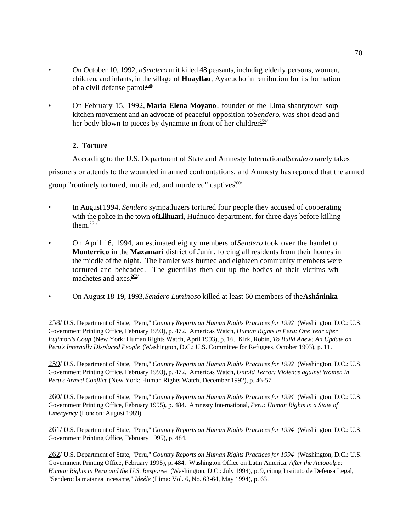- On October 10, 1992, a *Sendero* unit killed 48 peasants, including elderly persons, women, children, and infants, in the village of **Huayllao**, Ayacucho in retribution for its formation of a civil defense patrol.<sup>258/</sup>
- On February 15, 1992, **María Elena Moyano**, founder of the Lima shantytown soup kitchen movement and an advocate of peaceful opposition to *Sendero*, was shot dead and her body blown to pieces by dynamite in front of her children.<sup>259/</sup>

# **2. Torture**

According to the U.S. Department of State and Amnesty International, Sendero rarely takes prisoners or attends to the wounded in armed confrontations, and Amnesty has reported that the armed group "routinely tortured, mutilated, and murdered" captives.<sup>260/</sup>

- In August 1994, *Sendero* sympathizers tortured four people they accused of cooperating with the police in the town of **Llihuari**, Huánuco department, for three days before killing them. $\frac{261}{ }$
- On April 16, 1994, an estimated eighty members of *Sendero* took over the hamlet of **Monterrico** in the **Mazamari** district of Junín, forcing all residents from their homes in the middle of the night. The hamlet was burned and eighteen community members were tortured and beheaded. The guerrillas then cut up the bodies of their victims with machetes and  $axes.262/$
- On August 18-19, 1993, *Sendero Luminoso* killed at least 60 members of the **Asháninka**

259/ U.S. Department of State, "Peru," *Country Reports on Human Rights Practices for 1992* (Washington, D.C.: U.S. Government Printing Office, February 1993), p. 472. Americas Watch, *Untold Terror: Violence against Women in Peru's Armed Conflict* (New York: Human Rights Watch, December 1992), p. 46-57.

260/ U.S. Department of State, "Peru," *Country Reports on Human Rights Practices for 1994* (Washington, D.C.: U.S. Government Printing Office, February 1995), p. 484. Amnesty International, *Peru: Human Rights in a State of Emergency* (London: August 1989).

261/ U.S. Department of State, "Peru," *Country Reports on Human Rights Practices for 1994* (Washington, D.C.: U.S. Government Printing Office, February 1995), p. 484.

262/ U.S. Department of State, "Peru," *Country Reports on Human Rights Practices for 1994* (Washington, D.C.: U.S. Government Printing Office, February 1995), p. 484. Washington Office on Latin America, *After the Autogolpe: Human Rights in Peru and the U.S. Response* (Washington, D.C.: July 1994), p. 9, citing Instituto de Defensa Legal, "Sendero: la matanza incesante," *Ideéle* (Lima: Vol. 6, No. 63-64, May 1994), p. 63.

<sup>258/</sup> U.S. Department of State, "Peru," *Country Reports on Human Rights Practices for 1992* (Washington, D.C.: U.S. Government Printing Office, February 1993), p. 472. Americas Watch, *Human Rights in Peru: One Year after Fujimori's Coup* (New York: Human Rights Watch, April 1993), p. 16. Kirk, Robin, *To Build Anew: An Update on Peru's Internally Displaced People* (Washington, D.C.: U.S. Committee for Refugees, October 1993), p. 11.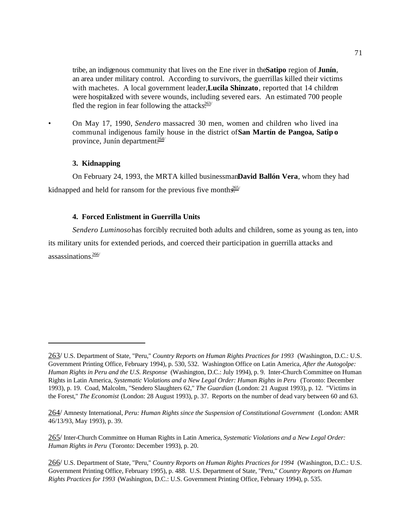tribe, an indigenous community that lives on the Ene river in the **Satipo** region of **Junín**, an area under military control. According to survivors, the guerrillas killed their victims with machetes. A local government leader, **Lucila Shinzato**, reported that 14 children were hospitalized with severe wounds, including severed ears. An estimated 700 people fled the region in fear following the attacks $\frac{363}{1}$ 

• On May 17, 1990, *Sendero* massacred 30 men, women and children who lived ina communal indigenous family house in the district of **San Martín de Pangoa, Satip o** province, Junín department. $\frac{264}{264}$ 

#### **3. Kidnapping**

On February 24, 1993, the MRTA killed businessman **David Ballón Vera**, whom they had kidnapped and held for ransom for the previous five months.<sup>265/</sup>

### **4. Forced Enlistment in Guerrilla Units**

*Sendero Luminoso* has forcibly recruited both adults and children, some as young as ten, into its military units for extended periods, and coerced their participation in guerrilla attacks and assassinations $\frac{266}{3}$ 

<sup>263/</sup> U.S. Department of State, "Peru," *Country Reports on Human Rights Practices for 1993* (Washington, D.C.: U.S. Government Printing Office, February 1994), p. 530, 532. Washington Office on Latin America, *After the Autogolpe: Human Rights in Peru and the U.S. Response* (Washington, D.C.: July 1994), p. 9. Inter-Church Committee on Human Rights in Latin America, *Systematic Violations and a New Legal Order: Human Rights in Peru* (Toronto: December 1993), p. 19. Coad, Malcolm, "Sendero Slaughters 62," *The Guardian* (London: 21 August 1993), p. 12. "Victims in the Forest," *The Economist* (London: 28 August 1993), p. 37. Reports on the number of dead vary between 60 and 63.

<sup>264/</sup> Amnesty International, *Peru: Human Rights since the Suspension of Constitutional Government* (London: AMR 46/13/93, May 1993), p. 39.

<sup>265/</sup> Inter-Church Committee on Human Rights in Latin America, *Systematic Violations and a New Legal Order: Human Rights in Peru* (Toronto: December 1993), p. 20.

<sup>266/</sup> U.S. Department of State, "Peru," *Country Reports on Human Rights Practices for 1994* (Washington, D.C.: U.S. Government Printing Office, February 1995), p. 488. U.S. Department of State, "Peru," *Country Reports on Human Rights Practices for 1993* (Washington, D.C.: U.S. Government Printing Office, February 1994), p. 535.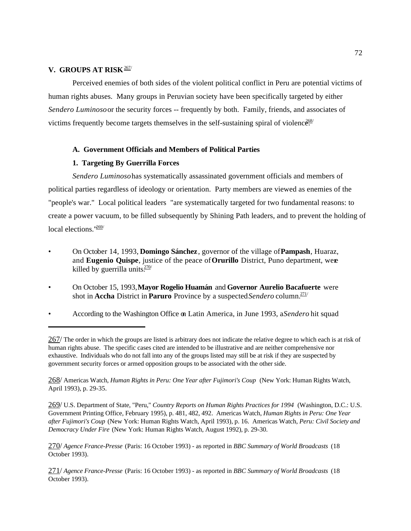# **V. GROUPS AT RISK 267/**

Perceived enemies of both sides of the violent political conflict in Peru are potential victims of human rights abuses. Many groups in Peruvian society have been specifically targeted by either *Sendero Luminoso* or the security forces -- frequently by both. Family, friends, and associates of victims frequently become targets themselves in the self-sustaining spiral of violence.  $\ddot{\epsilon}_{\text{ss}}^{88}$ 

# **A. Government Officials and Members of Political Parties**

# **1. Targeting By Guerrilla Forces**

*Sendero Luminoso* has systematically assassinated government officials and members of political parties regardless of ideology or orientation. Party members are viewed as enemies of the "people's war." Local political leaders "are systematically targeted for two fundamental reasons: to create a power vacuum, to be filled subsequently by Shining Path leaders, and to prevent the holding of local elections. $1269/$ 

- On October 14, 1993, **Domingo Sánchez**, governor of the village of **Pampash**, Huaraz, and **Eugenio Quispe**, justice of the peace of **Orurillo** District, Puno department, were killed by guerrilla units $\frac{270}{ }$
- On October 15, 1993, **Mayor Rogelio Huamán** and **Governor Aurelio Bacafuerte** were shot in **Accha** District in **Paruro** Province by a suspected *Sendero* column.<sup>271/</sup>
- According to the Washington Office on Latin America, in June 1993, a *Sendero* hit squad

268/ Americas Watch, *Human Rights in Peru: One Year after Fujimori's Coup* (New York: Human Rights Watch, April 1993), p. 29-35.

269/ U.S. Department of State, "Peru," *Country Reports on Human Rights Practices for 1994* (Washington, D.C.: U.S. Government Printing Office, February 1995), p. 481, 482, 492. Americas Watch, *Human Rights in Peru: One Year after Fujimori's Coup* (New York: Human Rights Watch, April 1993), p. 16. Americas Watch, *Peru: Civil Society and Democracy Under Fire* (New York: Human Rights Watch, August 1992), p. 29-30.

270/ *Agence France-Presse* (Paris: 16 October 1993) - as reported in *BBC Summary of World Broadcasts* (18 October 1993).

271/ *Agence France-Presse* (Paris: 16 October 1993) - as reported in *BBC Summary of World Broadcasts* (18 October 1993).

<sup>267/</sup> The order in which the groups are listed is arbitrary does not indicate the relative degree to which each is at risk of human rights abuse. The specific cases cited are intended to be illustrative and are neither comprehensive nor exhaustive. Individuals who do not fall into any of the groups listed may still be at risk if they are suspected by government security forces or armed opposition groups to be associated with the other side.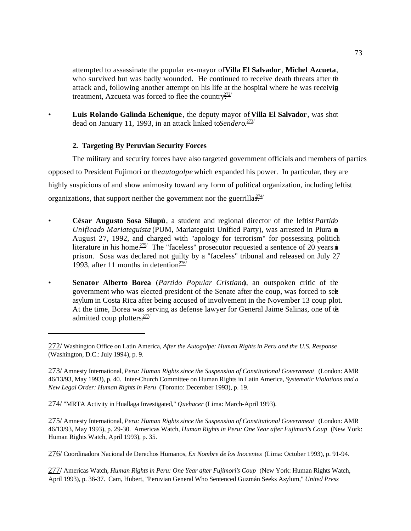attempted to assassinate the popular ex-mayor of **Villa El Salvador**, **Michel Azcueta**, who survived but was badly wounded. He continued to receive death threats after the attack and, following another attempt on his life at the hospital where he was receiving treatment, Azcueta was forced to flee the country.<sup>272/</sup>

• **Luis Rolando Galinda Echenique** , the deputy mayor of **Villa El Salvador**, was shot dead on January 11, 1993, in an attack linked to Sendero.<sup>273/</sup>

# **2. Targeting By Peruvian Security Forces**

The military and security forces have also targeted government officials and members of parties opposed to President Fujimori or the *autogolpe* which expanded his power. In particular, they are highly suspicious of and show animosity toward any form of political organization, including leftist organizations, that support neither the government nor the guerrillas<sup>714/</sup>

- **César Augusto Sosa Silupú**, a student and regional director of the leftist *Partido Unificado Mariateguista* (PUM, Mariateguist Unified Party), was arrested in Piura on August 27, 1992, and charged with "apology for terrorism" for possessing politich literature in his home.<sup>275/</sup> The "faceless" prosecutor requested a sentence of 20 years in prison. Sosa was declared not guilty by a "faceless" tribunal and released on July 27, 1993, after 11 months in detention $.276/$
- **Senator Alberto Borea** (*Partido Popular Cristiano*), an outspoken critic of the government who was elected president of the Senate after the coup, was forced to seke asylum in Costa Rica after being accused of involvement in the November 13 coup plot. At the time, Borea was serving as defense lawyer for General Jaime Salinas, one of the admitted coup plotters.<sup>277/</sup>

274/ "MRTA Activity in Huallaga Investigated," *Quehacer* (Lima: March-April 1993).

275/ Amnesty International, *Peru: Human Rights since the Suspension of Constitutional Government* (London: AMR 46/13/93, May 1993), p. 29-30. Americas Watch, *Human Rights in Peru: One Year after Fujimori's Coup* (New York: Human Rights Watch, April 1993), p. 35.

276/ Coordinadora Nacional de Derechos Humanos, *En Nombre de los Inocentes* (Lima: October 1993), p. 91-94.

277/ Americas Watch, *Human Rights in Peru: One Year after Fujimori's Coup* (New York: Human Rights Watch, April 1993), p. 36-37. Cam, Hubert, "Peruvian General Who Sentenced Guzmán Seeks Asylum," *United Press*

<sup>272/</sup> Washington Office on Latin America, *After the Autogolpe: Human Rights in Peru and the U.S. Response* (Washington, D.C.: July 1994), p. 9.

<sup>273/</sup> Amnesty International, *Peru: Human Rights since the Suspension of Constitutional Government* (London: AMR 46/13/93, May 1993), p. 40. Inter-Church Committee on Human Rights in Latin America, *Systematic Violations and a New Legal Order: Human Rights in Peru* (Toronto: December 1993), p. 19.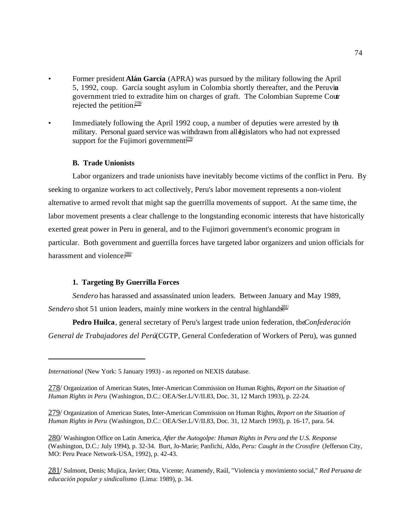- Former president **Alán García** (APRA) was pursued by the military following the April 5, 1992, coup. García sought asylum in Colombia shortly thereafter, and the Peruvian government tried to extradite him on charges of graft. The Colombian Supreme Court rejected the petition.278/
- Immediately following the April 1992 coup, a number of deputies were arrested by the military. Personal guard service was withdrawn from all dgislators who had not expressed support for the Fujimori government.<sup>279/</sup>

#### **B. Trade Unionists**

Labor organizers and trade unionists have inevitably become victims of the conflict in Peru. By seeking to organize workers to act collectively, Peru's labor movement represents a non-violent alternative to armed revolt that might sap the guerrilla movements of support. At the same time, the labor movement presents a clear challenge to the longstanding economic interests that have historically exerted great power in Peru in general, and to the Fujimori government's economic program in particular. Both government and guerrilla forces have targeted labor organizers and union officials for harassment and violence. $280/$ 

## **1. Targeting By Guerrilla Forces**

*Sendero* has harassed and assassinated union leaders. Between January and May 1989, *Sendero* shot 51 union leaders, mainly mine workers in the central highland<sup>381</sup>

Pedro Huilca, general secretary of Peru's largest trade union federation, the *Confederación General de Trabajadores del Perú* (CGTP, General Confederation of Workers of Peru), was gunned

*International* (New York: 5 January 1993) - as reported on NEXIS database.

<sup>278/</sup> Organization of American States, Inter-American Commission on Human Rights, *Report on the Situation of Human Rights in Peru* (Washington, D.C.: OEA/Ser.L/V/II.83, Doc. 31, 12 March 1993), p. 22-24.

<sup>279/</sup> Organization of American States, Inter-American Commission on Human Rights, *Report on the Situation of Human Rights in Peru* (Washington, D.C.: OEA/Ser.L/V/II.83, Doc. 31, 12 March 1993), p. 16-17, para. 54.

<sup>280/</sup> Washington Office on Latin America, *After the Autogolpe: Human Rights in Peru and the U.S. Response* (Washington, D.C.: July 1994), p. 32-34. Burt, Jo-Marie; Panfichi, Aldo, *Peru: Caught in the Crossfire* (Jefferson City, MO: Peru Peace Network-USA, 1992), p. 42-43.

<sup>281/</sup> Sulmont, Denis; Mujica, Javier; Otta, Vicente; Aramendy, Raúl, "Violencia y movimiento social," *Red Peruana de educación popular y sindicalismo* (Lima: 1989), p. 34.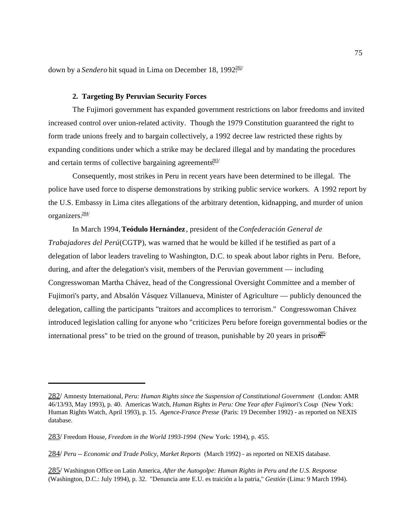down by a *Sendero* hit squad in Lima on December 18, 1992<sup>282/</sup>

#### **2. Targeting By Peruvian Security Forces**

The Fujimori government has expanded government restrictions on labor freedoms and invited increased control over union-related activity. Though the 1979 Constitution guaranteed the right to form trade unions freely and to bargain collectively, a 1992 decree law restricted these rights by expanding conditions under which a strike may be declared illegal and by mandating the procedures and certain terms of collective bargaining agreements $\frac{283}{1}$ 

Consequently, most strikes in Peru in recent years have been determined to be illegal. The police have used force to disperse demonstrations by striking public service workers. A 1992 report by the U.S. Embassy in Lima cites allegations of the arbitrary detention, kidnapping, and murder of union organizers.284/

In March 1994, **Teódulo Hernández**, president of the *Confederación General de Trabajadores del Perú* (CGTP), was warned that he would be killed if he testified as part of a delegation of labor leaders traveling to Washington, D.C. to speak about labor rights in Peru. Before, during, and after the delegation's visit, members of the Peruvian government — including Congresswoman Martha Chávez, head of the Congressional Oversight Committee and a member of Fujimori's party, and Absalón Vásquez Villanueva, Minister of Agriculture — publicly denounced the delegation, calling the participants "traitors and accomplices to terrorism." Congresswoman Chávez introduced legislation calling for anyone who "criticizes Peru before foreign governmental bodies or the international press" to be tried on the ground of treason, punishable by 20 years in prison.  $\frac{285}{10}$ 

<sup>282/</sup> Amnesty International, *Peru: Human Rights since the Suspension of Constitutional Government* (London: AMR 46/13/93, May 1993), p. 40. Americas Watch, *Human Rights in Peru: One Year after Fujimori's Coup* (New York: Human Rights Watch, April 1993), p. 15. *Agence-France Presse* (Paris: 19 December 1992) - as reported on NEXIS database.

<sup>283/</sup> Freedom House, *Freedom in the World 1993-1994* (New York: 1994), p. 455.

<sup>284/</sup> *Peru -- Economic and Trade Policy, Market Reports* (March 1992) - as reported on NEXIS database.

<sup>285/</sup> Washington Office on Latin America, *After the Autogolpe: Human Rights in Peru and the U.S. Response* (Washington, D.C.: July 1994), p. 32. "Denuncia ante E.U. es traición a la patria," *Gestión* (Lima: 9 March 1994).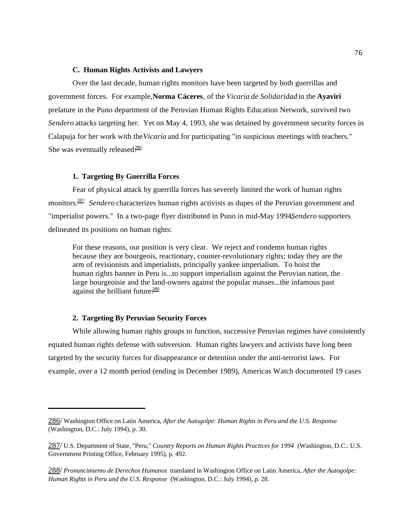### **C. Human Rights Activists and Lawyers**

Over the last decade, human rights monitors have been targeted by both guerrillas and government forces. For example, **Norma Cáceres**, of the *Vicaría de Solidaridad* in the **Ayaviri** prelature in the Puno department of the Peruvian Human Rights Education Network, survived two *Sendero* attacks targeting her. Yet on May 4, 1993, she was detained by government security forces in Calapuja for her work with the *Vicaría* and for participating "in suspicious meetings with teachers." She was eventually released $\frac{286}{1}$ 

## **1. Targeting By Guerrilla Forces**

Fear of physical attack by guerrilla forces has severely limited the work of human rights monitors.<sup>287/</sup> Sendero characterizes human rights activists as dupes of the Peruvian government and "imperialist powers." In a two-page flyer distributed in Puno in mid-May 1994, Sendero supporters delineated its positions on human rights:

For these reasons, our position is very clear. We reject and condemn human rights because they are bourgeois, reactionary, counter-revolutionary rights; today they are the arm of revisionists and imperialists, principally yankee imperialism. To hoist the human rights banner in Peru is...to support imperialism against the Peruvian nation, the large bourgeoisie and the land-owners against the popular masses...the infamous past against the brilliant future. $288/$ 

## **2. Targeting By Peruvian Security Forces**

While allowing human rights groups to function, successive Peruvian regimes have consistently equated human rights defense with subversion. Human rights lawyers and activists have long been targeted by the security forces for disappearance or detention under the anti-terrorist laws. For example, over a 12 month period (ending in December 1989), Americas Watch documented 19 cases

<sup>286/</sup> Washington Office on Latin America, *After the Autogolpe: Human Rights in Peru and the U.S. Response* (Washington, D.C.: July 1994), p. 30.

<sup>287/</sup> U.S. Department of State, "Peru," *Country Reports on Human Rights Practices for 1994* (Washington, D.C.: U.S. Government Printing Office, February 1995), p. 492.

<sup>288/</sup> *Pronuncimiento de Derechos Humanos* translated in Washington Office on Latin America, *After the Autogolpe: Human Rights in Peru and the U.S. Response* (Washington, D.C.: July 1994), p. 28.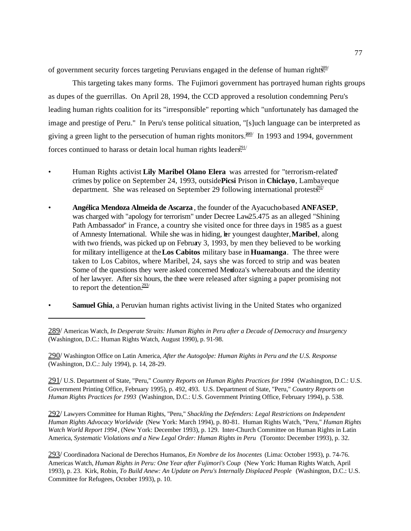of government security forces targeting Peruvians engaged in the defense of human right<sup>389/</sup>

This targeting takes many forms. The Fujimori government has portrayed human rights groups as dupes of the guerrillas. On April 28, 1994, the CCD approved a resolution condemning Peru's leading human rights coalition for its "irresponsible" reporting which "unfortunately has damaged the image and prestige of Peru." In Peru's tense political situation, "[s]uch language can be interpreted as giving a green light to the persecution of human rights monitors.<sup>260</sup> In 1993 and 1994, government forces continued to harass or detain local human rights leaders.<sup>291/</sup>

- Human Rights activist **Lily Maribel Olano Elera** was arrested for "terrorism-related" crimes by police on September 24, 1993, outside **Picsi** Prison in **Chiclayo**, Lambayeque department. She was released on September 29 following international protest $\frac{392}{52}$
- **Angélica Mendoza Almeida de Ascarza**, the founder of the Ayacuchobased **ANFASEP**, was charged with "apology for terrorism" under Decree Law 25.475 as an alleged "Shining" Path Ambassador" in France, a country she visited once for three days in 1985 as a guest of Amnesty International. While she was in hiding, her youngest daughter, **Maribel**, along with two friends, was picked up on February 3, 1993, by men they believed to be working for military intelligence at the **Los Cabitos** military base in **Huamanga**. The three were taken to Los Cabitos, where Maribel, 24, says she was forced to strip and was beaten. Some of the questions they were asked concerned Mendoza's whereabouts and the identity of her lawyer. After six hours, the three were released after signing a paper promising not to report the detention. $293/$
- **Samuel Ghia**, a Peruvian human rights activist living in the United States who organized

290/ Washington Office on Latin America, *After the Autogolpe: Human Rights in Peru and the U.S. Response* (Washington, D.C.: July 1994), p. 14, 28-29.

291/ U.S. Department of State, "Peru," *Country Reports on Human Rights Practices for 1994* (Washington, D.C.: U.S. Government Printing Office, February 1995), p. 492, 493. U.S. Department of State, "Peru," *Country Reports on Human Rights Practices for 1993* (Washington, D.C.: U.S. Government Printing Office, February 1994), p. 538.

292/ Lawyers Committee for Human Rights, "Peru," *Shackling the Defenders: Legal Restrictions on Independent Human Rights Advocacy Worldwide* (New York: March 1994), p. 80-81. Human Rights Watch, "Peru," *Human Rights Watch World Report 1994*, (New York: December 1993), p. 129. Inter-Church Committee on Human Rights in Latin America, *Systematic Violations and a New Legal Order: Human Rights in Peru* (Toronto: December 1993), p. 32.

293/ Coordinadora Nacional de Derechos Humanos, *En Nombre de los Inocentes* (Lima: October 1993), p. 74-76. Americas Watch, *Human Rights in Peru: One Year after Fujimori's Coup* (New York: Human Rights Watch, April 1993), p. 23. Kirk, Robin, *To Build Anew: An Update on Peru's Internally Displaced People* (Washington, D.C.: U.S. Committee for Refugees, October 1993), p. 10.

<sup>289/</sup> Americas Watch, *In Desperate Straits: Human Rights in Peru after a Decade of Democracy and Insurgency* (Washington, D.C.: Human Rights Watch, August 1990), p. 91-98.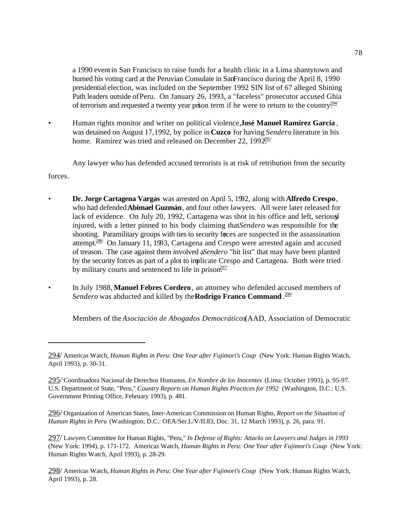a 1990 event in San Francisco to raise funds for a health clinic in a Lima shantytown and burned his voting card at the Peruvian Consulate in SanFrancisco during the April 8, 1990 presidential election, was included on the September 1992 SIN list of 67 alleged Shining Path leaders outside of Peru. On January 26, 1993, a "faceless" prosecutor accused Ghia of terrorism and requested a twenty year prison term if he were to return to the country.<sup>294/</sup>

• Human rights monitor and writer on political violence, **José Manuel Ramírez García** , was detained on August 17, 1992, by police in **Cuzco** for having *Sendero* literature in his home. Ramírez was tried and released on December 22, 199 $2.292$ .

Any lawyer who has defended accused terrorists is at risk of retribution from the security

forces.

- **Dr. Jorge Cartagena Vargas** was arrested on April 5, 1992, along with **Alfredo Crespo**, who had defended **Abimael Guzmán**, and four other lawyers. All were later released for lack of evidence. On July 20, 1992, Cartagena was shot in his office and left, serious injured, with a letter pinned to his body claiming that *Sendero* was responsible for the shooting. Paramilitary groups with ties to security forces are suspected in the assassination attempt. $2\frac{96}{9}$  On January 11, 1993, Cartagena and Crespo were arrested again and accused of treason. The case against them involved a *Sendero* "hit list" that may have been planted by the security forces as part of a plot to implicate Crespo and Cartagena. Both were tried by military courts and sentenced to life in prison.<sup>297/</sup>
- In July 1988, **Manuel Febres Cordero** , an attorney who defended accused members of *Sendero* was abducted and killed by the **Rodrigo Franco Command** . 298/

Members of the *Asociación de Abogados Democráticos* (AAD, Association of Democratic

<sup>294/</sup> Americas Watch, *Human Rights in Peru: One Year after Fujimori's Coup* (New York: Human Rights Watch, April 1993), p. 30-31.

<sup>295/</sup> Coordinadora Nacional de Derechos Humanos, *En Nombre de los Inocentes* (Lima: October 1993), p. 95-97. U.S. Department of State, "Peru," *Country Reports on Human Rights Practices for 1992* (Washington, D.C.: U.S. Government Printing Office, February 1993), p. 481.

<sup>296/</sup> Organization of American States, Inter-American Commission on Human Rights, *Report on the Situation of Human Rights in Peru* (Washington, D.C.: OEA/Ser.L/V/II.83, Doc. 31, 12 March 1993), p. 26, para. 91.

<sup>297/</sup> Lawyers Committee for Human Rights, "Peru," *In Defense of Rights: Attacks on Lawyers and Judges in 1993* (New York: 1994), p. 171-172. Americas Watch, *Human Rights in Peru: One Year after Fujimori's Coup* (New York: Human Rights Watch, April 1993), p. 28-29.

<sup>298/</sup> Americas Watch, *Human Rights in Peru: One Year after Fujimori's Coup* (New York: Human Rights Watch, April 1993), p. 28.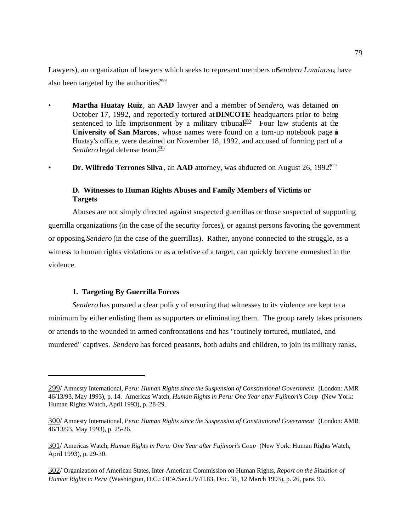Lawyers), an organization of lawyers which seeks to represent members of *Sendero Luminoso*, have also been targeted by the authorities.<sup>299/</sup>

- **Martha Huatay Ruiz**, an **AAD** lawyer and a member of *Sendero*, was detained on October 17, 1992, and reportedly tortured at **DINCOTE** headquarters prior to being sentenced to life imprisonment by a military tribunal $300/$  Four law students at the **University of San Marcos**, whose names were found on a torn-up notebook page in Huatay's office, were detained on November 18, 1992, and accused of forming part of a *Sendero* legal defense team<sup>301/</sup>
- **Dr. Wilfredo Terrones Silva**, an **AAD** attorney, was abducted on August 26, 1992<sup>302/</sup>

# **D. Witnesses to Human Rights Abuses and Family Members of Victims or Targets**

Abuses are not simply directed against suspected guerrillas or those suspected of supporting guerrilla organizations (in the case of the security forces), or against persons favoring the government or opposing *Sendero* (in the case of the guerrillas). Rather, anyone connected to the struggle, as a witness to human rights violations or as a relative of a target, can quickly become enmeshed in the violence.

#### **1. Targeting By Guerrilla Forces**

*Sendero* has pursued a clear policy of ensuring that witnesses to its violence are kept to a minimum by either enlisting them as supporters or eliminating them. The group rarely takes prisoners or attends to the wounded in armed confrontations and has "routinely tortured, mutilated, and murdered" captives. *Sendero* has forced peasants, both adults and children, to join its military ranks,

<sup>299/</sup> Amnesty International, *Peru: Human Rights since the Suspension of Constitutional Government* (London: AMR 46/13/93, May 1993), p. 14. Americas Watch, *Human Rights in Peru: One Year after Fujimori's Coup* (New York: Human Rights Watch, April 1993), p. 28-29.

<sup>300/</sup> Amnesty International, *Peru: Human Rights since the Suspension of Constitutional Government* (London: AMR 46/13/93, May 1993), p. 25-26.

<sup>301/</sup> Americas Watch, *Human Rights in Peru: One Year after Fujimori's Coup* (New York: Human Rights Watch, April 1993), p. 29-30.

<sup>302/</sup> Organization of American States, Inter-American Commission on Human Rights, *Report on the Situation of Human Rights in Peru* (Washington, D.C.: OEA/Ser.L/V/II.83, Doc. 31, 12 March 1993), p. 26, para. 90.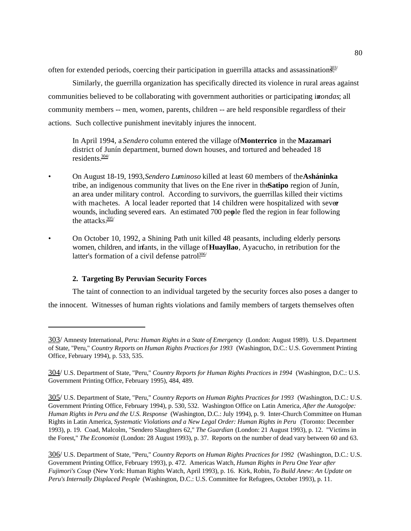often for extended periods, coercing their participation in guerrilla attacks and assassination $\frac{303}{50}$ 

Similarly, the guerrilla organization has specifically directed its violence in rural areas against communities believed to be collaborating with government authorities or participating in*rondas*; all community members -- men, women, parents, children -- are held responsible regardless of their actions. Such collective punishment inevitably injures the innocent.

In April 1994, a *Sendero* column entered the village of **Monterrico** in the **Mazamari** district of Junín department, burned down houses, and tortured and beheaded 18 residents $\frac{304}{ }$ 

- On August 18-19, 1993, *Sendero Luminoso* killed at least 60 members of the **Asháninka** tribe, an indigenous community that lives on the Ene river in the **Satipo** region of Junín, an area under military control. According to survivors, the guerrillas killed their victims with machetes. A local leader reported that  $14$  children were hospitalized with sever wounds, including severed ears. An estimated 700 people fled the region in fear following the attacks. $\frac{305}{ }$
- On October 10, 1992, a Shining Path unit killed 48 peasants, including elderly persons women, children, and infants, in the village of **Huayllao**, Ayacucho, in retribution for the latter's formation of a civil defense patrol $\frac{306}{10}$

# **2. Targeting By Peruvian Security Forces**

The taint of connection to an individual targeted by the security forces also poses a danger to

the innocent. Witnesses of human rights violations and family members of targets themselves often

<sup>303/</sup> Amnesty International, *Peru: Human Rights in a State of Emergency* (London: August 1989). U.S. Department of State, "Peru," *Country Reports on Human Rights Practices for 1993* (Washington, D.C.: U.S. Government Printing Office, February 1994), p. 533, 535.

<sup>304/</sup> U.S. Department of State, "Peru," *Country Reports for Human Rights Practices in 1994* (Washington, D.C.: U.S. Government Printing Office, February 1995), 484, 489.

<sup>305/</sup> U.S. Department of State, "Peru," *Country Reports on Human Rights Practices for 1993* (Washington, D.C.: U.S. Government Printing Office, February 1994), p. 530, 532. Washington Office on Latin America, *After the Autogolpe: Human Rights in Peru and the U.S. Response* (Washington, D.C.: July 1994), p. 9. Inter-Church Committee on Human Rights in Latin America, *Systematic Violations and a New Legal Order: Human Rights in Peru* (Toronto: December 1993), p. 19. Coad, Malcolm, "Sendero Slaughters 62," *The Guardian* (London: 21 August 1993), p. 12. "Victims in the Forest," *The Economist* (London: 28 August 1993), p. 37. Reports on the number of dead vary between 60 and 63.

<sup>306/</sup> U.S. Department of State, "Peru," *Country Reports on Human Rights Practices for 1992* (Washington, D.C.: U.S. Government Printing Office, February 1993), p. 472. Americas Watch, *Human Rights in Peru One Year after Fujimori's Coup* (New York: Human Rights Watch, April 1993), p. 16. Kirk, Robin, *To Build Anew: An Update on Peru's Internally Displaced People* (Washington, D.C.: U.S. Committee for Refugees, October 1993), p. 11.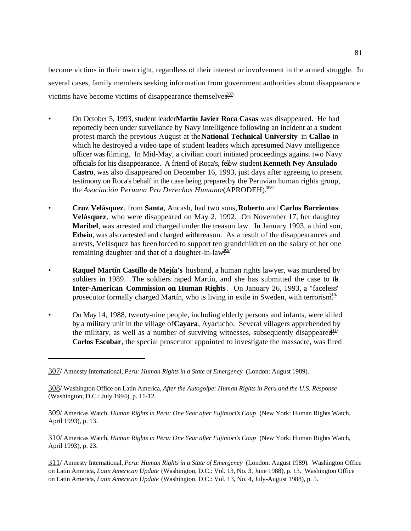become victims in their own right, regardless of their interest or involvement in the armed struggle. In several cases, family members seeking information from government authorities about disappearance victims have become victims of disappearance themselves.<sup>307/</sup>

- On October 5, 1993, student leader **Martín Javier Roca Casas** was disappeared. He had reportedly been under surveillance by Navy intelligence following an incident at a student protest march the previous August at the **National Technical University** in **Callao** in which he destroyed a video tape of student leaders which a presumed Navy intelligence officer was filming. In Mid-May, a civilian court initiated proceedings against two Navy officials for his disappearance. A friend of Roca's, fellow student **Kenneth Ney Ansulado Castro**, was also disappeared on December 16, 1993, just days after agreeing to present testimony on Roca's behalf in the case being prepared by the Peruvian human rights group, the *Asociación Peruana Pro Derechos Humanos* (APRODEH).<sup>308/</sup>
- **Cruz Velásquez**, from **Santa**, Ancash, had two sons, **Roberto** and **Carlos Barrientos Velásquez**, who were disappeared on May 2, 1992. On November 17, her daughter, **Maribel**, was arrested and charged under the treason law. In January 1993, a third son, **Edwin**, was also arrested and charged with treason. As a result of the disappearances and arrests, Velásquez has been forced to support ten grandchildren on the salary of her one remaining daughter and that of a daughter-in-law<sup>309/</sup>
- **Raquel Martín Castillo de Mejía's** husband, a human rights lawyer, was murdered by soldiers in 1989. The soldiers raped Martín, and she has submitted the case to the **Inter-American Commission on Human Rights**. On January 26, 1993, a "faceless" prosecutor formally charged Martín, who is living in exile in Sweden, with terrorism.<sup>310/</sup>
- On May 14, 1988, twenty-nine people, including elderly persons and infants, were killed by a military unit in the village of **Cayara**, Ayacucho. Several villagers apprehended by the military, as well as a number of surviving witnesses, subsequently disappeared.<sup>11/</sup> **Carlos Escobar**, the special prosecutor appointed to investigate the massacre, was fired

310/ Americas Watch, *Human Rights in Peru: One Year after Fujimori's Coup* (New York: Human Rights Watch, April 1993), p. 23.

311/ Amnesty International, *Peru: Human Rights in a State of Emergency* (London: August 1989). Washington Office on Latin America, *Latin American Update* (Washington, D.C.: Vol. 13, No. 3, June 1988), p. 13. Washington Office on Latin America, *Latin American Update* (Washington, D.C.: Vol. 13, No. 4, July-August 1988), p. 5.

<sup>307/</sup> Amnesty International, *Peru: Human Rights in a State of Emergency* (London: August 1989).

<sup>308/</sup> Washington Office on Latin America, *After the Autogolpe: Human Rights in Peru and the U.S. Response* (Washington, D.C.: July 1994), p. 11-12.

<sup>309/</sup> Americas Watch, *Human Rights in Peru: One Year after Fujimori's Coup* (New York: Human Rights Watch, April 1993), p. 13.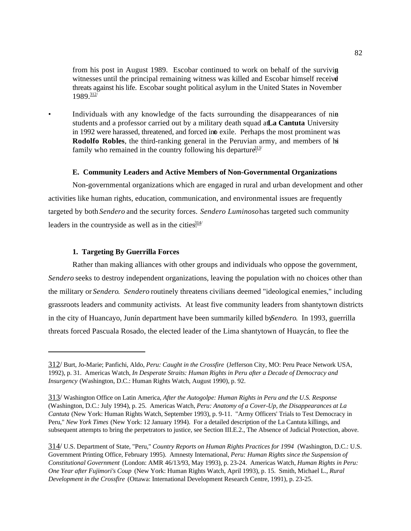from his post in August 1989. Escobar continued to work on behalf of the surviving witnesses until the principal remaining witness was killed and Escobar himself receive threats against his life. Escobar sought political asylum in the United States in November  $1989.312$ 

• Individuals with any knowledge of the facts surrounding the disappearances of nine students and a professor carried out by a military death squad at La Cantuta University in 1992 were harassed, threatened, and forced into exile. Perhaps the most prominent was **Rodolfo Robles**, the third-ranking general in the Peruvian army, and members of his family who remained in the country following his departure.<sup>313/</sup>

#### **E. Community Leaders and Active Members of Non-Governmental Organizations**

Non-governmental organizations which are engaged in rural and urban development and other activities like human rights, education, communication, and environmental issues are frequently targeted by both *Sendero* and the security forces. *Sendero Luminoso* has targeted such community leaders in the countryside as well as in the cities.<sup>314/</sup>

### **1. Targeting By Guerrilla Forces**

Rather than making alliances with other groups and individuals who oppose the government, *Sendero* seeks to destroy independent organizations, leaving the population with no choices other than the military or *Sendero*. *Sendero* routinely threatens civilians deemed "ideological enemies," including grassroots leaders and community activists. At least five community leaders from shantytown districts in the city of Huancayo, Junín department have been summarily killed by *Sendero*. In 1993, guerrilla threats forced Pascuala Rosado, the elected leader of the Lima shantytown of Huaycán, to flee the

<sup>312/</sup> Burt, Jo-Marie; Panfichi, Aldo, *Peru: Caught in the Crossfire* (Jefferson City, MO: Peru Peace Network USA, 1992), p. 31. Americas Watch, *In Desperate Straits: Human Rights in Peru after a Decade of Democracy and Insurgency* (Washington, D.C.: Human Rights Watch, August 1990), p. 92.

<sup>313/</sup> Washington Office on Latin America, *After the Autogolpe: Human Rights in Peru and the U.S. Response* (Washington, D.C.: July 1994), p. 25. Americas Watch, *Peru: Anatomy of a Cover-Up, the Disappearances at La Cantuta* (New York: Human Rights Watch, September 1993), p. 9-11. "Army Officers' Trials to Test Democracy in Peru," *New York Times* (New York: 12 January 1994). For a detailed description of the La Cantuta killings, and subsequent attempts to bring the perpetrators to justice, see Section III.E.2., The Absence of Judicial Protection, above.

<sup>314/</sup> U.S. Department of State, "Peru," *Country Reports on Human Rights Practices for 1994* (Washington, D.C.: U.S. Government Printing Office, February 1995). Amnesty International, *Peru: Human Rights since the Suspension of Constitutional Government* (London: AMR 46/13/93, May 1993), p. 23-24. Americas Watch, *Human Rights in Peru: One Year after Fujimori's Coup* (New York: Human Rights Watch, April 1993), p. 15. Smith, Michael L., *Rural Development in the Crossfire* (Ottawa: International Development Research Centre, 1991), p. 23-25.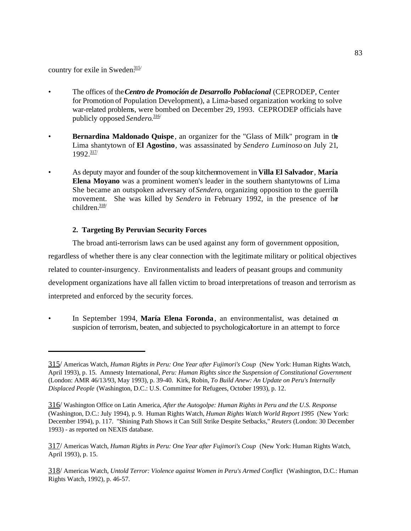country for exile in Sweden. $\frac{315}{10}$ 

- The offices of the *Centro de Promoción de Desarrollo Poblacional* (CEPRODEP, Center for Promotion of Population Development), a Lima-based organization working to solve war-related problems, were bombed on December 29, 1993. CEPRODEP officials have publicly opposed *Sendero*. 316/
- **Bernardina Maldonado Quispe**, an organizer for the "Glass of Milk" program in the Lima shantytown of **El Agostino**, was assassinated by *Sendero Luminoso* on July 21, 1992.317/
- As deputy mayor and founder of the soup kitchen movement in **Villa El Salvador**, **María Elena Moyano** was a prominent women's leader in the southern shantytowns of Lima. She became an outspoken adversary of *Sendero*, organizing opposition to the guerrilla movement. She was killed by *Sendero* in February 1992, in the presence of her children. $\frac{318}{ }$

# **2. Targeting By Peruvian Security Forces**

The broad anti-terrorism laws can be used against any form of government opposition, regardless of whether there is any clear connection with the legitimate military or political objectives related to counter-insurgency. Environmentalists and leaders of peasant groups and community development organizations have all fallen victim to broad interpretations of treason and terrorism as interpreted and enforced by the security forces.

• In September 1994, **María Elena Foronda**, an environmentalist, was detained on suspicion of terrorism, beaten, and subjected to psychological orture in an attempt to force

<sup>315/</sup> Americas Watch, *Human Rights in Peru: One Year after Fujimori's Coup* (New York: Human Rights Watch, April 1993), p. 15. Amnesty International, *Peru: Human Rights since the Suspension of Constitutional Government* (London: AMR 46/13/93, May 1993), p. 39-40. Kirk, Robin, *To Build Anew: An Update on Peru's Internally Displaced People* (Washington, D.C.: U.S. Committee for Refugees, October 1993), p. 12.

<sup>316/</sup> Washington Office on Latin America, *After the Autogolpe: Human Rights in Peru and the U.S. Response* (Washington, D.C.: July 1994), p. 9. Human Rights Watch, *Human Rights Watch World Report 1995* (New York: December 1994), p. 117. "Shining Path Shows it Can Still Strike Despite Setbacks," *Reuters* (London: 30 December 1993) - as reported on NEXIS database.

<sup>317/</sup> Americas Watch, *Human Rights in Peru: One Year after Fujimori's Coup* (New York: Human Rights Watch, April 1993), p. 15.

<sup>318/</sup> Americas Watch, *Untold Terror: Violence against Women in Peru's Armed Conflict* (Washington, D.C.: Human Rights Watch, 1992), p. 46-57.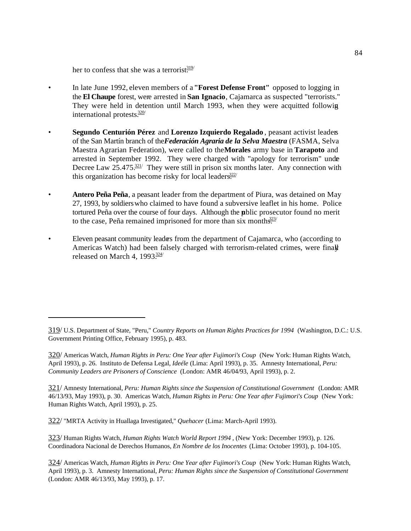her to confess that she was a terrorist $\frac{319}{10}$ 

- In late June 1992, eleven members of a **"Forest Defense Front"** opposed to logging in the **El Chaupe** forest, were arrested in **San Ignacio**, Cajamarca as suspected "terrorists." They were held in detention until March 1993, when they were acquitted following international protests $\frac{320}{1}$
- **Segundo Centurión Pérez** and **Lorenzo Izquierdo Regalado** , peasant activist leaders of the San Martín branch of the *Federación Agraria de la Selva Maestra* (FASMA, Selva Maestra Agrarian Federation), were called to the **Morales** army base in **Tarapoto** and arrested in September 1992. They were charged with "apology for terrorism" under Decree Law  $25.475 \frac{321}{121}$  They were still in prison six months later. Any connection with this organization has become risky for local leaders.<sup>322/</sup>
- **Antero Peña Peña**, a peasant leader from the department of Piura, was detained on May 27, 1993, by soldiers who claimed to have found a subversive leaflet in his home. Police tortured Peña over the course of four days. Although the public prosecutor found no merit to the case, Peña remained imprisoned for more than six months $\frac{323}{1}$
- Eleven peasant community leaders from the department of Cajamarca, who (according to Americas Watch) had been falsely charged with terrorism-related crimes, were finall released on March 4,  $1993\frac{324}{1}$

321/ Amnesty International, *Peru: Human Rights since the Suspension of Constitutional Government* (London: AMR 46/13/93, May 1993), p. 30. Americas Watch, *Human Rights in Peru: One Year after Fujimori's Coup* (New York: Human Rights Watch, April 1993), p. 25.

322/ "MRTA Activity in Huallaga Investigated," *Quehacer* (Lima: March-April 1993).

323/ Human Rights Watch, *Human Rights Watch World Report 1994* , (New York: December 1993), p. 126. Coordinadora Nacional de Derechos Humanos, *En Nombre de los Inocentes* (Lima: October 1993), p. 104-105.

324/ Americas Watch, *Human Rights in Peru: One Year after Fujimori's Coup* (New York: Human Rights Watch, April 1993), p. 3. Amnesty International, *Peru: Human Rights since the Suspension of Constitutional Government* (London: AMR 46/13/93, May 1993), p. 17.

<sup>319/</sup> U.S. Department of State, "Peru," *Country Reports on Human Rights Practices for 1994* (Washington, D.C.: U.S. Government Printing Office, February 1995), p. 483.

<sup>320/</sup> Americas Watch, *Human Rights in Peru: One Year after Fujimori's Coup* (New York: Human Rights Watch, April 1993), p. 26. Instituto de Defensa Legal, *Ideéle* (Lima: April 1993), p. 35. Amnesty International, *Peru: Community Leaders are Prisoners of Conscience* (London: AMR 46/04/93, April 1993), p. 2.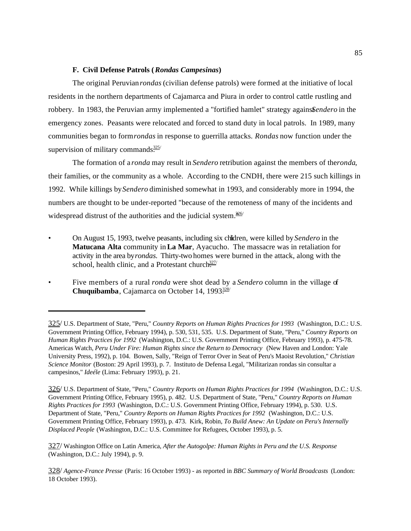## **F. Civil Defense Patrols (***Rondas Campesinas***)**

The original Peruvian *rondas* (civilian defense patrols) were formed at the initiative of local residents in the northern departments of Cajamarca and Piura in order to control cattle rustling and robbery. In 1983, the Peruvian army implemented a "fortified hamlet" strategy agains *Sendero* in the emergency zones. Peasants were relocated and forced to stand duty in local patrols. In 1989, many communities began to form *rondas* in response to guerrilla attacks. *Rondas* now function under the supervision of military commands $\frac{325}{125}$ 

The formation of a *ronda* may result in *Sendero* retribution against the members of the *ronda*, their families, or the community as a whole. According to the CNDH, there were 215 such killings in 1992. While killings by *Sendero* diminished somewhat in 1993, and considerably more in 1994, the numbers are thought to be under-reported "because of the remoteness of many of the incidents and widespread distrust of the authorities and the judicial system. $\frac{306}{ }$ 

- On August 15, 1993, twelve peasants, including six children, were killed by *Sendero* in the **Matucana Alta** community in **La Mar**, Ayacucho. The massacre was in retaliation for activity in the area by *rondas.* Thirty-two homes were burned in the attack, along with the school, health clinic, and a Protestant church. $327/$
- Five members of a rural *ronda* were shot dead by a *Sendero* column in the village of **Chuquibamba**, Cajamarca on October 14, 1993 $\frac{328}{12}$

<sup>325/</sup> U.S. Department of State, "Peru," *Country Reports on Human Rights Practices for 1993* (Washington, D.C.: U.S. Government Printing Office, February 1994), p. 530, 531, 535. U.S. Department of State, "Peru," *Country Reports on Human Rights Practices for 1992* (Washington, D.C.: U.S. Government Printing Office, February 1993), p. 475-78. Americas Watch, *Peru Under Fire: Human Rights since the Return to Democracy* (New Haven and London: Yale University Press, 1992), p. 104. Bowen, Sally, "Reign of Terror Over in Seat of Peru's Maoist Revolution," *Christian Science Monitor* (Boston: 29 April 1993), p. 7. Instituto de Defensa Legal, "Militarizan rondas sin consultar a campesinos," *Ideéle* (Lima: February 1993), p. 21.

<sup>326/</sup> U.S. Department of State, "Peru," *Country Reports on Human Rights Practices for 1994* (Washington, D.C.: U.S. Government Printing Office, February 1995), p. 482. U.S. Department of State, "Peru," *Country Reports on Human Rights Practices for 1993* (Washington, D.C.: U.S. Government Printing Office, February 1994), p. 530. U.S. Department of State, "Peru," *Country Reports on Human Rights Practices for 1992* (Washington, D.C.: U.S. Government Printing Office, February 1993), p. 473. Kirk, Robin, *To Build Anew: An Update on Peru's Internally Displaced People* (Washington, D.C.: U.S. Committee for Refugees, October 1993), p. 5.

<sup>327/</sup> Washington Office on Latin America, *After the Autogolpe: Human Rights in Peru and the U.S. Response* (Washington, D.C.: July 1994), p. 9.

<sup>328/</sup> *Agence-France Presse* (Paris: 16 October 1993) - as reported in *BBC Summary of World Broadcasts* (London: 18 October 1993).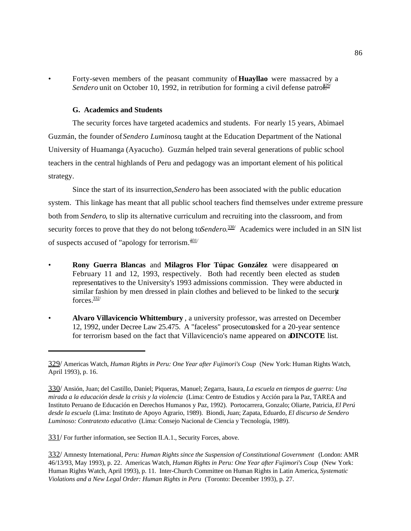• Forty-seven members of the peasant community of **Huayllao** were massacred by a *Sendero* unit on October 10, 1992, in retribution for forming a civil defense patro $\frac{\partial^{29}}{\partial}$ 

#### **G. Academics and Students**

The security forces have targeted academics and students. For nearly 15 years, Abimael Guzmán, the founder of *Sendero Luminoso*, taught at the Education Department of the National University of Huamanga (Ayacucho). Guzmán helped train several generations of public school teachers in the central highlands of Peru and pedagogy was an important element of his political strategy.

Since the start of its insurrection, *Sendero* has been associated with the public education system. This linkage has meant that all public school teachers find themselves under extreme pressure both from *Sendero*, to slip its alternative curriculum and recruiting into the classroom, and from security forces to prove that they do not belong to *Sendero*.<sup>330/</sup> Academics were included in an SIN list of suspects accused of "apology for terrorism. $\frac{331}{1}$ 

- **Rony Guerra Blancas** and **Milagros Flor Túpac González** were disappeared on February 11 and 12, 1993, respectively. Both had recently been elected as student representatives to the University's 1993 admissions commission. They were abducted in similar fashion by men dressed in plain clothes and believed to be linked to the security forces.332/
- **Alvaro Villavicencio Whittembury** , a university professor, was arrested on December 12, 1992, under Decree Law 25.475. A "faceless" prosecutorasked for a 20-year sentence for terrorism based on the fact that Villavicencio's name appeared on **DINCOTE** list.

331/ For further information, see Section II.A.1., Security Forces, above.

<sup>329/</sup> Americas Watch, *Human Rights in Peru: One Year after Fujimori's Coup* (New York: Human Rights Watch, April 1993), p. 16.

<sup>330/</sup> Ansión, Juan; del Castillo, Daniel; Piqueras, Manuel; Zegarra, Isaura, *La escuela en tiempos de guerra: Una mirada a la educación desde la crisis y la violencia* (Lima: Centro de Estudios y Acción para la Paz, TAREA and Instituto Peruano de Educación en Derechos Humanos y Paz, 1992). Portocarrera, Gonzalo; Oliarte, Patricia, *El Perú desde la escuela* (Lima: Instituto de Apoyo Agrario, 1989). Biondi, Juan; Zapata, Eduardo, *El discurso de Sendero Luminoso: Contratexto educativo* (Lima: Consejo Nacional de Ciencia y Tecnología, 1989).

<sup>332/</sup> Amnesty International, *Peru: Human Rights since the Suspension of Constitutional Government* (London: AMR 46/13/93, May 1993), p. 22. Americas Watch, *Human Rights in Peru: One Year after Fujimori's Coup* (New York: Human Rights Watch, April 1993), p. 11. Inter-Church Committee on Human Rights in Latin America, *Systematic Violations and a New Legal Order: Human Rights in Peru* (Toronto: December 1993), p. 27.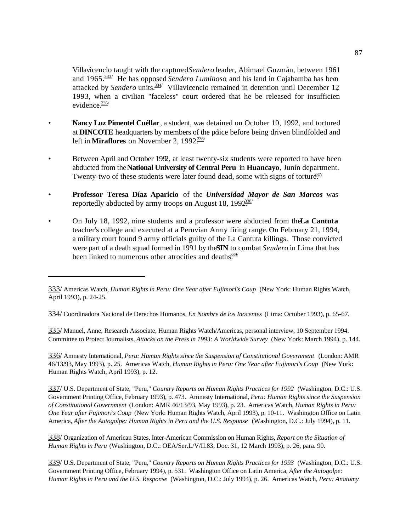Villavicencio taught with the captured *Sendero* leader, Abimael Guzmán, between 1961 and 1965.<sup>333/</sup> He has opposed *Sendero Luminoso*, and his land in Cajabamba has been attacked by Sendero units.<sup>334/</sup> Villavicencio remained in detention until December 12 1993, when a civilian "faceless" court ordered that he be released for insufficient evidence.<sup>335/</sup>

- **Nancy Luz Pimentel Cuéllar**, a student, was detained on October 10, 1992, and tortured at **DINCOTE** headquarters by members of the police before being driven blindfolded and left in **Miraflores** on November 2, 1992<sup>336/</sup>
- Between April and October 1992, at least twenty-six students were reported to have been abducted from the **National University of Central Peru** in **Huancayo**, Junín department. Twenty-two of these students were later found dead, some with signs of torture.<sup>337/</sup>
- **Professor Teresa Díaz Aparicio** of the *Universidad Mayor de San Marcos* was reportedly abducted by army troops on August 18,  $1992\cdot^{338}$
- On July 18, 1992, nine students and a professor were abducted from the La Cantuta teacher's college and executed at a Peruvian Army firing range. On February 21, 1994, a military court found 9 army officials guilty of the La Cantuta killings. Those convicted were part of a death squad formed in 1991 by the SIN to combat *Sendero* in Lima that has been linked to numerous other atrocities and deaths.<sup>339/</sup>

334/ Coordinadora Nacional de Derechos Humanos, *En Nombre de los Inocentes* (Lima: October 1993), p. 65-67.

335/ Manuel, Anne, Research Associate, Human Rights Watch/Americas, personal interview, 10 September 1994. Committee to Protect Journalists, *Attacks on the Press in 1993: A Worldwide Survey* (New York: March 1994), p. 144.

336/ Amnesty International, *Peru: Human Rights since the Suspension of Constitutional Government* (London: AMR 46/13/93, May 1993), p. 25. Americas Watch, *Human Rights in Peru: One Year after Fujimori's Coup* (New York: Human Rights Watch, April 1993), p. 12.

337/ U.S. Department of State, "Peru," *Country Reports on Human Rights Practices for 1992* (Washington, D.C.: U.S. Government Printing Office, February 1993), p. 473. Amnesty International, *Peru: Human Rights since the Suspension of Constitutional Government* (London: AMR 46/13/93, May 1993), p. 23. Americas Watch, *Human Rights in Peru: One Year after Fujimori's Coup* (New York: Human Rights Watch, April 1993), p. 10-11. Washington Office on Latin America, *After the Autogolpe: Human Rights in Peru and the U.S. Response* (Washington, D.C.: July 1994), p. 11.

338/ Organization of American States, Inter-American Commission on Human Rights, *Report on the Situation of Human Rights in Peru* (Washington, D.C.: OEA/Ser.L/V/II.83, Doc. 31, 12 March 1993), p. 26, para. 90.

339/ U.S. Department of State, "Peru," *Country Reports on Human Rights Practices for 1993* (Washington, D.C.: U.S. Government Printing Office, February 1994), p. 531. Washington Office on Latin America, *After the Autogolpe: Human Rights in Peru and the U.S. Response* (Washington, D.C.: July 1994), p. 26. Americas Watch, *Peru: Anatomy*

<sup>333/</sup> Americas Watch, *Human Rights in Peru: One Year after Fujimori's Coup* (New York: Human Rights Watch, April 1993), p. 24-25.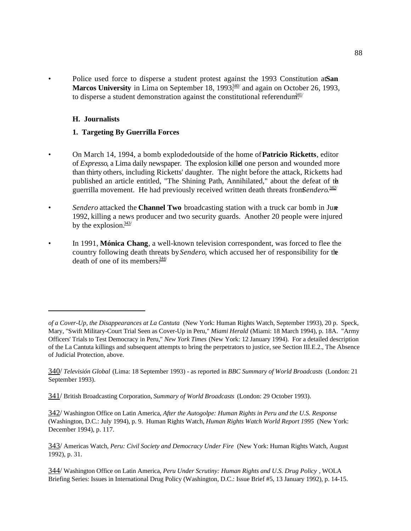• Police used force to disperse a student protest against the 1993 Constitution at San Marcos University in Lima on September 18, 1993<sup>340/</sup> and again on October 26, 1993, to disperse a student demonstration against the constitutional referendum.<sup>341/</sup>

### **H. Journalists**

### **1. Targeting By Guerrilla Forces**

- On March 14, 1994, a bomb exploded outside of the home of **Patricio Ricketts**, editor of *Expresso*, a Lima daily newspaper. The explosion killed one person and wounded more than thirty others, including Ricketts' daughter. The night before the attack, Ricketts had published an article entitled, "The Shining Path, Annihilated," about the defeat of the guerrilla movement. He had previously received written death threats from Sendero.<sup>342/</sup>
- **Sendero attacked the Channel Two** broadcasting station with a truck car bomb in June 1992, killing a news producer and two security guards. Another 20 people were injured by the explosion. $\frac{343}{ }$
- In 1991, **Mónica Chang**, a well-known television correspondent, was forced to flee the country following death threats by *Sendero*, which accused her of responsibility for the death of one of its members $\frac{344}{7}$

*of a Cover-Up, the Disappearances at La Cantuta* (New York: Human Rights Watch, September 1993), 20 p. Speck, Mary, "Swift Military-Court Trial Seen as Cover-Up in Peru," *Miami Herald* (Miami: 18 March 1994), p. 18A. "Army Officers' Trials to Test Democracy in Peru," *New York Times* (New York: 12 January 1994). For a detailed description of the La Cantuta killings and subsequent attempts to bring the perpetrators to justice, see Section III.E.2., The Absence of Judicial Protection, above.

<sup>340/</sup> *Televisión Global* (Lima: 18 September 1993) - as reported in *BBC Summary of World Broadcasts* (London: 21 September 1993).

<sup>341/</sup> British Broadcasting Corporation, *Summary of World Broadcasts* (London: 29 October 1993).

<sup>342/</sup> Washington Office on Latin America, *After the Autogolpe: Human Rights in Peru and the U.S. Response* (Washington, D.C.: July 1994), p. 9. Human Rights Watch, *Human Rights Watch World Report 1995* (New York: December 1994), p. 117.

<sup>343/</sup> Americas Watch, *Peru: Civil Society and Democracy Under Fire* (New York: Human Rights Watch, August 1992), p. 31.

<sup>344/</sup> Washington Office on Latin America, *Peru Under Scrutiny: Human Rights and U.S. Drug Policy* , WOLA Briefing Series: Issues in International Drug Policy (Washington, D.C.: Issue Brief #5, 13 January 1992), p. 14-15.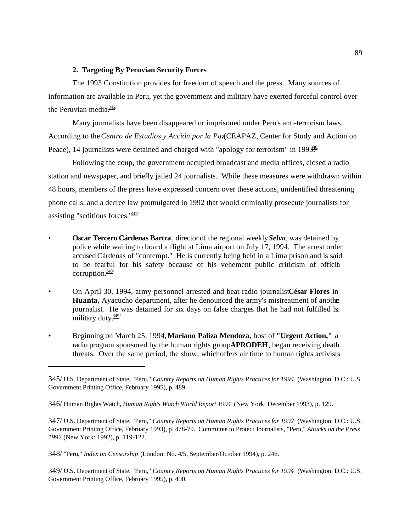## **2. Targeting By Peruvian Security Forces**

The 1993 Constitution provides for freedom of speech and the press. Many sources of information are available in Peru, yet the government and military have exerted forceful control over the Peruvian media. $\frac{345}{345}$ 

Many journalists have been disappeared or imprisoned under Peru's anti-terrorism laws. According to the *Centro de Estudios y Acción por la Paz* (CEAPAZ, Center for Study and Action on Peace), 14 journalists were detained and charged with "apology for terrorism" in 199 $\frac{346}{12}$ 

Following the coup, the government occupied broadcast and media offices, closed a radio station and newspaper, and briefly jailed 24 journalists. While these measures were withdrawn within 48 hours, members of the press have expressed concern over these actions, unidentified threatening phone calls, and a decree law promulgated in 1992 that would criminally prosecute journalists for assisting "seditious forces. $1847/$ 

- **Oscar Tercero Cárdenas Bartra**, director of the regional weekly *Selva*, was detained by police while waiting to board a flight at Lima airport on July 17, 1994. The arrest order accused Cárdenas of "contempt." He is currently being held in a Lima prison and is said to be fearful for his safety because of his vehement public criticism of official corruption. $\frac{348}{ }$
- On April 30, 1994, army personnel arrested and beat radio journalist César Flores in **Huanta**, Ayacucho department, after he denounced the army's mistreatment of another journalist. He was detained for six days on false charges that he had not fulfilled his military duty.<sup>349/</sup>
- Beginning on March 25, 1994, **Mariano Paliza Mendoza**, host of **"Urgent Action,"** a radio program sponsored by the human rights group **APRODEH**, began receiving death threats. Over the same period, the show, which offers air time to human rights activists

<sup>345/</sup> U.S. Department of State, "Peru," *Country Reports on Human Rights Practices for 1994* (Washington, D.C.: U.S. Government Printing Office, February 1995), p. 489.

<sup>346/</sup> Human Rights Watch, *Human Rights Watch World Report 1994* (New York: December 1993), p. 129.

<sup>347/</sup> U.S. Department of State, "Peru," *Country Reports on Human Rights Practices for 1992* (Washington, D.C.: U.S. Government Printing Office, February 1993), p. 478-79. Committee to Protect Journalists, "Peru," *Attacks on the Press 1992* (New York: 1992), p. 119-122.

<sup>348/</sup> "Peru," *Index on Censorship* (London: No. 4/5, September/October 1994), p. 246.

<sup>349/</sup> U.S. Department of State, "Peru," *Country Reports on Human Rights Practices for 1994* (Washington, D.C.: U.S. Government Printing Office, February 1995), p. 490.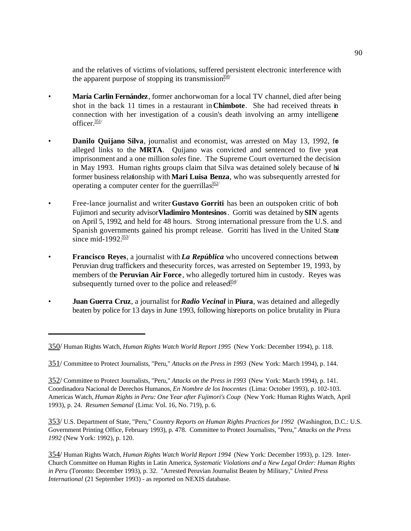and the relatives of victims of violations, suffered persistent electronic interference with the apparent purpose of stopping its transmission.<sup>350/</sup>

- **María Carlin Fernández**, former anchorwoman for a local TV channel, died after being shot in the back 11 times in a restaurant in **Chimbote**. She had received threats in connection with her investigation of a cousin's death involving an army intelligene officer $\frac{351}{ }$
- **Danilo Quijano Silva**, journalist and economist, was arrested on May 13, 1992, for alleged links to the **MRTA**. Quijano was convicted and sentenced to five years imprisonment and a one million *soles* fine. The Supreme Court overturned the decision in May 1993. Human rights groups claim that Silva was detained solely because of his former business relationship with **Mari Luisa Benza**, who was subsequently arrested for operating a computer center for the guerrillas $\frac{352}{10}$
- Free-lance journalist and writer **Gustavo Gorriti** has been an outspoken critic of both Fujimori and security advisor **Vladimiro Montesinos**. Gorriti was detained by **SIN** agents on April 5, 1992, and held for 48 hours. Strong international pressure from the U.S. and Spanish governments gained his prompt release. Gorriti has lived in the United States since mid-1992 $\frac{353}{10}$
- **Francisco Reyes**, a journalist with *La República* who uncovered connections between Peruvian drug traffickers and the security forces, was arrested on September 19, 1993, by members of the **Peruvian Air Force**, who allegedly tortured him in custody. Reyes was subsequently turned over to the police and released.<sup>354/</sup>
- **Juan Guerra Cruz**, a journalist for *Radio Vecinal* in **Piura**, was detained and allegedly beaten by police for 13 days in June 1993, following his reports on police brutality in Piura

353/ U.S. Department of State, "Peru," *Country Reports on Human Rights Practices for 1992* (Washington, D.C.: U.S. Government Printing Office, February 1993), p. 478. Committee to Protect Journalists, "Peru," *Attacks on the Press 1992* (New York: 1992), p. 120.

<sup>350/</sup> Human Rights Watch, *Human Rights Watch World Report 1995* (New York: December 1994), p. 118.

<sup>351/</sup> Committee to Protect Journalists, "Peru," *Attacks on the Press in 1993* (New York: March 1994), p. 144.

<sup>352/</sup> Committee to Protect Journalists, "Peru," *Attacks on the Press in 1993* (New York: March 1994), p. 141. Coordinadora Nacional de Derechos Humanos, *En Nombre de los Inocentes* (Lima: October 1993), p. 102-103. Americas Watch, *Human Rights in Peru: One Year after Fujimori's Coup* (New York: Human Rights Watch, April 1993), p. 24. *Resumen Semanal* (Lima: Vol. 16, No. 719), p. 6.

<sup>354/</sup> Human Rights Watch, *Human Rights Watch World Report 1994* (New York: December 1993), p. 129. Inter-Church Committee on Human Rights in Latin America, *Systematic Violations and a New Legal Order: Human Rights in Peru* (Toronto: December 1993), p. 32. "Arrested Peruvian Journalist Beaten by Military," *United Press International* (21 September 1993) - as reported on NEXIS database.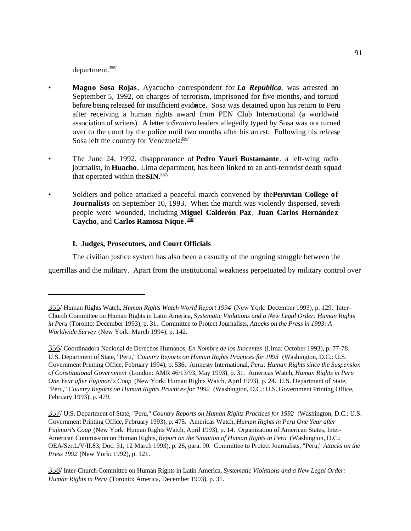department.355/

- **Magno Sosa Rojas**, Ayacucho correspondent for *La República*, was arrested on September 5, 1992, on charges of terrorism, imprisoned for five months, and tortured before being released for insufficient evidence. Sosa was detained upon his return to Peru after receiving a human rights award from PEN Club International (a worldwid association of writers). A letter to *Sendero* leaders allegedly typed by Sosa was not turned over to the court by the police until two months after his arrest. Following his release Sosa left the country for Venezuela $\frac{356}{10}$
- The June 24, 1992, disappearance of **Pedro Yauri Bustamante** , a left-wing radio journalist, in **Huacho**, Lima department, has been linked to an anti-terrorist death squad that operated within the **SIN**. 357/
- Soldiers and police attacked a peaceful march convened by the **Peruvian College of Journalists** on September 10, 1993. When the march was violently dispersed, several people were wounded, including **Miguel Calderón Paz** , **Juan Carlos Hernánde z Caycho**, and **Carlos Ramosa Nique** . 358/

### **I. Judges, Prosecutors, and Court Officials**

The civilian justice system has also been a casualty of the ongoing struggle between the guerrillas and the military. Apart from the institutional weakness perpetuated by military control over

<sup>355/</sup> Human Rights Watch, *Human Rights Watch World Report 1994* (New York: December 1993), p. 129. Inter-Church Committee on Human Rights in Latin America, *Systematic Violations and a New Legal Order: Human Rights in Peru* (Toronto: December 1993), p. 31. Committee to Protect Journalists, *Attacks on the Press in 1993: A Worldwide Survey* (New York: March 1994), p. 142.

<sup>356/</sup> Coordinadora Nacional de Derechos Humanos, *En Nombre de los Inocentes* (Lima: October 1993), p. 77-78. U.S. Department of State, "Peru," *Country Reports on Human Rights Practices for 1993* (Washington, D.C.: U.S. Government Printing Office, February 1994), p. 536. Amnesty International, *Peru: Human Rights since the Suspension of Constitutional Government* (London: AMR 46/13/93, May 1993), p. 31. Americas Watch, *Human Rights in Peru One Year after Fujimori's Coup* (New York: Human Rights Watch, April 1993), p. 24. U.S. Department of State, "Peru," *Country Reports on Human Rights Practices for 1992* (Washington, D.C.: U.S. Government Printing Office, February 1993), p. 479.

<sup>357/</sup> U.S. Department of State, "Peru," *Country Reports on Human Rights Practices for 1992* (Washington, D.C.: U.S. Government Printing Office, February 1993), p. 475. Americas Watch, *Human Rights in Peru One Year after Fujimori's Coup* (New York: Human Rights Watch, April 1993), p. 14. Organization of American States, Inter-American Commission on Human Rights, *Report on the Situation of Human Rights in Peru* (Washington, D.C.: OEA/Ser.L/V/II.83, Doc. 31, 12 March 1993), p. 26, para. 90. Committee to Protect Journalists, "Peru," *Attacks on the Press 1992* (New York: 1992), p. 121.

<sup>358/</sup> Inter-Church Committee on Human Rights in Latin America, *Systematic Violations and a New Legal Order: Human Rights in Peru* (Toronto: America, December 1993), p. 31.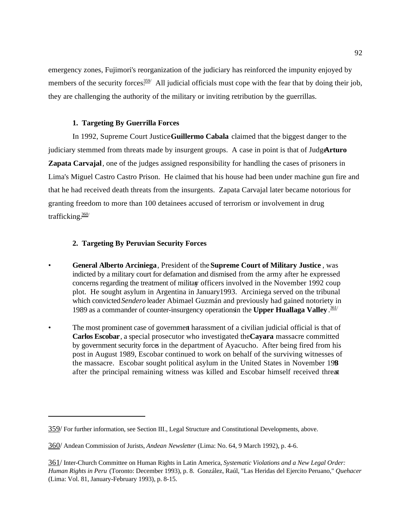emergency zones, Fujimori's reorganization of the judiciary has reinforced the impunity enjoyed by members of the security forces. All judicial officials must cope with the fear that by doing their job, they are challenging the authority of the military or inviting retribution by the guerrillas.

## **1. Targeting By Guerrilla Forces**

In 1992, Supreme Court Justice **Guillermo Cabala** claimed that the biggest danger to the judiciary stemmed from threats made by insurgent groups. A case in point is that of Judgenturo **Zapata Carvajal**, one of the judges assigned responsibility for handling the cases of prisoners in Lima's Miguel Castro Castro Prison. He claimed that his house had been under machine gun fire and that he had received death threats from the insurgents. Zapata Carvajal later became notorious for granting freedom to more than 100 detainees accused of terrorism or involvement in drug trafficking.360/

## **2. Targeting By Peruvian Security Forces**

- **General Alberto Arciniega**, President of the **Supreme Court of Military Justice** , was indicted by a military court for defamation and dismised from the army after he expressed concerns regarding the treatment of military officers involved in the November 1992 coup plot. He sought asylum in Argentina in January 1993. Arciniega served on the tribunal which convicted *Sendero* leader Abimael Guzmán and previously had gained notoriety in 1989 as a commander of counter-insurgency operations in the Upper Huallaga Valley.<sup>361/</sup>
- The most prominent case of government harassment of a civilian judicial official is that of **Carlos Escobar**, a special prosecutor who investigated the **Cayara** massacre committed by government security forces in the department of Ayacucho. After being fired from his post in August 1989, Escobar continued to work on behalf of the surviving witnesses of the massacre. Escobar sought political asylum in the United States in November 1989 after the principal remaining witness was killed and Escobar himself received threat

<sup>359/</sup> For further information, see Section III., Legal Structure and Constitutional Developments, above.

<sup>360/</sup> Andean Commission of Jurists, *Andean Newsletter* (Lima: No. 64, 9 March 1992), p. 4-6.

<sup>361/</sup> Inter-Church Committee on Human Rights in Latin America, *Systematic Violations and a New Legal Order: Human Rights in Peru* (Toronto: December 1993), p. 8. González, Raúl, "Las Heridas del Ejercito Peruano," *Quehacer* (Lima: Vol. 81, January-February 1993), p. 8-15.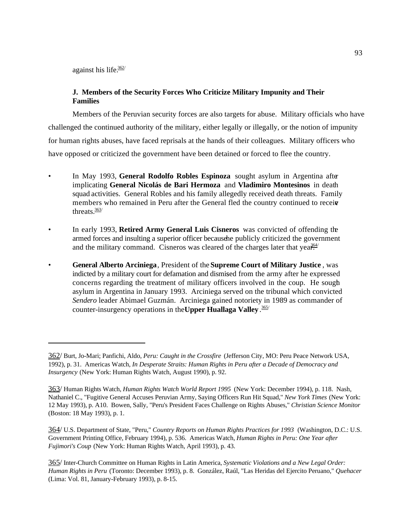against his life. $362/$ 

# **J. Members of the Security Forces Who Criticize Military Impunity and Their Families**

Members of the Peruvian security forces are also targets for abuse. Military officials who have challenged the continued authority of the military, either legally or illegally, or the notion of impunity for human rights abuses, have faced reprisals at the hands of their colleagues. Military officers who have opposed or criticized the government have been detained or forced to flee the country.

- In May 1993, **General Rodolfo Robles Espinoza** sought asylum in Argentina after implicating **General Nicolás de Bari Hermoza** and **Vladimiro Montesinos** in death squad activities. General Robles and his family allegedly received death threats. Family members who remained in Peru after the General fled the country continued to receive threats $\frac{363}{ }$
- In early 1993, **Retired Army General Luis Cisneros** was convicted of offending the armed forces and insulting a superior officer because he publicly criticized the government and the military command. Cisneros was cleared of the charges later that yea $\frac{364}{10}$
- **General Alberto Arciniega**, President of the **Supreme Court of Military Justice** , was indicted by a military court for defamation and dismised from the army after he expressed concerns regarding the treatment of military officers involved in the coup. He sough asylum in Argentina in January 1993. Arciniega served on the tribunal which convicted *Sendero* leader Abimael Guzmán. Arciniega gained notoriety in 1989 as commander of counter-insurgency operations in the **Upper Huallaga Valley** . 365/

<sup>362/</sup> Burt, Jo-Mari; Panfichi, Aldo, *Peru: Caught in the Crossfire* (Jefferson City, MO: Peru Peace Network USA, 1992), p. 31. Americas Watch, *In Desperate Straits: Human Rights in Peru after a Decade of Democracy and Insurgency* (New York: Human Rights Watch, August 1990), p. 92.

<sup>363/</sup> Human Rights Watch, *Human Rights Watch World Report 1995* (New York: December 1994), p. 118. Nash, Nathaniel C., "Fugitive General Accuses Peruvian Army, Saying Officers Run Hit Squad," *New York Times* (New York: 12 May 1993), p. A10. Bowen, Sally, "Peru's President Faces Challenge on Rights Abuses," *Christian Science Monitor* (Boston: 18 May 1993), p. 1.

<sup>364/</sup> U.S. Department of State, "Peru," *Country Reports on Human Rights Practices for 1993* (Washington, D.C.: U.S. Government Printing Office, February 1994), p. 536. Americas Watch, *Human Rights in Peru: One Year after Fujimori's Coup* (New York: Human Rights Watch, April 1993), p. 43.

<sup>365/</sup> Inter-Church Committee on Human Rights in Latin America, *Systematic Violations and a New Legal Order: Human Rights in Peru* (Toronto: December 1993), p. 8. González, Raúl, "Las Heridas del Ejercito Peruano," *Quehacer* (Lima: Vol. 81, January-February 1993), p. 8-15.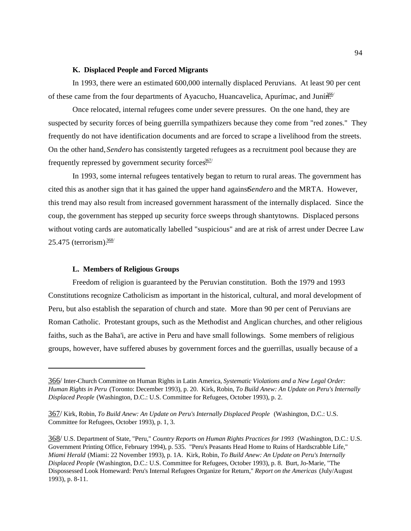### **K. Displaced People and Forced Migrants**

In 1993, there were an estimated 600,000 internally displaced Peruvians. At least 90 per cent of these came from the four departments of Ayacucho, Huancavelica, Apurímac, and Juní<sup>366/</sup>

Once relocated, internal refugees come under severe pressures. On the one hand, they are suspected by security forces of being guerrilla sympathizers because they come from "red zones." They frequently do not have identification documents and are forced to scrape a livelihood from the streets. On the other hand, *Sendero* has consistently targeted refugees as a recruitment pool because they are frequently repressed by government security forces.<sup>367/</sup>

In 1993, some internal refugees tentatively began to return to rural areas. The government has cited this as another sign that it has gained the upper hand against *Sendero* and the MRTA. However, this trend may also result from increased government harassment of the internally displaced. Since the coup, the government has stepped up security force sweeps through shantytowns. Displaced persons without voting cards are automatically labelled "suspicious" and are at risk of arrest under Decree Law 25.475 (terrorism). $\frac{368}{1}$ 

#### **L. Members of Religious Groups**

Freedom of religion is guaranteed by the Peruvian constitution. Both the 1979 and 1993 Constitutions recognize Catholicism as important in the historical, cultural, and moral development of Peru, but also establish the separation of church and state. More than 90 per cent of Peruvians are Roman Catholic. Protestant groups, such as the Methodist and Anglican churches, and other religious faiths, such as the Baha'i, are active in Peru and have small followings. Some members of religious groups, however, have suffered abuses by government forces and the guerrillas, usually because of a

<sup>366/</sup> Inter-Church Committee on Human Rights in Latin America, *Systematic Violations and a New Legal Order: Human Rights in Peru* (Toronto: December 1993), p. 20. Kirk, Robin, *To Build Anew: An Update on Peru's Internally Displaced People* (Washington, D.C.: U.S. Committee for Refugees, October 1993), p. 2.

<sup>367/</sup> Kirk, Robin, *To Build Anew: An Update on Peru's Internally Displaced People* (Washington, D.C.: U.S. Committee for Refugees, October 1993), p. 1, 3.

<sup>368/</sup> U.S. Department of State, "Peru," *Country Reports on Human Rights Practices for 1993* (Washington, D.C.: U.S. Government Printing Office, February 1994), p. 535. "Peru's Peasants Head Home to Ruins of Hardscrabble Life," *Miami Herald* (Miami: 22 November 1993), p. 1A. Kirk, Robin, *To Build Anew: An Update on Peru's Internally Displaced People* (Washington, D.C.: U.S. Committee for Refugees, October 1993), p. 8. Burt, Jo-Marie, "The Dispossessed Look Homeward: Peru's Internal Refugees Organize for Return," *Report on the Americas* (July/August 1993), p. 8-11.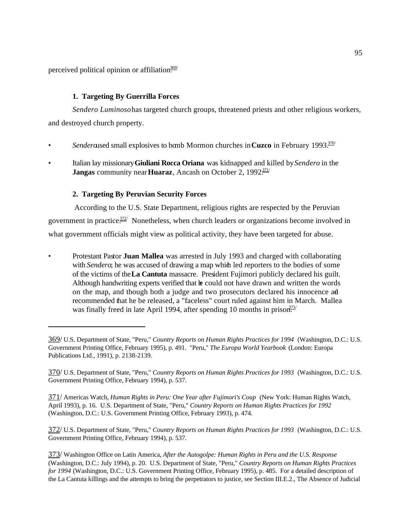perceived political opinion or affiliation<sup>369/</sup>

# **1. Targeting By Guerrilla Forces**

*Sendero Luminoso* has targeted church groups, threatened priests and other religious workers, and destroyed church property.

- *Sendero*used small explosives to bomb Mormon churches in **Cuzco** in February 1993.370/
- Italian lay missionary **Giuliani Rocca Oriana** was kidnapped and killed by *Sendero* in the **Jangas** community near **Huaraz**, Ancash on October 2, 1992<sup>311/</sup>

# **2. Targeting By Peruvian Security Forces**

 According to the U.S. State Department, religious rights are respected by the Peruvian government in practice.<sup> $372/$ </sup> Nonetheless, when church leaders or organizations become involved in what government officials might view as political activity, they have been targeted for abuse.

• Protestant Pastor **Juan Mallea** was arrested in July 1993 and charged with collaborating with *Sendero*; he was accused of drawing a map which led reporters to the bodies of some of the victims of the **La Cantuta** massacre. President Fujimori publicly declared his guilt. Although handwriting experts verified that  $\mathbf{E}$  could not have drawn and written the words on the map, and though both a judge and two prosecutors declared his innocence ad recommended that he be released, a "faceless" court ruled against him in March. Mallea was finally freed in late April 1994, after spending 10 months in prison.<sup>373/</sup>

371/ Americas Watch, *Human Rights in Peru: One Year after Fujimori's Coup* (New York: Human Rights Watch, April 1993), p. 16. U.S. Department of State, "Peru," *Country Reports on Human Rights Practices for 1992* (Washington, D.C.: U.S. Government Printing Office, February 1993), p. 474.

372/ U.S. Department of State, "Peru," *Country Reports on Human Rights Practices for 1993* (Washington, D.C.: U.S. Government Printing Office, February 1994), p. 537.

373/ Washington Office on Latin America, *After the Autogolpe: Human Rights in Peru and the U.S. Response* (Washington, D.C.: July 1994), p. 20. U.S. Department of State, "Peru," *Country Reports on Human Rights Practices for 1994* (Washington, D.C.: U.S. Government Printing Office, February 1995), p. 485. For a detailed description of the La Cantuta killings and the attempts to bring the perpetrators to justice, see Section III.E.2., The Absence of Judicial

<sup>369/</sup> U.S. Department of State, "Peru," *Country Reports on Human Rights Practices for 1994* (Washington, D.C.: U.S. Government Printing Office, February 1995), p. 491. "Peru," *The Europa World Yearbook* (London: Europa Publications Ltd., 1991), p. 2138-2139.

<sup>370/</sup> U.S. Department of State, "Peru," *Country Reports on Human Rights Practices for 1993* (Washington, D.C.: U.S. Government Printing Office, February 1994), p. 537.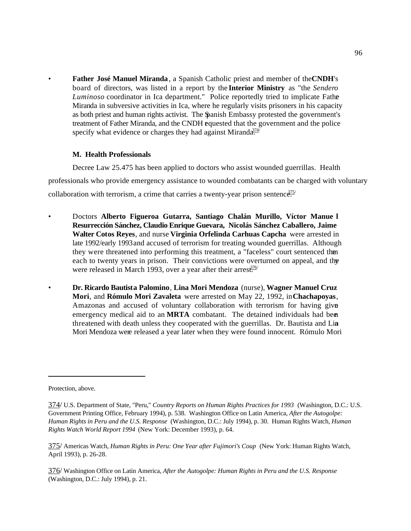• **Father José Manuel Miranda**, a Spanish Catholic priest and member of the **CNDH**'s board of directors, was listed in a report by the **Interior Ministry** as "the *Sendero Luminoso* coordinator in Ica department." Police reportedly tried to implicate Father Miranda in subversive activities in Ica, where he regularly visits prisoners in his capacity as both priest and human rights activist. The Spanish Embassy protested the government's treatment of Father Miranda, and the CNDH equested that the government and the police specify what evidence or charges they had against Miranda<sup>374/</sup>

## **M. Health Professionals**

Decree Law 25.475 has been applied to doctors who assist wounded guerrillas. Health professionals who provide emergency assistance to wounded combatants can be charged with voluntary collaboration with terrorism, a crime that carries a twenty-year prison sentence.<sup>375/</sup>

- Doctors **Alberto Figueroa Gutarra, Santiago Chalán Murillo, Víctor Manue l Resurrección Sánchez, Claudio Enrique Guevara, Nicolás Sánchez Caballero, Jaime Walter Cotos Reyes**, and nurse **Virginia Orfelinda Carhuas Capcha** were arrested in late 1992/early 1993 and accused of terrorism for treating wounded guerrillas. Although they were threatened into performing this treatment, a "faceless" court sentenced them each to twenty years in prison. Their convictions were overturned on appeal, and the were released in March 1993, over a year after their arrest.<sup>376/</sup>
- **Dr. Ricardo Bautista Palomino**, **Lina Mori Mendoza** (nurse), **Wagner Manuel Cruz Mori**, and **Rómulo Mori Zavaleta** were arrested on May 22, 1992, in **Chachapoyas**, Amazonas and accused of voluntary collaboration with terrorism for having given emergency medical aid to an **MRTA** combatant. The detained individuals had been threatened with death unless they cooperated with the guerrillas. Dr. Bautista and Lin Mori Mendoza were released a year later when they were found innocent. Rómulo Mori

Protection, above.

<sup>374/</sup> U.S. Department of State, "Peru," *Country Reports on Human Rights Practices for 1993* (Washington, D.C.: U.S. Government Printing Office, February 1994), p. 538. Washington Office on Latin America, *After the Autogolpe: Human Rights in Peru and the U.S. Response* (Washington, D.C.: July 1994), p. 30. Human Rights Watch, *Human Rights Watch World Report 1994* (New York: December 1993), p. 64.

<sup>375/</sup> Americas Watch, *Human Rights in Peru: One Year after Fujimori's Coup* (New York: Human Rights Watch, April 1993), p. 26-28.

<sup>376/</sup> Washington Office on Latin America, *After the Autogolpe: Human Rights in Peru and the U.S. Response* (Washington, D.C.: July 1994), p. 21.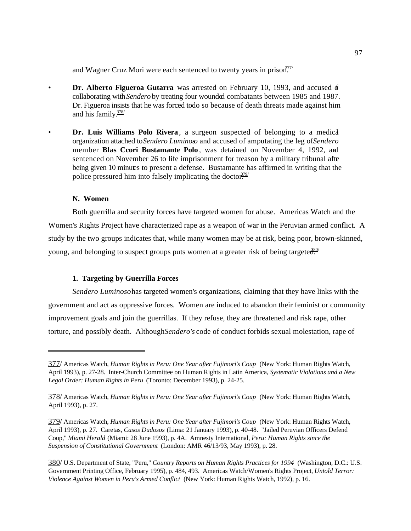and Wagner Cruz Mori were each sentenced to twenty years in prison.<sup>377/</sup>

- **Dr. Alberto Figueroa Gutarra** was arrested on February 10, 1993, and accused of collaborating with *Sendero* by treating four wounded combatants between 1985 and 1987. Dr. Figueroa insists that he was forced todo so because of death threats made against him and his family. $\frac{378}{ }$
- **Dr. Luis Williams Polo Rivera**, a surgeon suspected of belonging to a medical organization attached to *Sendero Luminoso* and accused of amputating the leg of *Sendero* member **Blas Ccori Bustamante Polo** , was detained on November 4, 1992, and sentenced on November 26 to life imprisonment for treason by a military tribunal after being given 10 minutes to present a defense. Bustamante has affirmed in writing that the police pressured him into falsely implicating the doctor.<sup>379/</sup>

### **N. Women**

Both guerrilla and security forces have targeted women for abuse. Americas Watch and the Women's Rights Project have characterized rape as a weapon of war in the Peruvian armed conflict. A study by the two groups indicates that, while many women may be at risk, being poor, brown-skinned, young, and belonging to suspect groups puts women at a greater risk of being targeted.<sup>880</sup>

#### **1. Targeting by Guerrilla Forces**

*Sendero Luminoso* has targeted women's organizations, claiming that they have links with the government and act as oppressive forces. Women are induced to abandon their feminist or community improvement goals and join the guerrillas. If they refuse, they are threatened and risk rape, other torture, and possibly death. Although *Sendero's* code of conduct forbids sexual molestation, rape of

<sup>377/</sup> Americas Watch, *Human Rights in Peru: One Year after Fujimori's Coup* (New York: Human Rights Watch, April 1993), p. 27-28. Inter-Church Committee on Human Rights in Latin America, *Systematic Violations and a New Legal Order: Human Rights in Peru* (Toronto: December 1993), p. 24-25.

<sup>378/</sup> Americas Watch, *Human Rights in Peru: One Year after Fujimori's Coup* (New York: Human Rights Watch, April 1993), p. 27.

<sup>379/</sup> Americas Watch, *Human Rights in Peru: One Year after Fujimori's Coup* (New York: Human Rights Watch, April 1993), p. 27. Caretas, *Casos Dudosos* (Lima: 21 January 1993), p. 40-48. "Jailed Peruvian Officers Defend Coup," *Miami Herald* (Miami: 28 June 1993), p. 4A. Amnesty International, *Peru: Human Rights since the Suspension of Constitutional Government* (London: AMR 46/13/93, May 1993), p. 28.

<sup>380/</sup> U.S. Department of State, "Peru," *Country Reports on Human Rights Practices for 1994* (Washington, D.C.: U.S. Government Printing Office, February 1995), p. 484, 493. Americas Watch/Women's Rights Project, *Untold Terror: Violence Against Women in Peru's Armed Conflict* (New York: Human Rights Watch, 1992), p. 16.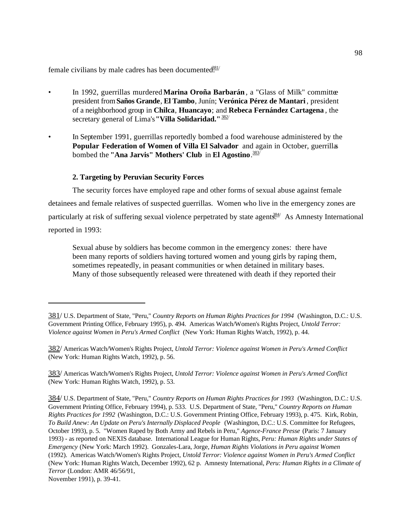female civilians by male cadres has been documented.<sup>881/</sup>

- In 1992, guerrillas murdered **Marina Oroña Barbarán**, a "Glass of Milk" committee president from **Saños Grande**, **El Tambo**, Junín; **Verónica Pérez de Mantari** , president of a neighborhood group in **Chilca**, **Huancayo**; and **Rebeca Fernández Cartagena** , the secretary general of Lima's **"Villa Solidaridad."**382/
- In September 1991, guerrillas reportedly bombed a food warehouse administered by the **Popular Federation of Women of Villa El Salvador** and again in October, guerrillas bombed the **"Ana Jarvis" Mothers' Club** in **El Agostino**. 383/

### **2. Targeting by Peruvian Security Forces**

The security forces have employed rape and other forms of sexual abuse against female detainees and female relatives of suspected guerrillas. Women who live in the emergency zones are particularly at risk of suffering sexual violence perpetrated by state agent<sup>384/</sup> As Amnesty International reported in 1993:

Sexual abuse by soldiers has become common in the emergency zones: there have been many reports of soldiers having tortured women and young girls by raping them, sometimes repeatedly, in peasant communities or when detained in military bases. Many of those subsequently released were threatened with death if they reported their

383/ Americas Watch/Women's Rights Project, *Untold Terror: Violence against Women in Peru's Armed Conflict* (New York: Human Rights Watch, 1992), p. 53.

384/ U.S. Department of State, "Peru," *Country Reports on Human Rights Practices for 1993* (Washington, D.C.: U.S. Government Printing Office, February 1994), p. 533. U.S. Department of State, "Peru," *Country Reports on Human Rights Practices for 1992* (Washington, D.C.: U.S. Government Printing Office, February 1993), p. 475. Kirk, Robin, *To Build Anew: An Update on Peru's Internally Displaced People* (Washington, D.C.: U.S. Committee for Refugees, October 1993), p. 5. "Women Raped by Both Army and Rebels in Peru," *Agence-France Presse* (Paris: 7 January 1993) - as reported on NEXIS database. International League for Human Rights, *Peru: Human Rights under States of Emergency* (New York: March 1992). Gonzales-Lara, Jorge, *Human Rights Violations in Peru against Women* (1992). Americas Watch/Women's Rights Project, *Untold Terror: Violence against Women in Peru's Armed Conflict* (New York: Human Rights Watch, December 1992), 62 p. Amnesty International, *Peru: Human Rights in a Climate of Terror* (London: AMR 46/56/91, November 1991), p. 39-41.

98

<sup>381/</sup> U.S. Department of State, "Peru," *Country Reports on Human Rights Practices for 1994* (Washington, D.C.: U.S. Government Printing Office, February 1995), p. 494. Americas Watch/Women's Rights Project, *Untold Terror: Violence against Women in Peru's Armed Conflict* (New York: Human Rights Watch, 1992), p. 44.

<sup>382/</sup> Americas Watch/Women's Rights Project, *Untold Terror: Violence against Women in Peru's Armed Conflict* (New York: Human Rights Watch, 1992), p. 56.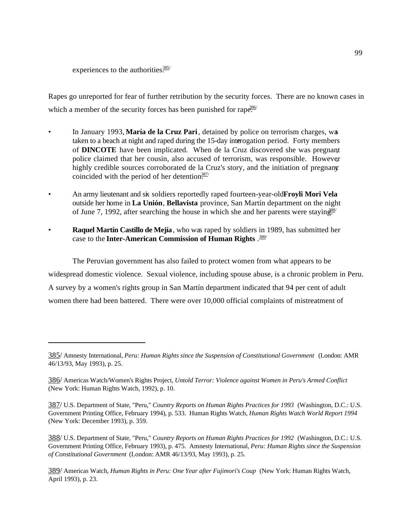experiences to the authorities. $\frac{385}{100}$ 

Rapes go unreported for fear of further retribution by the security forces. There are no known cases in which a member of the security forces has been punished for rape.<sup>386/</sup>

- In January 1993, **María de la Cruz Pari**, detained by police on terrorism charges, was taken to a beach at night and raped during the 15-day interrogation period. Forty members of **DINCOTE** have been implicated. When de la Cruz discovered she was pregnant, police claimed that her cousin, also accused of terrorism, was responsible. However highly credible sources corroborated de la Cruz's story, and the initiation of pregnany coincided with the period of her detention.<sup>387/</sup>
- An army lieutenant and six soldiers reportedly raped fourteen-year-old **Froyli Mori Vela** outside her home in **La Unión**, **Bellavista** province, San Martín department on the night of June 7, 1992, after searching the house in which she and her parents were staying.<sup>388</sup>
- **Raquel Martín Castillo de Mejía**, who was raped by soldiers in 1989, has submitted her case to the **Inter-American Commission of Human Rights** . 389/

The Peruvian government has also failed to protect women from what appears to be widespread domestic violence. Sexual violence, including spouse abuse, is a chronic problem in Peru. A survey by a women's rights group in San Martín department indicated that 94 per cent of adult women there had been battered. There were over 10,000 official complaints of mistreatment of

<sup>385/</sup> Amnesty International, *Peru: Human Rights since the Suspension of Constitutional Government* (London: AMR 46/13/93, May 1993), p. 25.

<sup>386/</sup> Americas Watch/Women's Rights Project, *Untold Terror: Violence against Women in Peru's Armed Conflict* (New York: Human Rights Watch, 1992), p. 10.

<sup>387/</sup> U.S. Department of State, "Peru," *Country Reports on Human Rights Practices for 1993* (Washington, D.C.: U.S. Government Printing Office, February 1994), p. 533. Human Rights Watch, *Human Rights Watch World Report 1994* (New York: December 1993), p. 359.

<sup>388/</sup> U.S. Department of State, "Peru," *Country Reports on Human Rights Practices for 1992* (Washington, D.C.: U.S. Government Printing Office, February 1993), p. 475. Amnesty International, *Peru: Human Rights since the Suspension of Constitutional Government* (London: AMR 46/13/93, May 1993), p. 25.

<sup>389/</sup> Americas Watch, *Human Rights in Peru: One Year after Fujimori's Coup* (New York: Human Rights Watch, April 1993), p. 23.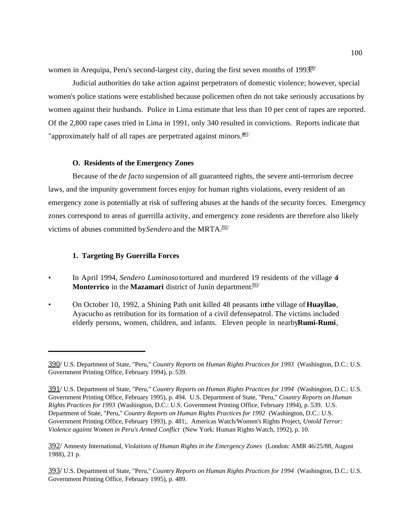women in Arequipa, Peru's second-largest city, during the first seven months of  $1993.09$ 

Judicial authorities do take action against perpetrators of domestic violence; however, special women's police stations were established because policemen often do not take seriously accusations by women against their husbands. Police in Lima estimate that less than 10 per cent of rapes are reported. Of the 2,800 rape cases tried in Lima in 1991, only 340 resulted in convictions. Reports indicate that "approximately half of all rapes are perpetrated against minors. $301/$ 

### **O. Residents of the Emergency Zones**

Because of the *de facto* suspension of all guaranteed rights, the severe anti-terrorism decree laws, and the impunity government forces enjoy for human rights violations, every resident of an emergency zone is potentially at risk of suffering abuses at the hands of the security forces. Emergency zones correspond to areas of guerrilla activity, and emergency zone residents are therefore also likely victims of abuses committed by *Sendero* and the MRTA.<sup>392/</sup>

#### **1. Targeting By Guerrilla Forces**

- In April 1994, *Sendero Luminoso* tortured and murdered 19 residents of the village of **Monterrico** in the **Mazamari** district of Junín department.<sup>393/</sup>
- On October 10, 1992, a Shining Path unit killed 48 peasants in the village of **Huayllao**, Ayacucho as retribution for its formation of a civil defense patrol. The victims included elderly persons, women, children, and infants. Eleven people in nearby **Rumi-Rumi**,

392/ Amnesty International, *Violations of Human Rights in the Emergency Zones* (London: AMR 46/25/88, August 1988), 21 p.

393/ U.S. Department of State, "Peru," *Country Reports on Human Rights Practices for 1994* (Washington, D.C.: U.S. Government Printing Office, February 1995), p. 489.

<sup>390/</sup> U.S. Department of State, "Peru," *Country Reports on Human Rights Practices for 1993* (Washington, D.C.: U.S. Government Printing Office, February 1994), p. 539.

<sup>391/</sup> U.S. Department of State, "Peru," *Country Reports on Human Rights Practices for 1994* (Washington, D.C.: U.S. Government Printing Office, February 1995), p. 494. U.S. Department of State, "Peru," *Country Reports on Human Rights Practices for 1993* (Washington, D.C.: U.S. Government Printing Office, February 1994), p. 539. U.S. Department of State, "Peru," *Country Reports on Human Rights Practices for 1992* (Washington, D.C.: U.S. Government Printing Office, February 1993), p. 481;. Americas Watch/Women's Rights Project, *Untold Terror: Violence against Women in Peru's Armed Conflict* (New York: Human Rights Watch, 1992), p. 10.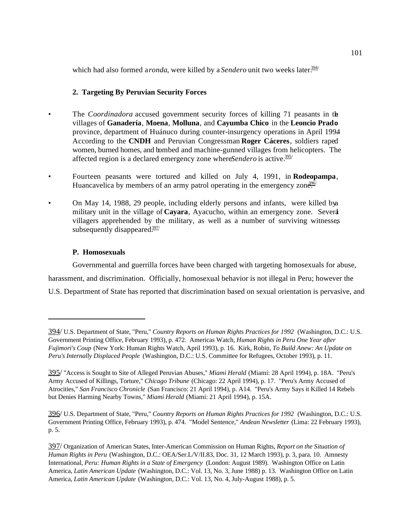which had also formed a *ronda*, were killed by a *Sendero* unit two weeks later.<sup>394/</sup>

# **2. Targeting By Peruvian Security Forces**

- The *Coordinadora* accused government security forces of killing 71 peasants in the villages of **Ganadería**, **Moena**, **Molluna**, and **Cayumba Chico** in the **Leoncio Prado** province, department of Huánuco during counter-insurgency operations in April 1994. According to the **CNDH** and Peruvian Congressman **Roger Cáceres**, soldiers raped women, burned homes, and bombed and machine-gunned villages from helicopters. The affected region is a declared emergency zone where *Sendero* is active.<sup>395/</sup>
- Fourteen peasants were tortured and killed on July 4, 1991, in **Rodeopampa**, Huancavelica by members of an army patrol operating in the emergency zon $\frac{396}{10}$
- On May 14, 1988, 29 people, including elderly persons and infants, were killed by a military unit in the village of **Cayara**, Ayacucho, within an emergency zone. Several villagers apprehended by the military, as well as a number of surviving witnesses, subsequently disappeared. $\frac{397}{2}$

# **P. Homosexuals**

Governmental and guerrilla forces have been charged with targeting homosexuals for abuse, harassment, and discrimination. Officially, homosexual behavior is not illegal in Peru; however the U.S. Department of State has reported that discrimination based on sexual orientation is pervasive, and

396/ U.S. Department of State, "Peru," *Country Reports on Human Rights Practices for 1992* (Washington, D.C.: U.S. Government Printing Office, February 1993), p. 474. "Model Sentence," *Andean Newsletter* (Lima: 22 February 1993), p. 5.

<sup>394/</sup> U.S. Department of State, "Peru," *Country Reports on Human Rights Practices for 1992* (Washington, D.C.: U.S. Government Printing Office, February 1993), p. 472. Americas Watch, *Human Rights in Peru One Year after Fujimori's Coup* (New York: Human Rights Watch, April 1993), p. 16. Kirk, Robin, *To Build Anew: An Update on Peru's Internally Displaced People* (Washington, D.C.: U.S. Committee for Refugees, October 1993), p. 11.

<sup>395/</sup> "Access is Sought to Site of Alleged Peruvian Abuses," *Miami Herald* (Miami: 28 April 1994), p. 18A. "Peru's Army Accused of Killings, Torture," *Chicago Tribune* (Chicago: 22 April 1994), p. 17. "Peru's Army Accused of Atrocities," *San Francisco Chronicle* (San Francisco: 21 April 1994), p. A14. "Peru's Army Says it Killed 14 Rebels but Denies Harming Nearby Towns," *Miami Herald* (Miami: 21 April 1994), p. 15A.

<sup>397/</sup> Organization of American States, Inter-American Commission on Human Rights, *Report on the Situation of Human Rights in Peru* (Washington, D.C.: OEA/Ser.L/V/II.83, Doc. 31, 12 March 1993), p. 3, para. 10. Amnesty International, *Peru: Human Rights in a State of Emergency* (London: August 1989). Washington Office on Latin America, *Latin American Update* (Washington, D.C.: Vol. 13, No. 3, June 1988) p. 13. Washington Office on Latin America, *Latin American Update* (Washington, D.C.: Vol. 13, No. 4, July-August 1988), p. 5.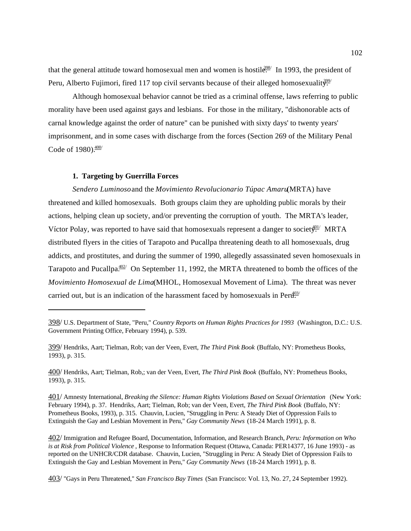that the general attitude toward homosexual men and women is hostile. In 1993, the president of Peru, Alberto Fujimori, fired 117 top civil servants because of their alleged homosexuality.

Although homosexual behavior cannot be tried as a criminal offense, laws referring to public morality have been used against gays and lesbians. For those in the military, "dishonorable acts of carnal knowledge against the order of nature" can be punished with sixty days' to twenty years' imprisonment, and in some cases with discharge from the forces (Section 269 of the Military Penal Code of  $1980$ . $\frac{400}{ }$ 

# **1. Targeting by Guerrilla Forces**

*Sendero Luminoso* and the *Movimiento Revolucionario Túpac Amaru* (MRTA) have threatened and killed homosexuals. Both groups claim they are upholding public morals by their actions, helping clean up society, and/or preventing the corruption of youth. The MRTA's leader, Víctor Polay, was reported to have said that homosexuals represent a danger to societ $\frac{401}{2}$  MRTA distributed flyers in the cities of Tarapoto and Pucallpa threatening death to all homosexuals, drug addicts, and prostitutes, and during the summer of 1990, allegedly assassinated seven homosexuals in Tarapoto and Pucallpa $\frac{402}{1}$  On September 11, 1992, the MRTA threatened to bomb the offices of the *Movimiento Homosexual de Lima* (MHOL, Homosexual Movement of Lima). The threat was never carried out, but is an indication of the harassment faced by homosexuals in Pert $\mathbb{H}^{3/2}$ 

400/ Hendriks, Aart; Tielman, Rob,; van der Veen, Evert, *The Third Pink Book* (Buffalo, NY: Prometheus Books, 1993), p. 315.

<sup>398/</sup> U.S. Department of State, "Peru," *Country Reports on Human Rights Practices for 1993* (Washington, D.C.: U.S. Government Printing Office, February 1994), p. 539.

<sup>399/</sup> Hendriks, Aart; Tielman, Rob; van der Veen, Evert, *The Third Pink Book* (Buffalo, NY: Prometheus Books, 1993), p. 315.

<sup>401/</sup> Amnesty International, *Breaking the Silence: Human Rights Violations Based on Sexual Orientation* (New York: February 1994), p. 37. Hendriks, Aart; Tielman, Rob; van der Veen, Evert, *The Third Pink Book* (Buffalo, NY: Prometheus Books, 1993), p. 315. Chauvin, Lucien, "Struggling in Peru: A Steady Diet of Oppression Fails to Extinguish the Gay and Lesbian Movement in Peru," *Gay Community News* (18-24 March 1991), p. 8.

<sup>402/</sup> Immigration and Refugee Board, Documentation, Information, and Research Branch, *Peru: Information on Who is at Risk from Political Violence* , Response to Information Request (Ottawa, Canada: PER14377, 16 June 1993) - as reported on the UNHCR/CDR database. Chauvin, Lucien, "Struggling in Peru: A Steady Diet of Oppression Fails to Extinguish the Gay and Lesbian Movement in Peru," *Gay Community News* (18-24 March 1991), p. 8.

<sup>403/</sup> "Gays in Peru Threatened," *San Francisco Bay Times* (San Francisco: Vol. 13, No. 27, 24 September 1992).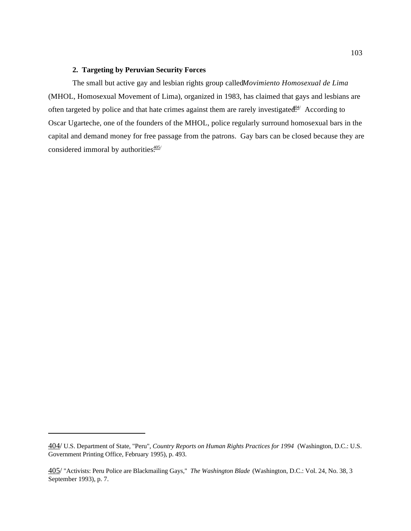### **2. Targeting by Peruvian Security Forces**

The small but active gay and lesbian rights group called *Movimiento Homosexual de Lima* (MHOL, Homosexual Movement of Lima), organized in 1983, has claimed that gays and lesbians are often targeted by police and that hate crimes against them are rarely investigated. According to Oscar Ugarteche, one of the founders of the MHOL, police regularly surround homosexual bars in the capital and demand money for free passage from the patrons. Gay bars can be closed because they are considered immoral by authorities.<sup>405/</sup>

<sup>404/</sup> U.S. Department of State, "Peru", *Country Reports on Human Rights Practices for 1994* (Washington, D.C.: U.S. Government Printing Office, February 1995), p. 493.

<sup>405/</sup> "Activists: Peru Police are Blackmailing Gays," *The Washington Blade* (Washington, D.C.: Vol. 24, No. 38, 3 September 1993), p. 7.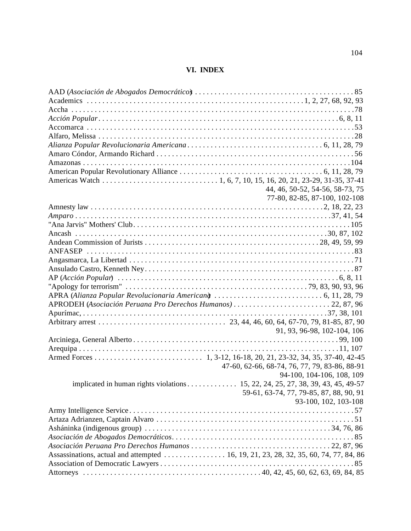# **VI. INDEX**

|                                                                                 | 44, 46, 50-52, 54-56, 58-73, 75               |
|---------------------------------------------------------------------------------|-----------------------------------------------|
|                                                                                 | 77-80, 82-85, 87-100, 102-108                 |
|                                                                                 |                                               |
|                                                                                 |                                               |
|                                                                                 |                                               |
|                                                                                 |                                               |
|                                                                                 |                                               |
|                                                                                 |                                               |
|                                                                                 |                                               |
|                                                                                 |                                               |
|                                                                                 |                                               |
|                                                                                 |                                               |
|                                                                                 |                                               |
| APRODEH (Asociación Peruana Pro Derechos Humanos) 22, 87, 96                    |                                               |
|                                                                                 |                                               |
|                                                                                 |                                               |
|                                                                                 | 91, 93, 96-98, 102-104, 106                   |
|                                                                                 |                                               |
|                                                                                 |                                               |
|                                                                                 |                                               |
|                                                                                 | 47-60, 62-66, 68-74, 76, 77, 79, 83-86, 88-91 |
|                                                                                 | 94-100, 104-106, 108, 109                     |
| implicated in human rights violations 15, 22, 24, 25, 27, 38, 39, 43, 45, 49-57 |                                               |
|                                                                                 | 59-61, 63-74, 77, 79-85, 87, 88, 90, 91       |
|                                                                                 | 93-100, 102, 103-108                          |
|                                                                                 |                                               |
|                                                                                 |                                               |
|                                                                                 |                                               |
|                                                                                 |                                               |
|                                                                                 |                                               |
|                                                                                 |                                               |
|                                                                                 |                                               |
|                                                                                 |                                               |
|                                                                                 |                                               |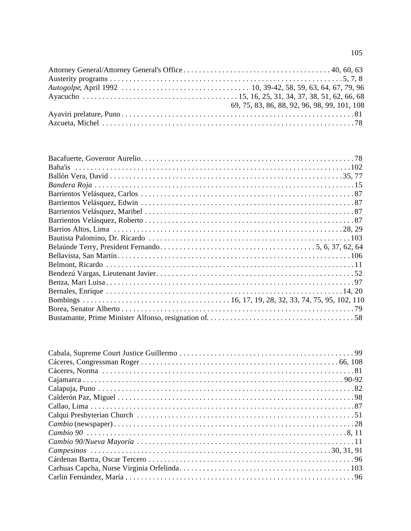| 69, 75, 83, 86, 88, 92, 96, 98, 99, 101, 108 |
|----------------------------------------------|
|                                              |
|                                              |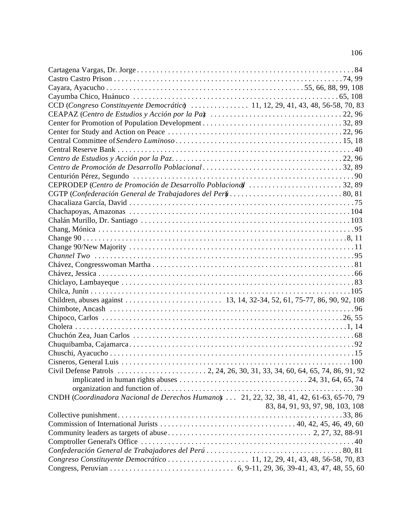| CCD (Congreso Constituyente Democrátic)  11, 12, 29, 41, 43, 48, 56-58, 70, 83            |                                  |
|-------------------------------------------------------------------------------------------|----------------------------------|
|                                                                                           |                                  |
|                                                                                           |                                  |
|                                                                                           |                                  |
|                                                                                           |                                  |
|                                                                                           |                                  |
|                                                                                           |                                  |
|                                                                                           |                                  |
|                                                                                           |                                  |
| CEPRODEP (Centro de Promoción de Desarrollo Poblaciona) 32,89                             |                                  |
|                                                                                           |                                  |
|                                                                                           |                                  |
|                                                                                           |                                  |
|                                                                                           |                                  |
|                                                                                           |                                  |
|                                                                                           |                                  |
|                                                                                           |                                  |
|                                                                                           |                                  |
|                                                                                           |                                  |
|                                                                                           |                                  |
|                                                                                           |                                  |
|                                                                                           |                                  |
|                                                                                           |                                  |
|                                                                                           |                                  |
|                                                                                           |                                  |
|                                                                                           |                                  |
|                                                                                           |                                  |
|                                                                                           |                                  |
|                                                                                           |                                  |
|                                                                                           |                                  |
|                                                                                           |                                  |
|                                                                                           |                                  |
|                                                                                           |                                  |
| CNDH (Coordinadora Nacional de Derechos Humano)  21, 22, 32, 38, 41, 42, 61-63, 65-70, 79 |                                  |
|                                                                                           | 83, 84, 91, 93, 97, 98, 103, 108 |
|                                                                                           |                                  |
|                                                                                           |                                  |
|                                                                                           |                                  |
|                                                                                           |                                  |
|                                                                                           |                                  |
| Congreso Constituyente Democrático  11, 12, 29, 41, 43, 48, 56-58, 70, 83                 |                                  |
|                                                                                           |                                  |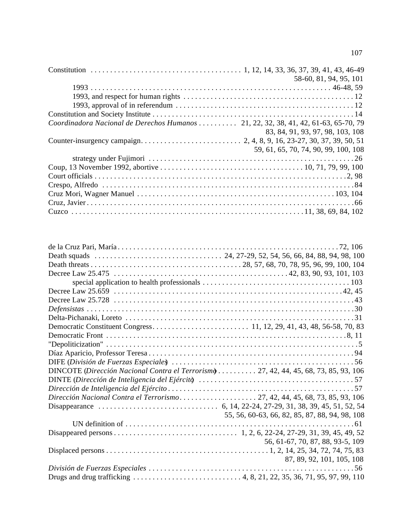|                                                                                     | 58-60, 81, 94, 95, 101               |
|-------------------------------------------------------------------------------------|--------------------------------------|
|                                                                                     |                                      |
|                                                                                     |                                      |
|                                                                                     |                                      |
|                                                                                     |                                      |
| Coordinadora Nacional de Derechos Humanos  21, 22, 32, 38, 41, 42, 61-63, 65-70, 79 |                                      |
|                                                                                     | 83, 84, 91, 93, 97, 98, 103, 108     |
|                                                                                     |                                      |
|                                                                                     | 59, 61, 65, 70, 74, 90, 99, 100, 108 |
|                                                                                     |                                      |
|                                                                                     |                                      |
|                                                                                     |                                      |
|                                                                                     |                                      |
|                                                                                     |                                      |
|                                                                                     |                                      |
|                                                                                     |                                      |

| DINCOTE (Dirección Nacional Contra el Terrorismo  27, 42, 44, 45, 68, 73, 85, 93, 106 |                                                |
|---------------------------------------------------------------------------------------|------------------------------------------------|
|                                                                                       |                                                |
|                                                                                       |                                                |
| Dirección Nacional Contra el Terrorismo27, 42, 44, 45, 68, 73, 85, 93, 106            |                                                |
|                                                                                       |                                                |
|                                                                                       | 55, 56, 60-63, 66, 82, 85, 87, 88, 94, 98, 108 |
|                                                                                       |                                                |
|                                                                                       |                                                |
|                                                                                       | 56, 61-67, 70, 87, 88, 93-5, 109               |
|                                                                                       |                                                |
|                                                                                       | 87, 89, 92, 101, 105, 108                      |
|                                                                                       |                                                |
|                                                                                       |                                                |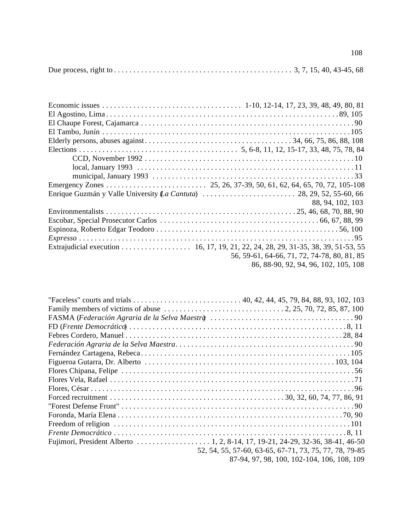|--|--|--|--|--|--|--|

| 88, 94, 102, 103                            |
|---------------------------------------------|
|                                             |
|                                             |
|                                             |
| $Expresso \dots 0.11111$                    |
|                                             |
| 56, 59-61, 64-66, 71, 72, 74-78, 80, 81, 85 |
| 86, 88-90, 92, 94, 96, 102, 105, 108        |

| Family members of victims of abuse $\dots \dots \dots \dots \dots \dots \dots \dots \dots \dots \dots \dots$ 2, 25, 70, 72, 85, 87, 100 |                                                        |
|-----------------------------------------------------------------------------------------------------------------------------------------|--------------------------------------------------------|
|                                                                                                                                         |                                                        |
|                                                                                                                                         |                                                        |
|                                                                                                                                         |                                                        |
|                                                                                                                                         |                                                        |
|                                                                                                                                         |                                                        |
|                                                                                                                                         |                                                        |
|                                                                                                                                         |                                                        |
|                                                                                                                                         |                                                        |
|                                                                                                                                         |                                                        |
|                                                                                                                                         |                                                        |
|                                                                                                                                         |                                                        |
|                                                                                                                                         |                                                        |
|                                                                                                                                         |                                                        |
|                                                                                                                                         |                                                        |
|                                                                                                                                         |                                                        |
|                                                                                                                                         | 52, 54, 55, 57-60, 63-65, 67-71, 73, 75, 77, 78, 79-85 |
|                                                                                                                                         | 87-94, 97, 98, 100, 102-104, 106, 108, 109             |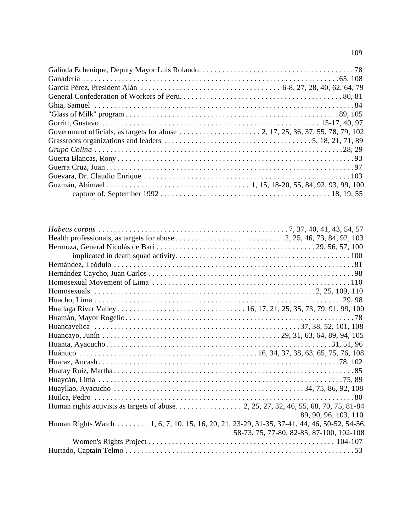| Health professionals, as targets for abuse $\ldots \ldots \ldots \ldots \ldots \ldots \ldots \ldots$ 2, 25, 46, 73, 84, 92, 103 |                                          |
|---------------------------------------------------------------------------------------------------------------------------------|------------------------------------------|
|                                                                                                                                 |                                          |
|                                                                                                                                 |                                          |
|                                                                                                                                 |                                          |
|                                                                                                                                 |                                          |
|                                                                                                                                 |                                          |
|                                                                                                                                 |                                          |
|                                                                                                                                 |                                          |
|                                                                                                                                 |                                          |
|                                                                                                                                 |                                          |
|                                                                                                                                 |                                          |
|                                                                                                                                 |                                          |
|                                                                                                                                 |                                          |
|                                                                                                                                 |                                          |
|                                                                                                                                 |                                          |
|                                                                                                                                 |                                          |
|                                                                                                                                 |                                          |
|                                                                                                                                 |                                          |
|                                                                                                                                 |                                          |
|                                                                                                                                 |                                          |
|                                                                                                                                 | 89, 90, 96, 103, 110                     |
| Human Rights Watch 1, 6, 7, 10, 15, 16, 20, 21, 23-29, 31-35, 37-41, 44, 46, 50-52, 54-56,                                      |                                          |
|                                                                                                                                 | 58-73, 75, 77-80, 82-85, 87-100, 102-108 |
|                                                                                                                                 |                                          |
|                                                                                                                                 |                                          |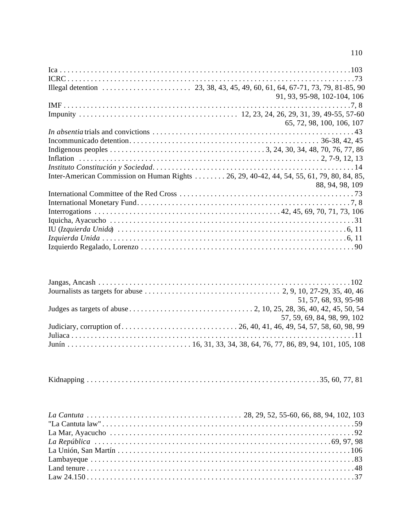|                                                                                          | 91, 93, 95-98, 102-104, 106 |
|------------------------------------------------------------------------------------------|-----------------------------|
|                                                                                          |                             |
|                                                                                          |                             |
|                                                                                          | 65, 72, 98, 100, 106, 107   |
|                                                                                          |                             |
|                                                                                          |                             |
|                                                                                          |                             |
|                                                                                          |                             |
|                                                                                          |                             |
| Inter-American Commission on Human Rights 26, 29, 40-42, 44, 54, 55, 61, 79, 80, 84, 85, |                             |
|                                                                                          | 88, 94, 98, 109             |
|                                                                                          |                             |
|                                                                                          |                             |
|                                                                                          |                             |
|                                                                                          |                             |
|                                                                                          |                             |
|                                                                                          |                             |
|                                                                                          |                             |

| 51, 57, 68, 93, 95-98       |
|-----------------------------|
|                             |
| 57, 59, 69, 84, 98, 99, 102 |
|                             |
|                             |
|                             |

|--|--|--|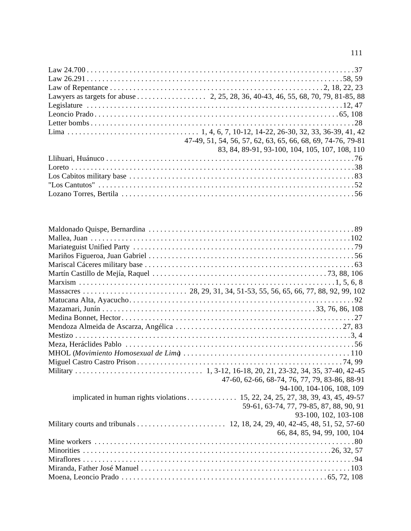| 47-49, 51, 54, 56, 57, 62, 63, 65, 66, 68, 69, 74-76, 79-81 |
|-------------------------------------------------------------|
| 83, 84, 89-91, 93-100, 104, 105, 107, 108, 110              |
|                                                             |
|                                                             |
|                                                             |
|                                                             |
|                                                             |

|                                                                                 | 47-60, 62-66, 68-74, 76, 77, 79, 83-86, 88-91 |
|---------------------------------------------------------------------------------|-----------------------------------------------|
|                                                                                 | 94-100, 104-106, 108, 109                     |
| implicated in human rights violations 15, 22, 24, 25, 27, 38, 39, 43, 45, 49-57 |                                               |
|                                                                                 | 59-61, 63-74, 77, 79-85, 87, 88, 90, 91       |
|                                                                                 | 93-100, 102, 103-108                          |
|                                                                                 |                                               |
|                                                                                 | 66, 84, 85, 94, 99, 100, 104                  |
|                                                                                 |                                               |
|                                                                                 |                                               |
|                                                                                 |                                               |
|                                                                                 |                                               |
|                                                                                 |                                               |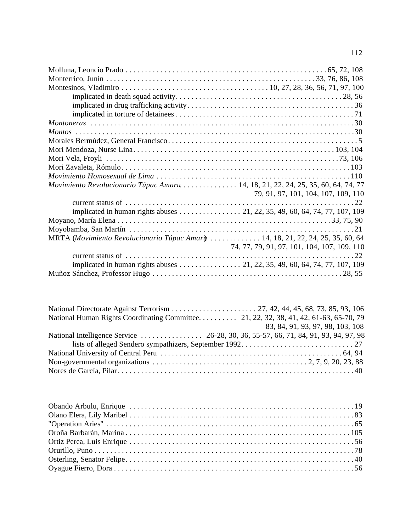| Movimiento Revolucionario Túpac Amaru 14, 18, 21, 22, 24, 25, 35, 60, 64, 74, 77 |                                                                            |
|----------------------------------------------------------------------------------|----------------------------------------------------------------------------|
|                                                                                  | 79, 91, 97, 101, 104, 107, 109, 110                                        |
|                                                                                  |                                                                            |
|                                                                                  | implicated in human rights abuses 21, 22, 35, 49, 60, 64, 74, 77, 107, 109 |
|                                                                                  |                                                                            |
|                                                                                  |                                                                            |
| MRTA (Movimiento Revolucionario Túpac Amary  14, 18, 21, 22, 24, 25, 35, 60, 64  |                                                                            |
|                                                                                  | 74, 77, 79, 91, 97, 101, 104, 107, 109, 110                                |
|                                                                                  |                                                                            |
|                                                                                  | implicated in human rights abuses 21, 22, 35, 49, 60, 64, 74, 77, 107, 109 |
|                                                                                  |                                                                            |

| 83, 84, 91, 93, 97, 98, 103, 108                                                                                                             |
|----------------------------------------------------------------------------------------------------------------------------------------------|
|                                                                                                                                              |
|                                                                                                                                              |
|                                                                                                                                              |
| Non-governmental organizations $\dots \dots \dots \dots \dots \dots \dots \dots \dots \dots \dots \dots \dots \dots \dots \dots \dots \dots$ |
|                                                                                                                                              |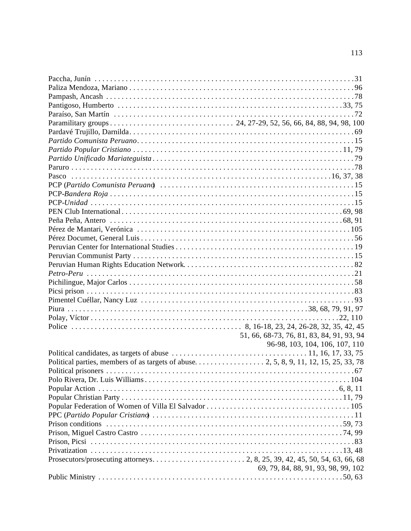| 51, 66, 68-73, 76, 81, 83, 84, 91, 93, 94 |
|-------------------------------------------|
| 96-98, 103, 104, 106, 107, 110            |
|                                           |
|                                           |
|                                           |
|                                           |
|                                           |
|                                           |
|                                           |
|                                           |
|                                           |
|                                           |
|                                           |
|                                           |
|                                           |
| 69, 79, 84, 88, 91, 93, 98, 99, 102       |
|                                           |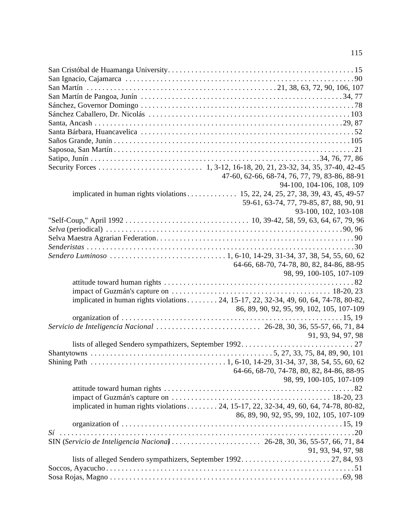| 47-60, 62-66, 68-74, 76, 77, 79, 83-86, 88-91                                         |                                           |
|---------------------------------------------------------------------------------------|-------------------------------------------|
|                                                                                       | 94-100, 104-106, 108, 109                 |
| implicated in human rights violations 15, 22, 24, 25, 27, 38, 39, 43, 45, 49-57       |                                           |
|                                                                                       | 59-61, 63-74, 77, 79-85, 87, 88, 90, 91   |
|                                                                                       | 93-100, 102, 103-108                      |
|                                                                                       |                                           |
|                                                                                       |                                           |
|                                                                                       |                                           |
|                                                                                       |                                           |
|                                                                                       |                                           |
|                                                                                       | 64-66, 68-70, 74-78, 80, 82, 84-86, 88-95 |
|                                                                                       | 98, 99, 100-105, 107-109                  |
|                                                                                       |                                           |
|                                                                                       |                                           |
| implicated in human rights violations 24, 15-17, 22, 32-34, 49, 60, 64, 74-78, 80-82, |                                           |
|                                                                                       | 86, 89, 90, 92, 95, 99, 102, 105, 107-109 |
|                                                                                       |                                           |
|                                                                                       |                                           |
|                                                                                       | 91, 93, 94, 97, 98                        |
|                                                                                       |                                           |
|                                                                                       |                                           |
|                                                                                       |                                           |
|                                                                                       | 64-66, 68-70, 74-78, 80, 82, 84-86, 88-95 |
|                                                                                       | 98, 99, 100-105, 107-109                  |
|                                                                                       |                                           |
|                                                                                       |                                           |
| implicated in human rights violations 24, 15-17, 22, 32-34, 49, 60, 64, 74-78, 80-82, |                                           |
|                                                                                       | 86, 89, 90, 92, 95, 99, 102, 105, 107-109 |
|                                                                                       |                                           |
|                                                                                       |                                           |
|                                                                                       |                                           |
|                                                                                       | 91, 93, 94, 97, 98                        |
|                                                                                       |                                           |
|                                                                                       |                                           |
|                                                                                       |                                           |
|                                                                                       |                                           |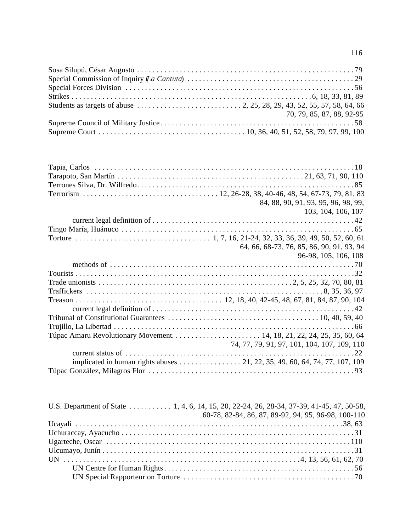| 70, 79, 85, 87, 88, 92-95 |
|---------------------------|
|                           |
|                           |

| 84, 88, 90, 91, 93, 95, 96, 98, 99,                                        |
|----------------------------------------------------------------------------|
| 103, 104, 106, 107                                                         |
|                                                                            |
|                                                                            |
|                                                                            |
| 64, 66, 68-73, 76, 85, 86, 90, 91, 93, 94                                  |
| 96-98, 105, 106, 108                                                       |
|                                                                            |
|                                                                            |
|                                                                            |
|                                                                            |
|                                                                            |
|                                                                            |
|                                                                            |
|                                                                            |
|                                                                            |
| 74, 77, 79, 91, 97, 101, 104, 107, 109, 110                                |
|                                                                            |
| implicated in human rights abuses 21, 22, 35, 49, 60, 64, 74, 77, 107, 109 |
|                                                                            |

| U.S. Department of State 1, 4, 6, 14, 15, 20, 22-24, 26, 28-34, 37-39, 41-45, 47, 50-58, |  |                                                     |
|------------------------------------------------------------------------------------------|--|-----------------------------------------------------|
|                                                                                          |  | 60-78, 82-84, 86, 87, 89-92, 94, 95, 96-98, 100-110 |
|                                                                                          |  |                                                     |
|                                                                                          |  |                                                     |
|                                                                                          |  |                                                     |
|                                                                                          |  |                                                     |
|                                                                                          |  |                                                     |
|                                                                                          |  |                                                     |
|                                                                                          |  |                                                     |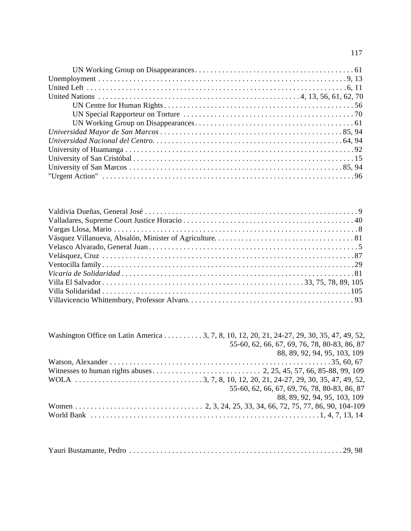| Washington Office on Latin America 3, 7, 8, 10, 12, 20, 21, 24-27, 29, 30, 35, 47, 49, 52, |  |
|--------------------------------------------------------------------------------------------|--|
| 55-60, 62, 66, 67, 69, 76, 78, 80-83, 86, 87                                               |  |
| 88, 89, 92, 94, 95, 103, 109                                                               |  |
|                                                                                            |  |
|                                                                                            |  |
|                                                                                            |  |
| 55-60, 62, 66, 67, 69, 76, 78, 80-83, 86, 87                                               |  |
| 88, 89, 92, 94, 95, 103, 109                                                               |  |
|                                                                                            |  |
|                                                                                            |  |

|--|--|--|